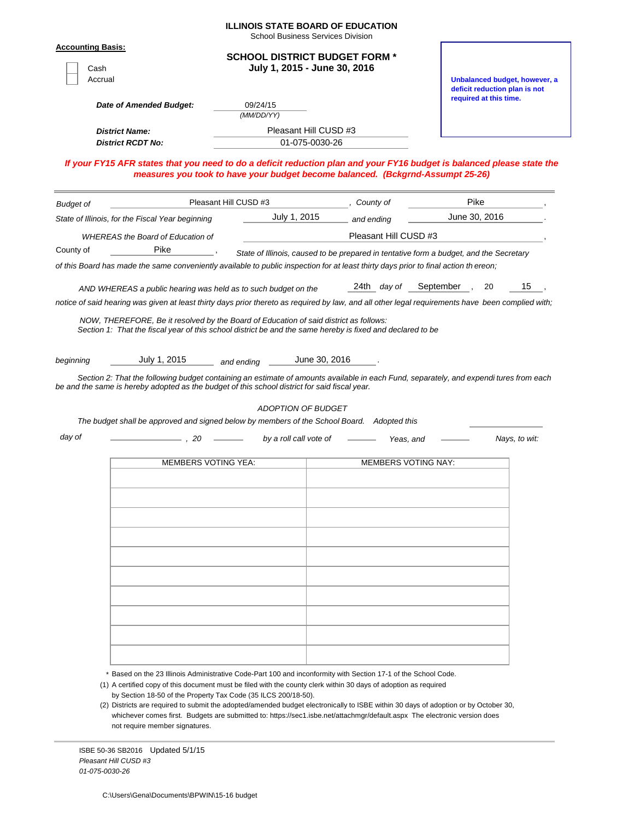|                                             |                                                                                                                                                                                                                                                                                                                                                   | <b>ILLINOIS STATE BOARD OF EDUCATION</b><br><b>School Business Services Division</b>   |                       |                       |                            |                                                                |    |
|---------------------------------------------|---------------------------------------------------------------------------------------------------------------------------------------------------------------------------------------------------------------------------------------------------------------------------------------------------------------------------------------------------|----------------------------------------------------------------------------------------|-----------------------|-----------------------|----------------------------|----------------------------------------------------------------|----|
| <b>Accounting Basis:</b><br>Cash<br>Accrual |                                                                                                                                                                                                                                                                                                                                                   | <b>SCHOOL DISTRICT BUDGET FORM *</b><br>July 1, 2015 - June 30, 2016                   |                       |                       |                            | Unbalanced budget, however, a<br>deficit reduction plan is not |    |
|                                             | Date of Amended Budget:                                                                                                                                                                                                                                                                                                                           | 09/24/15<br>(MM/DD/YY)                                                                 |                       |                       |                            | required at this time.                                         |    |
| <b>District Name:</b>                       |                                                                                                                                                                                                                                                                                                                                                   |                                                                                        | Pleasant Hill CUSD #3 |                       |                            |                                                                |    |
|                                             | <b>District RCDT No:</b>                                                                                                                                                                                                                                                                                                                          |                                                                                        | 01-075-0030-26        |                       |                            |                                                                |    |
|                                             | If your FY15 AFR states that you need to do a deficit reduction plan and your FY16 budget is balanced please state the<br>measures you took to have your budget become balanced. (Bckgrnd-Assumpt 25-26)                                                                                                                                          |                                                                                        |                       |                       |                            |                                                                |    |
| <b>Budget of</b>                            |                                                                                                                                                                                                                                                                                                                                                   | Pleasant Hill CUSD #3                                                                  |                       | ,  County of          |                            | Pike                                                           |    |
|                                             | State of Illinois, for the Fiscal Year beginning                                                                                                                                                                                                                                                                                                  | July 1, 2015                                                                           |                       | and ending            |                            | June 30, 2016                                                  |    |
|                                             | <b>WHEREAS</b> the Board of Education of                                                                                                                                                                                                                                                                                                          |                                                                                        |                       | Pleasant Hill CUSD #3 |                            |                                                                |    |
| County of                                   | Pike                                                                                                                                                                                                                                                                                                                                              | State of Illinois, caused to be prepared in tentative form a budget, and the Secretary |                       |                       |                            |                                                                |    |
|                                             | of this Board has made the same conveniently available to public inspection for at least thirty days prior to final action th ereon;                                                                                                                                                                                                              |                                                                                        |                       |                       |                            |                                                                |    |
|                                             | AND WHEREAS a public hearing was held as to such budget on the                                                                                                                                                                                                                                                                                    |                                                                                        |                       | 24th day of           | September,                 | 20                                                             | 15 |
|                                             | notice of said hearing was given at least thirty days prior thereto as required by law, and all other legal requirements have been complied with;                                                                                                                                                                                                 |                                                                                        |                       |                       |                            |                                                                |    |
| day of                                      | Section 2: That the following budget containing an estimate of amounts available in each Fund, separately, and expendi tures from each<br>be and the same is hereby adopted as the budget of this school district for said fiscal year.<br>The budget shall be approved and signed below by members of the School Board. Adopted this<br>$-$ . 20 | <b>ADOPTION OF BUDGET</b><br>by a roll call vote of                                    |                       |                       | Yeas, and                  | Nays, to wit:                                                  |    |
|                                             |                                                                                                                                                                                                                                                                                                                                                   |                                                                                        |                       |                       |                            |                                                                |    |
|                                             | <b>MEMBERS VOTING YEA:</b>                                                                                                                                                                                                                                                                                                                        |                                                                                        |                       |                       | <b>MEMBERS VOTING NAY:</b> |                                                                |    |
|                                             |                                                                                                                                                                                                                                                                                                                                                   |                                                                                        |                       |                       |                            |                                                                |    |
|                                             |                                                                                                                                                                                                                                                                                                                                                   |                                                                                        |                       |                       |                            |                                                                |    |
|                                             |                                                                                                                                                                                                                                                                                                                                                   |                                                                                        |                       |                       |                            |                                                                |    |
|                                             |                                                                                                                                                                                                                                                                                                                                                   |                                                                                        |                       |                       |                            |                                                                |    |
|                                             |                                                                                                                                                                                                                                                                                                                                                   |                                                                                        |                       |                       |                            |                                                                |    |
|                                             |                                                                                                                                                                                                                                                                                                                                                   |                                                                                        |                       |                       |                            |                                                                |    |
|                                             |                                                                                                                                                                                                                                                                                                                                                   |                                                                                        |                       |                       |                            |                                                                |    |
|                                             |                                                                                                                                                                                                                                                                                                                                                   |                                                                                        |                       |                       |                            |                                                                |    |
|                                             |                                                                                                                                                                                                                                                                                                                                                   |                                                                                        |                       |                       |                            |                                                                |    |
|                                             |                                                                                                                                                                                                                                                                                                                                                   |                                                                                        |                       |                       |                            |                                                                |    |
|                                             |                                                                                                                                                                                                                                                                                                                                                   |                                                                                        |                       |                       |                            |                                                                |    |
|                                             |                                                                                                                                                                                                                                                                                                                                                   |                                                                                        |                       |                       |                            |                                                                |    |
|                                             | * Based on the 23 Illinois Administrative Code-Part 100 and inconformity with Section 17-1 of the School Code.<br>(1) A certified copy of this document must be filed with the county clerk within 30 days of adoption as required                                                                                                                |                                                                                        |                       |                       |                            |                                                                |    |
|                                             | by Section 18-50 of the Property Tax Code (35 ILCS 200/18-50).                                                                                                                                                                                                                                                                                    |                                                                                        |                       |                       |                            |                                                                |    |
|                                             | (2) Districts are required to submit the adopted/amended budget electronically to ISBE within 30 days of adoption or by October 30,<br>whichever comes first. Budgets are submitted to: https://sec1.isbe.net/attachmgr/default.aspx The electronic version does                                                                                  |                                                                                        |                       |                       |                            |                                                                |    |
|                                             | not require member signatures.                                                                                                                                                                                                                                                                                                                    |                                                                                        |                       |                       |                            |                                                                |    |

ISBE 50-36 SB2016 Updated 5/1/15 *Pleasant Hill CUSD #3 01-075-0030-26*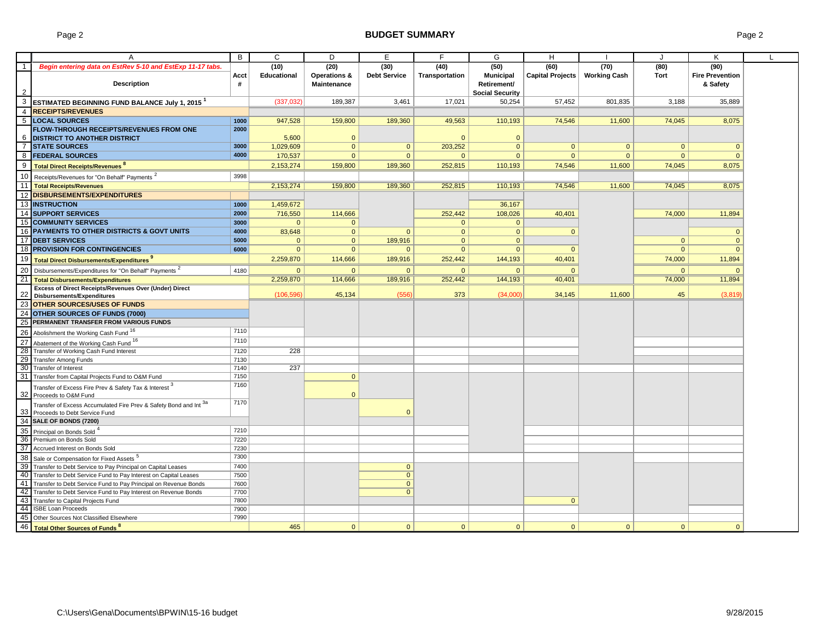# Page 2 **BUDGET SUMMARY** Page 2

| B<br>C<br>D<br>G<br>E<br>H<br>A<br>$\overline{1}$<br>Begin entering data on EstRev 5-10 and EstExp 11-17 tabs.<br>(10)<br>(20)<br>(30)<br>(50)<br>(60)<br>(70)<br>(80)<br>(40)<br><b>Municipal</b><br>Capital Projects<br><b>Working Cash</b><br><b>Educational</b><br>Operations &<br><b>Debt Service</b><br>Transportation<br>Tort<br>Acct<br><b>Description</b><br><b>Maintenance</b><br>Retirement/<br>#<br><b>Social Security</b> | K<br>(90)<br><b>Fire Prevention</b><br>& Safety<br>35.889 |
|----------------------------------------------------------------------------------------------------------------------------------------------------------------------------------------------------------------------------------------------------------------------------------------------------------------------------------------------------------------------------------------------------------------------------------------|-----------------------------------------------------------|
|                                                                                                                                                                                                                                                                                                                                                                                                                                        |                                                           |
|                                                                                                                                                                                                                                                                                                                                                                                                                                        |                                                           |
|                                                                                                                                                                                                                                                                                                                                                                                                                                        |                                                           |
|                                                                                                                                                                                                                                                                                                                                                                                                                                        |                                                           |
|                                                                                                                                                                                                                                                                                                                                                                                                                                        |                                                           |
| 3 ESTIMATED BEGINNING FUND BALANCE July 1, 2015 <sup>1</sup><br>189,387<br>3.461<br>50.254<br>57.452<br>(337,032)<br>17.021<br>801,835<br>3.188                                                                                                                                                                                                                                                                                        |                                                           |
| 4 RECEIPTS/REVENUES                                                                                                                                                                                                                                                                                                                                                                                                                    |                                                           |
| 5  LOCAL SOURCES<br>1000<br>947,528<br>159,800<br>189,360<br>74,546<br>74.045                                                                                                                                                                                                                                                                                                                                                          | 8,075                                                     |
| 49,563<br>110,193<br>11,600<br>FLOW-THROUGH RECEIPTS/REVENUES FROM ONE<br>2000                                                                                                                                                                                                                                                                                                                                                         |                                                           |
|                                                                                                                                                                                                                                                                                                                                                                                                                                        |                                                           |
| <b>6 DISTRICT TO ANOTHER DISTRICT</b><br>5,600<br>$\mathbf{0}$<br>$\mathbf{0}$<br>$\mathbf{0}$<br>3000                                                                                                                                                                                                                                                                                                                                 |                                                           |
| $\overline{7}$<br><b>STATE SOURCES</b><br>$\mathbf 0$<br>$\mathbf{0}$<br>1,029,609<br>$\Omega$<br>203,252<br>$\Omega$<br>$\mathbf{0}$<br>$\Omega$                                                                                                                                                                                                                                                                                      | $\mathbf{0}$                                              |
| 4000<br>8 FEDERAL SOURCES<br>170,537<br>$\mathbf{0}$<br>$\mathbf{0}$<br>$\mathbf{0}$<br>$\overline{0}$<br>$\mathbf{0}$<br>$\Omega$<br>$\overline{0}$                                                                                                                                                                                                                                                                                   | $\Omega$                                                  |
| 9<br><b>Total Direct Receipts/Revenues<sup>8</sup></b><br>2,153,274<br>159,800<br>189,360<br>252,815<br>110,193<br>74,546<br>11,600<br>74,045                                                                                                                                                                                                                                                                                          | 8,075                                                     |
| 10 Receipts/Revenues for "On Behalf" Payments <sup>2</sup><br>3998                                                                                                                                                                                                                                                                                                                                                                     |                                                           |
| 11   Total Receipts/Revenues<br>74,045<br>2,153,274<br>159,800<br>189,360<br>252,815<br>110,193<br>74,546<br>11,600                                                                                                                                                                                                                                                                                                                    | 8,075                                                     |
| 12 DISBURSEMENTS/EXPENDITURES                                                                                                                                                                                                                                                                                                                                                                                                          |                                                           |
|                                                                                                                                                                                                                                                                                                                                                                                                                                        |                                                           |
| 13 INSTRUCTION<br>36,167<br>1,459,672<br>1000                                                                                                                                                                                                                                                                                                                                                                                          |                                                           |
| 14 SUPPORT SERVICES<br>2000<br>716,550<br>114,666<br>252,442<br>108,026<br>40,401<br>74,000                                                                                                                                                                                                                                                                                                                                            | 11,894                                                    |
| <b>15 COMMUNITY SERVICES</b><br>3000<br>$\mathbf{0}$<br>$\Omega$<br>$\mathbf{0}$<br>$\mathbf{0}$                                                                                                                                                                                                                                                                                                                                       |                                                           |
| 16 PAYMENTS TO OTHER DISTRICTS & GOVT UNITS<br>4000<br>83,648<br>$\mathbf{0}$<br>$\mathbf{0}$<br>$\mathbf{0}$<br>$\Omega$<br>$\Omega$                                                                                                                                                                                                                                                                                                  | $\mathbf{0}$                                              |
| 17 DEBT SERVICES<br>5000<br>$\mathbf{0}$<br>189,916<br>$\mathbf{0}$<br>$\mathbf{0}$<br>$\mathbf{0}$<br>$\mathbf{0}$                                                                                                                                                                                                                                                                                                                    | $\overline{0}$                                            |
| 18 PROVISION FOR CONTINGENCIES<br>6000<br>$\Omega$<br>$\overline{0}$<br>$\mathbf{0}$<br>$\mathbf{0}$<br>$\Omega$<br>$\Omega$<br>$\Omega$                                                                                                                                                                                                                                                                                               | $\Omega$                                                  |
| 19<br>2,259,870<br>114,666<br>189,916<br>144,193<br>252,442<br>40,401<br>74,000<br>Total Direct Disbursements/Expenditures                                                                                                                                                                                                                                                                                                             | 11,894                                                    |
| 20<br>Disbursements/Expenditures for "On Behalf" Payments <sup>2</sup><br>4180<br>$\mathbf{0}$<br>$\mathbf{0}$<br>$\mathbf{0}$<br>$\mathbf{0}$<br>$\overline{0}$<br>$\mathbf{0}$<br>$\Omega$                                                                                                                                                                                                                                           | $\Omega$                                                  |
| 21 Total Disbursements/Expenditures<br>2,259,870<br>114,666<br>189,916<br>252,442<br>144,193<br>40,401<br>74,000                                                                                                                                                                                                                                                                                                                       | 11,894                                                    |
| Excess of Direct Receipts/Revenues Over (Under) Direct                                                                                                                                                                                                                                                                                                                                                                                 |                                                           |
| 22<br>45,134<br>(556)<br>373<br>11,600<br>45<br>(106, 596)<br>(34,000)<br>34,145<br>Disbursements/Expenditures                                                                                                                                                                                                                                                                                                                         | (3,819)                                                   |
| 23 OTHER SOURCES/USES OF FUNDS                                                                                                                                                                                                                                                                                                                                                                                                         |                                                           |
| 24<br><b>OTHER SOURCES OF FUNDS (7000)</b>                                                                                                                                                                                                                                                                                                                                                                                             |                                                           |
|                                                                                                                                                                                                                                                                                                                                                                                                                                        |                                                           |
| 25 PERMANENT TRANSFER FROM VARIOUS FUNDS                                                                                                                                                                                                                                                                                                                                                                                               |                                                           |
| 7110<br>26 Abolishment the Working Cash Fund 16                                                                                                                                                                                                                                                                                                                                                                                        |                                                           |
| 27<br>7110<br>Abatement of the Working Cash Fund 16                                                                                                                                                                                                                                                                                                                                                                                    |                                                           |
| 28 Transfer of Working Cash Fund Interest<br>7120<br>228                                                                                                                                                                                                                                                                                                                                                                               |                                                           |
| 29 Transfer Among Funds<br>7130                                                                                                                                                                                                                                                                                                                                                                                                        |                                                           |
| 30 Transfer of Interest<br>237<br>7140                                                                                                                                                                                                                                                                                                                                                                                                 |                                                           |
| 31 Transfer from Capital Projects Fund to O&M Fund<br>7150<br>$\mathbf{0}$                                                                                                                                                                                                                                                                                                                                                             |                                                           |
| 7160<br>Transfer of Excess Fire Prev & Safety Tax & Interest 3                                                                                                                                                                                                                                                                                                                                                                         |                                                           |
| 32 Proceeds to O&M Fund<br>$\Omega$                                                                                                                                                                                                                                                                                                                                                                                                    |                                                           |
| 7170<br>Transfer of Excess Accumulated Fire Prev & Safety Bond and Int 3a                                                                                                                                                                                                                                                                                                                                                              |                                                           |
| 33 Proceeds to Debt Service Fund<br>$\Omega$                                                                                                                                                                                                                                                                                                                                                                                           |                                                           |
| 34 SALE OF BONDS (7200)                                                                                                                                                                                                                                                                                                                                                                                                                |                                                           |
| 35 Principal on Bonds Sold<br>7210                                                                                                                                                                                                                                                                                                                                                                                                     |                                                           |
| 36 Premium on Bonds Sold<br>7220                                                                                                                                                                                                                                                                                                                                                                                                       |                                                           |
| 37 Accrued Interest on Bonds Sold<br>7230                                                                                                                                                                                                                                                                                                                                                                                              |                                                           |
| 7300                                                                                                                                                                                                                                                                                                                                                                                                                                   |                                                           |
| 38 Sale or Compensation for Fixed Assets <sup>5</sup>                                                                                                                                                                                                                                                                                                                                                                                  |                                                           |
| 39 Transfer to Debt Service to Pay Principal on Capital Leases<br>7400<br>$\mathbf{0}$                                                                                                                                                                                                                                                                                                                                                 |                                                           |
| 40 Transfer to Debt Service Fund to Pay Interest on Capital Leases<br>$\mathbf{0}$<br>7500                                                                                                                                                                                                                                                                                                                                             |                                                           |
| 41 Transfer to Debt Service Fund to Pay Principal on Revenue Bonds<br>7600<br>$\mathbf{0}$                                                                                                                                                                                                                                                                                                                                             |                                                           |
| 42 Transfer to Debt Service Fund to Pay Interest on Revenue Bonds<br>7700<br>$\mathbf{0}$                                                                                                                                                                                                                                                                                                                                              |                                                           |
| 43<br>7800<br>Transfer to Capital Projects Fund<br>$\mathbf{0}$                                                                                                                                                                                                                                                                                                                                                                        |                                                           |
| 44 ISBE Loan Proceeds<br>7900                                                                                                                                                                                                                                                                                                                                                                                                          |                                                           |
| 45 Other Sources Not Classified Elsewhere<br>7990                                                                                                                                                                                                                                                                                                                                                                                      |                                                           |
| 46 Total Other Sources of Funds<br>465<br>$\mathbf{0}$<br>$\mathbf{0}$<br>$\Omega$<br>$\mathbf{0}$<br>$\mathbf{0}$<br>$\mathbf{0}$<br>$\overline{0}$                                                                                                                                                                                                                                                                                   | $\Omega$                                                  |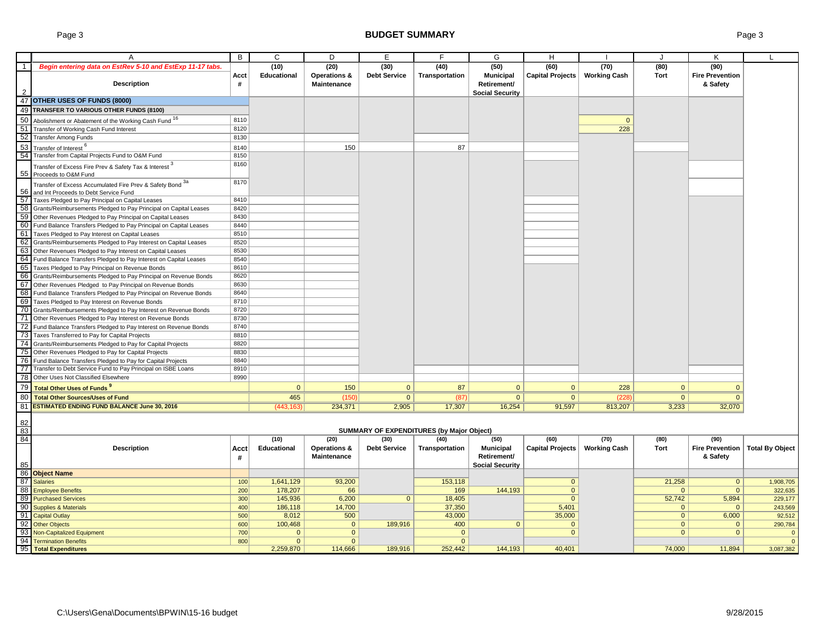# Page 3 **BUDGET SUMMARY** Page 3

|                 | $\overline{A}$                                                     | B            | C                  | D                       | Е                   | F.                                        | G                      | H                       |                     |              | K                      |                        |
|-----------------|--------------------------------------------------------------------|--------------|--------------------|-------------------------|---------------------|-------------------------------------------|------------------------|-------------------------|---------------------|--------------|------------------------|------------------------|
|                 | Begin entering data on EstRev 5-10 and EstExp 11-17 tabs.          |              | (10)               | (20)                    | (30)                | (40)                                      | (50)                   | (60)                    | (70)                | (80)         | (90)                   |                        |
|                 |                                                                    | Acct         | <b>Educational</b> | <b>Operations &amp;</b> | <b>Debt Service</b> | Transportation                            | <b>Municipal</b>       | <b>Capital Projects</b> | <b>Working Cash</b> | <b>Tort</b>  | <b>Fire Prevention</b> |                        |
|                 | Description                                                        | #            |                    | <b>Maintenance</b>      |                     |                                           | Retirement/            |                         |                     |              | & Safety               |                        |
| $\mathcal{P}$   |                                                                    |              |                    |                         |                     |                                           | <b>Social Security</b> |                         |                     |              |                        |                        |
|                 | 47 OTHER USES OF FUNDS (8000)                                      |              |                    |                         |                     |                                           |                        |                         |                     |              |                        |                        |
|                 | 49 TRANSFER TO VARIOUS OTHER FUNDS (8100)                          |              |                    |                         |                     |                                           |                        |                         |                     |              |                        |                        |
|                 |                                                                    |              |                    |                         |                     |                                           |                        |                         |                     |              |                        |                        |
| 50              | Abolishment or Abatement of the Working Cash Fund 16               | 8110         |                    |                         |                     |                                           |                        |                         | $\overline{0}$      |              |                        |                        |
| 51              | Transfer of Working Cash Fund Interest                             | 8120         |                    |                         |                     |                                           |                        |                         | 228                 |              |                        |                        |
| 52              | <b>Transfer Among Funds</b>                                        | 8130         |                    |                         |                     |                                           |                        |                         |                     |              |                        |                        |
| 53              | Transfer of Interest <sup>6</sup>                                  | 8140         |                    | 150                     |                     | 87                                        |                        |                         |                     |              |                        |                        |
| 54              | Transfer from Capital Projects Fund to O&M Fund                    | 8150         |                    |                         |                     |                                           |                        |                         |                     |              |                        |                        |
|                 | Transfer of Excess Fire Prev & Safety Tax & Interest $^3$          | 8160         |                    |                         |                     |                                           |                        |                         |                     |              |                        |                        |
|                 | 55 Proceeds to O&M Fund                                            |              |                    |                         |                     |                                           |                        |                         |                     |              |                        |                        |
|                 | Transfer of Excess Accumulated Fire Prev & Safety Bond 3a          | 8170         |                    |                         |                     |                                           |                        |                         |                     |              |                        |                        |
| 56              | and Int Proceeds to Debt Service Fund                              |              |                    |                         |                     |                                           |                        |                         |                     |              |                        |                        |
| 57              | Taxes Pledged to Pay Principal on Capital Leases                   | 8410         |                    |                         |                     |                                           |                        |                         |                     |              |                        |                        |
| 58              | Grants/Reimbursements Pledged to Pay Principal on Capital Leases   | 8420         |                    |                         |                     |                                           |                        |                         |                     |              |                        |                        |
| 59              | Other Revenues Pledged to Pay Principal on Capital Leases          | 8430         |                    |                         |                     |                                           |                        |                         |                     |              |                        |                        |
| 60              | Fund Balance Transfers Pledged to Pay Principal on Capital Leases  | 8440         |                    |                         |                     |                                           |                        |                         |                     |              |                        |                        |
| 61              | Taxes Pledged to Pay Interest on Capital Leases                    | 8510         |                    |                         |                     |                                           |                        |                         |                     |              |                        |                        |
| 62              | Grants/Reimbursements Pledged to Pay Interest on Capital Leases    | 8520         |                    |                         |                     |                                           |                        |                         |                     |              |                        |                        |
| 63              | Other Revenues Pledged to Pay Interest on Capital Leases           | 8530         |                    |                         |                     |                                           |                        |                         |                     |              |                        |                        |
| 64              | Fund Balance Transfers Pledged to Pay Interest on Capital Leases   | 8540         |                    |                         |                     |                                           |                        |                         |                     |              |                        |                        |
| 65              |                                                                    | 8610         |                    |                         |                     |                                           |                        |                         |                     |              |                        |                        |
| 66              | Taxes Pledged to Pay Principal on Revenue Bonds                    | 8620         |                    |                         |                     |                                           |                        |                         |                     |              |                        |                        |
|                 | Grants/Reimbursements Pledged to Pay Principal on Revenue Bonds    |              |                    |                         |                     |                                           |                        |                         |                     |              |                        |                        |
| 67              | Other Revenues Pledged to Pay Principal on Revenue Bonds           | 8630<br>8640 |                    |                         |                     |                                           |                        |                         |                     |              |                        |                        |
| 68              | Fund Balance Transfers Pledged to Pay Principal on Revenue Bonds   |              |                    |                         |                     |                                           |                        |                         |                     |              |                        |                        |
| 69              | Taxes Pledged to Pay Interest on Revenue Bonds                     | 8710         |                    |                         |                     |                                           |                        |                         |                     |              |                        |                        |
| 70              | Grants/Reimbursements Pledged to Pay Interest on Revenue Bonds     | 8720         |                    |                         |                     |                                           |                        |                         |                     |              |                        |                        |
| 71              | Other Revenues Pledged to Pay Interest on Revenue Bonds            | 8730         |                    |                         |                     |                                           |                        |                         |                     |              |                        |                        |
|                 | 72 Fund Balance Transfers Pledged to Pay Interest on Revenue Bonds | 8740         |                    |                         |                     |                                           |                        |                         |                     |              |                        |                        |
| 73              | Taxes Transferred to Pay for Capital Projects                      | 8810         |                    |                         |                     |                                           |                        |                         |                     |              |                        |                        |
| -74             | Grants/Reimbursements Pledged to Pay for Capital Projects          | 8820         |                    |                         |                     |                                           |                        |                         |                     |              |                        |                        |
| 75              | Other Revenues Pledged to Pay for Capital Projects                 | 8830         |                    |                         |                     |                                           |                        |                         |                     |              |                        |                        |
| 76              | Fund Balance Transfers Pledged to Pay for Capital Projects         | 8840         |                    |                         |                     |                                           |                        |                         |                     |              |                        |                        |
| 77              | Transfer to Debt Service Fund to Pay Principal on ISBE Loans       | 8910         |                    |                         |                     |                                           |                        |                         |                     |              |                        |                        |
| $\overline{78}$ | Other Uses Not Classified Elsewhere                                | 8990         |                    |                         |                     |                                           |                        |                         |                     |              |                        |                        |
| 79              | <b>Total Other Uses of Funds<sup>9</sup></b>                       |              | $\mathbf{0}$       | 150                     | $\mathbf{0}$        | 87                                        | $\mathbf{0}$           | $\mathbf{0}$            | 228                 | $\mathbf{0}$ | $\mathbf{0}$           |                        |
| 80              | <b>Total Other Sources/Uses of Fund</b>                            |              | 465                | (150)                   | $\overline{0}$      | (87)                                      | $\overline{0}$         | $\overline{0}$          | (228)               | $\mathbf{0}$ | $\mathbf{0}$           |                        |
| 81              | <b>ESTIMATED ENDING FUND BALANCE June 30, 2016</b>                 |              | (443.163)          | 234,371                 | 2,905               | 17,307                                    | 16,254                 | 91,597                  | 813,207             | 3,233        | 32,070                 |                        |
|                 |                                                                    |              |                    |                         |                     |                                           |                        |                         |                     |              |                        |                        |
| 82              |                                                                    |              |                    |                         |                     |                                           |                        |                         |                     |              |                        |                        |
| 83              |                                                                    |              |                    |                         |                     | SUMMARY OF EXPENDITURES (by Major Object) |                        |                         |                     |              |                        |                        |
| 84              |                                                                    |              | (10)               | (20)                    | (30)                | (40)                                      | (50)                   | (60)                    | (70)                | (80)         | (90)                   |                        |
|                 | <b>Description</b>                                                 | Acct         | Educational        | <b>Operations &amp;</b> | <b>Debt Service</b> | Transportation                            | <b>Municipal</b>       | <b>Capital Projects</b> | <b>Working Cash</b> | Tort         | <b>Fire Prevention</b> | <b>Total By Object</b> |
|                 |                                                                    | #            |                    | <b>Maintenance</b>      |                     |                                           | Retirement/            |                         |                     |              | & Safety               |                        |
| 85              |                                                                    |              |                    |                         |                     |                                           | <b>Social Security</b> |                         |                     |              |                        |                        |
|                 | 86 Object Name                                                     |              |                    |                         |                     |                                           |                        |                         |                     |              |                        |                        |
| 87              | <b>Salaries</b>                                                    | 100          | 1,641,129          | 93,200                  |                     | 153.118                                   |                        | $\mathbf{0}$            |                     | 21.258       | $\mathbf{0}$           | 1,908,705              |
| 88              | <b>Employee Benefits</b>                                           | 200          | 178,207            | 66                      |                     | 169                                       | 144,193                | $\overline{0}$          |                     | $\mathbf{0}$ | $\mathbf{0}$           | 322,635                |
| 89              | <b>Purchased Services</b>                                          | 300          | 145,936            | 6,200                   | $\overline{0}$      | 18,405                                    |                        | $\mathbf{0}$            |                     | 52,742       | 5,894                  | 229,177                |
|                 | 90 Supplies & Materials                                            | 400          | 186,118            | 14,700                  |                     | 37,350                                    |                        | 5,401                   |                     | $\mathbf{0}$ | $\Omega$               | 243,569                |
|                 | 91 Capital Outlay                                                  | 500          | 8,012              | 500                     |                     | 43,000                                    |                        | 35,000                  |                     | $\mathbf{0}$ | 6,000                  | 92,512                 |
|                 | 92 Other Objects                                                   | 600          | 100,468            | $\mathbf{0}$            | 189,916             | 400                                       | $\overline{0}$         | $\mathbf{0}$            |                     | $\mathbf{0}$ | $\mathbf{0}$           | 290,784                |
| 93              | Non-Capitalized Equipment                                          | 700          | $\mathbf{0}$       | $\mathbf 0$             |                     | $\mathbf 0$                               |                        | $\Omega$                |                     | $\mathbf{0}$ | $\mathbf{0}$           | $\overline{0}$         |
| 94              | <b>Termination Benefits</b>                                        | 800          | $\mathbf{0}$       | $\Omega$                |                     | $\mathbf{0}$                              |                        |                         |                     |              |                        | $\overline{0}$         |
|                 | 95 Total Expenditures                                              |              | 2,259,870          | 114,666                 | 189,916             | 252,442                                   | 144,193                | 40.401                  |                     | 74,000       | 11,894                 | 3,087,382              |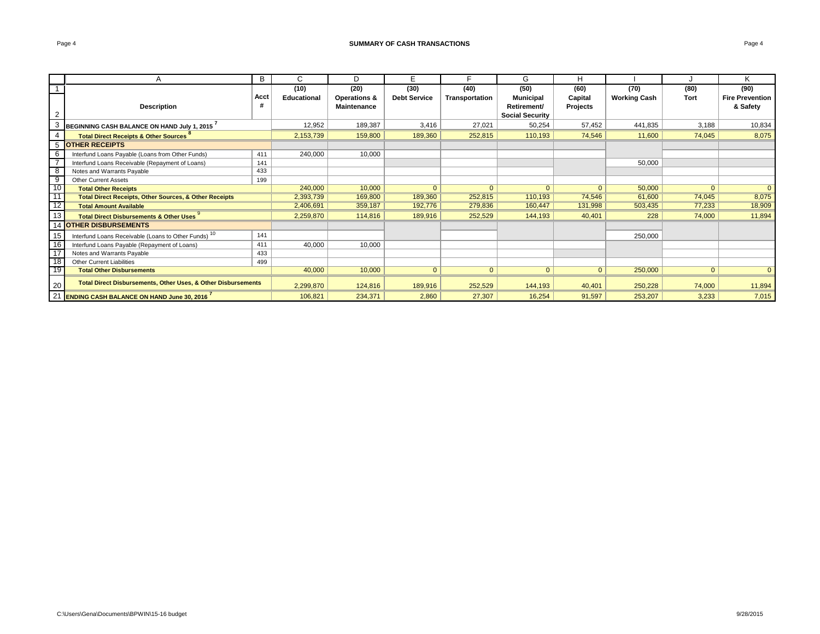|                 |                                                                   | B    |             | D.                 | Е                   |                | G                      | н            |                     |                | K                      |
|-----------------|-------------------------------------------------------------------|------|-------------|--------------------|---------------------|----------------|------------------------|--------------|---------------------|----------------|------------------------|
|                 |                                                                   |      | (10)        | (20)               | (30)                | (40)           | (50)                   | (60)         | (70)                | (80)           | (90)                   |
|                 |                                                                   | Acct | Educational | Operations &       | <b>Debt Service</b> | Transportation | <b>Municipal</b>       | Capital      | <b>Working Cash</b> | <b>Tort</b>    | <b>Fire Prevention</b> |
|                 | <b>Description</b>                                                | #    |             | <b>Maintenance</b> |                     |                | Retirement/            | Projects     |                     |                | & Safety               |
|                 |                                                                   |      |             |                    |                     |                | <b>Social Security</b> |              |                     |                |                        |
|                 | BEGINNING CASH BALANCE ON HAND July 1, 2015                       |      | 12,952      | 189,387            | 3,416               | 27,021         | 50,254                 | 57,452       | 441,835             | 3,188          | 10,834                 |
|                 | <b>Total Direct Receipts &amp; Other Sources</b>                  |      | 2,153,739   | 159,800            | 189,360             | 252.815        | 110,193                | 74.546       | 11,600              | 74,045         | 8,075                  |
| 5               | <b>OTHER RECEIPTS</b>                                             |      |             |                    |                     |                |                        |              |                     |                |                        |
| 6               | Interfund Loans Payable (Loans from Other Funds)                  | 411  | 240,000     | 10,000             |                     |                |                        |              |                     |                |                        |
|                 | Interfund Loans Receivable (Repayment of Loans)                   | 141  |             |                    |                     |                |                        |              | 50,000              |                |                        |
| 8               | Notes and Warrants Payable                                        | 433  |             |                    |                     |                |                        |              |                     |                |                        |
| 9               | <b>Other Current Assets</b>                                       | 199  |             |                    |                     |                |                        |              |                     |                |                        |
| $\overline{10}$ | <b>Total Other Receipts</b>                                       |      | 240,000     | 10,000             | $\Omega$            | $\mathbf{0}$   | $\Omega$               | $\Omega$     | 50,000              | $\overline{0}$ | $\Omega$               |
| $-11$           | <b>Total Direct Receipts, Other Sources, &amp; Other Receipts</b> |      | 2,393,739   | 169,800            | 189,360             | 252,815        | 110,193                | 74,546       | 61,600              | 74,045         | 8,075                  |
| ო 12            | <b>Total Amount Available</b>                                     |      | 2,406,691   | 359,187            | 192,776             | 279,836        | 160,447                | 131,998      | 503,435             | 77,233         | 18,909                 |
| 13              | <b>Total Direct Disbursements &amp; Other Uses</b>                |      | 2,259,870   | 114,816            | 189,916             | 252,529        | 144,193                | 40,401       | 228                 | 74,000         | 11,894                 |
|                 | <b>OTHER DISBURSEMENTS</b>                                        |      |             |                    |                     |                |                        |              |                     |                |                        |
| 15              | Interfund Loans Receivable (Loans to Other Funds) <sup>10</sup>   | 141  |             |                    |                     |                |                        |              | 250,000             |                |                        |
| 16              | Interfund Loans Payable (Repayment of Loans)                      | 411  | 40,000      | 10,000             |                     |                |                        |              |                     |                |                        |
| 17              | Notes and Warrants Payable                                        | 433  |             |                    |                     |                |                        |              |                     |                |                        |
| $\overline{18}$ | Other Current Liabilities                                         | 499  |             |                    |                     |                |                        |              |                     |                |                        |
| -19             | <b>Total Other Disbursements</b>                                  |      | 40,000      | 10,000             | $\overline{0}$      | $\overline{0}$ | $\mathbf{0}$           | $\mathbf{0}$ | 250,000             | $\overline{0}$ | $\Omega$               |
| 20              | Total Direct Disbursements, Other Uses, & Other Disbursements     |      | 2,299,870   | 124,816            | 189,916             | 252,529        | 144,193                | 40,401       | 250,228             | 74,000         | 11,894                 |
| 21              | <b>ENDING CASH BALANCE ON HAND June 30, 2016</b>                  |      | 106,821     | 234,371            | 2,860               | 27,307         | 16,254                 | 91,597       | 253,207             | 3,233          | 7,015                  |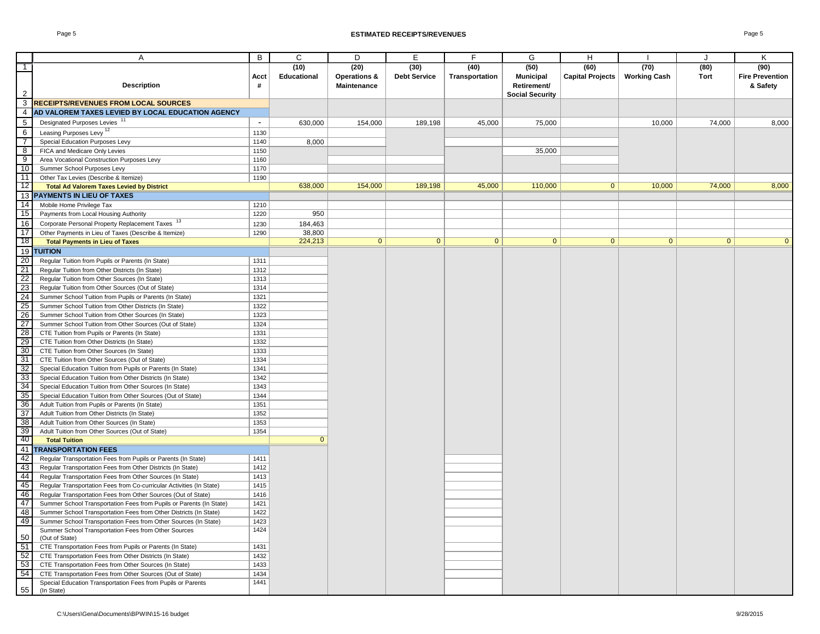#### Page 5 **ESTIMATED RECEIPTS/REVENUES** Page 5

|                 | Α                                                                          | B      | C            | D                       | Ε                   | F.             | G                      | H                       |                     | J            | K                      |
|-----------------|----------------------------------------------------------------------------|--------|--------------|-------------------------|---------------------|----------------|------------------------|-------------------------|---------------------|--------------|------------------------|
| $\top$          |                                                                            |        | (10)         | (20)                    | (30)                | (40)           | (50)                   | (60)                    | (70)                | (80)         | (90)                   |
|                 |                                                                            | Acct   | Educational  | <b>Operations &amp;</b> | <b>Debt Service</b> | Transportation | <b>Municipal</b>       | <b>Capital Projects</b> | <b>Working Cash</b> | Tort         | <b>Fire Prevention</b> |
|                 | <b>Description</b>                                                         | #      |              | Maintenance             |                     |                | Retirement/            |                         |                     |              | & Safety               |
| $\overline{2}$  |                                                                            |        |              |                         |                     |                | <b>Social Security</b> |                         |                     |              |                        |
| $\mathbf{3}$    | <b>RECEIPTS/REVENUES FROM LOCAL SOURCES</b>                                |        |              |                         |                     |                |                        |                         |                     |              |                        |
| $\overline{4}$  | AD VALOREM TAXES LEVIED BY LOCAL EDUCATION AGENCY                          |        |              |                         |                     |                |                        |                         |                     |              |                        |
| 5               | Designated Purposes Levies <sup>11</sup>                                   | $\sim$ | 630,000      | 154,000                 | 189,198             | 45,000         | 75,000                 |                         | 10,000              | 74,000       | 8,000                  |
| 6               | Leasing Purposes Levy <sup>12</sup>                                        | 1130   |              |                         |                     |                |                        |                         |                     |              |                        |
| $\overline{7}$  | Special Education Purposes Levy                                            | 1140   | 8,000        |                         |                     |                |                        |                         |                     |              |                        |
| 8               | FICA and Medicare Only Levies                                              | 1150   |              |                         |                     |                | 35,000                 |                         |                     |              |                        |
| 9               | Area Vocational Construction Purposes Levy                                 | 1160   |              |                         |                     |                |                        |                         |                     |              |                        |
| 10              | Summer School Purposes Levy                                                | 1170   |              |                         |                     |                |                        |                         |                     |              |                        |
| 11              | Other Tax Levies (Describe & Itemize)                                      | 1190   |              |                         |                     |                |                        |                         |                     |              |                        |
| 12              | <b>Total Ad Valorem Taxes Levied by District</b>                           |        | 638,000      | 154,000                 | 189,198             | 45,000         | 110,000                | 0                       | 10,000              | 74,000       | 8,000                  |
|                 | 13 PAYMENTS IN LIEU OF TAXES                                               |        |              |                         |                     |                |                        |                         |                     |              |                        |
| 14              | Mobile Home Privilege Tax                                                  | 1210   |              |                         |                     |                |                        |                         |                     |              |                        |
| 15              | Payments from Local Housing Authority                                      | 1220   | 950          |                         |                     |                |                        |                         |                     |              |                        |
| 16              | Corporate Personal Property Replacement Taxes 13                           | 1230   | 184,463      |                         |                     |                |                        |                         |                     |              |                        |
| 17              | Other Payments in Lieu of Taxes (Describe & Itemize)                       | 1290   | 38,800       |                         |                     |                |                        |                         |                     |              |                        |
| 18              | <b>Total Payments in Lieu of Taxes</b>                                     |        | 224,213      | $\mathbf{0}$            | $\overline{0}$      | $\mathbf{0}$   | 0                      | 0                       | 0 <sup>1</sup>      | $\mathbf{0}$ | $\Omega$               |
| 19              | <b>TUITION</b>                                                             |        |              |                         |                     |                |                        |                         |                     |              |                        |
| $\overline{20}$ | Regular Tuition from Pupils or Parents (In State)                          | 1311   |              |                         |                     |                |                        |                         |                     |              |                        |
| $\overline{21}$ | Regular Tuition from Other Districts (In State)                            | 1312   |              |                         |                     |                |                        |                         |                     |              |                        |
| $\overline{22}$ |                                                                            | 1313   |              |                         |                     |                |                        |                         |                     |              |                        |
|                 | Regular Tuition from Other Sources (In State)                              | 1314   |              |                         |                     |                |                        |                         |                     |              |                        |
| 23<br>24        | Regular Tuition from Other Sources (Out of State)                          | 1321   |              |                         |                     |                |                        |                         |                     |              |                        |
|                 | Summer School Tuition from Pupils or Parents (In State)                    |        |              |                         |                     |                |                        |                         |                     |              |                        |
| 25              | Summer School Tuition from Other Districts (In State)                      | 1322   |              |                         |                     |                |                        |                         |                     |              |                        |
| 26              | Summer School Tuition from Other Sources (In State)                        | 1323   |              |                         |                     |                |                        |                         |                     |              |                        |
| 27              | Summer School Tuition from Other Sources (Out of State)                    | 1324   |              |                         |                     |                |                        |                         |                     |              |                        |
| 28              | CTE Tuition from Pupils or Parents (In State)                              | 1331   |              |                         |                     |                |                        |                         |                     |              |                        |
| 29              | CTE Tuition from Other Districts (In State)                                | 1332   |              |                         |                     |                |                        |                         |                     |              |                        |
| 30              | CTE Tuition from Other Sources (In State)                                  | 1333   |              |                         |                     |                |                        |                         |                     |              |                        |
| 31              | CTE Tuition from Other Sources (Out of State)                              | 1334   |              |                         |                     |                |                        |                         |                     |              |                        |
| 32              | Special Education Tuition from Pupils or Parents (In State)                | 1341   |              |                         |                     |                |                        |                         |                     |              |                        |
| 33              | Special Education Tuition from Other Districts (In State)                  | 1342   |              |                         |                     |                |                        |                         |                     |              |                        |
| 34              | Special Education Tuition from Other Sources (In State)                    | 1343   |              |                         |                     |                |                        |                         |                     |              |                        |
| 35              | Special Education Tuition from Other Sources (Out of State)                | 1344   |              |                         |                     |                |                        |                         |                     |              |                        |
| 36              | Adult Tuition from Pupils or Parents (In State)                            | 1351   |              |                         |                     |                |                        |                         |                     |              |                        |
| 37              | Adult Tuition from Other Districts (In State)                              | 1352   |              |                         |                     |                |                        |                         |                     |              |                        |
| 38              | Adult Tuition from Other Sources (In State)                                | 1353   |              |                         |                     |                |                        |                         |                     |              |                        |
| 39              | Adult Tuition from Other Sources (Out of State)                            | 1354   |              |                         |                     |                |                        |                         |                     |              |                        |
| -40             | <b>Total Tuition</b>                                                       |        | $\mathbf{0}$ |                         |                     |                |                        |                         |                     |              |                        |
| 41              | <b>TRANSPORTATION FEES</b>                                                 |        |              |                         |                     |                |                        |                         |                     |              |                        |
| 42              | Regular Transportation Fees from Pupils or Parents (In State)              | 1411   |              |                         |                     |                |                        |                         |                     |              |                        |
| -43             | Regular Transportation Fees from Other Districts (In State)                | 1412   |              |                         |                     |                |                        |                         |                     |              |                        |
| 44              | Regular Transportation Fees from Other Sources (In State)                  | 1413   |              |                         |                     |                |                        |                         |                     |              |                        |
| 45              | Regular Transportation Fees from Co-curricular Activities (In State)       | 1415   |              |                         |                     |                |                        |                         |                     |              |                        |
| 46              | Regular Transportation Fees from Other Sources (Out of State)              | 1416   |              |                         |                     |                |                        |                         |                     |              |                        |
| 47              | Summer School Transportation Fees from Pupils or Parents (In State)        | 1421   |              |                         |                     |                |                        |                         |                     |              |                        |
| 48              | Summer School Transportation Fees from Other Districts (In State)          | 1422   |              |                         |                     |                |                        |                         |                     |              |                        |
| 49              | Summer School Transportation Fees from Other Sources (In State)            | 1423   |              |                         |                     |                |                        |                         |                     |              |                        |
|                 | Summer School Transportation Fees from Other Sources                       | 1424   |              |                         |                     |                |                        |                         |                     |              |                        |
| 50              | (Out of State)                                                             |        |              |                         |                     |                |                        |                         |                     |              |                        |
| 51              | CTE Transportation Fees from Pupils or Parents (In State)                  | 1431   |              |                         |                     |                |                        |                         |                     |              |                        |
| 52              | CTE Transportation Fees from Other Districts (In State)                    | 1432   |              |                         |                     |                |                        |                         |                     |              |                        |
| 53              | CTE Transportation Fees from Other Sources (In State)                      | 1433   |              |                         |                     |                |                        |                         |                     |              |                        |
| 54              | CTE Transportation Fees from Other Sources (Out of State)                  | 1434   |              |                         |                     |                |                        |                         |                     |              |                        |
| 55              | Special Education Transportation Fees from Pupils or Parents<br>(In State) | 1441   |              |                         |                     |                |                        |                         |                     |              |                        |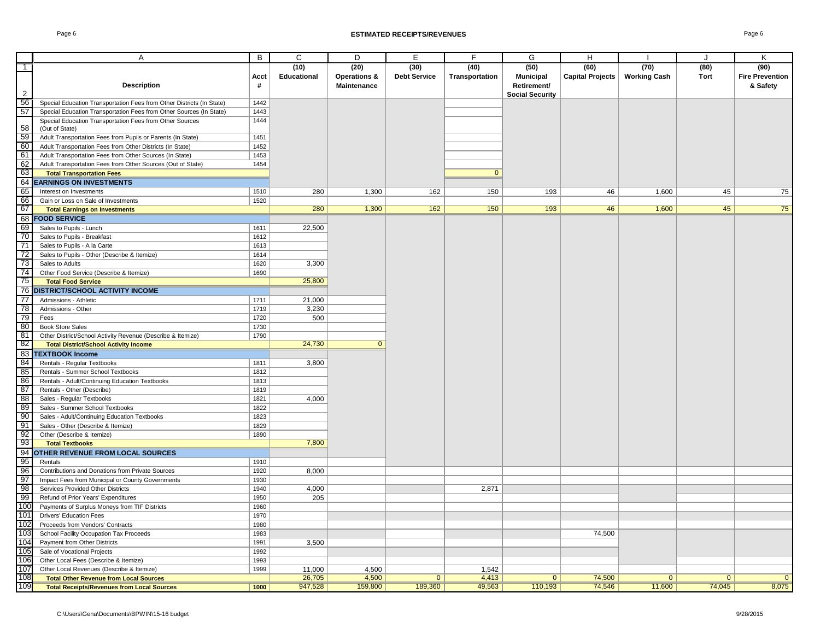|                 | Α                                                                                          | B            | C                          | D                                              | Е                           | F                      | G                                       | H                               |                             | J            | Κ                                          |
|-----------------|--------------------------------------------------------------------------------------------|--------------|----------------------------|------------------------------------------------|-----------------------------|------------------------|-----------------------------------------|---------------------------------|-----------------------------|--------------|--------------------------------------------|
| $-1$            | <b>Description</b>                                                                         | Acct<br>#    | (10)<br><b>Educational</b> | (20)<br><b>Operations &amp;</b><br>Maintenance | (30)<br><b>Debt Service</b> | (40)<br>Transportation | (50)<br><b>Municipal</b><br>Retirement/ | (60)<br><b>Capital Projects</b> | (70)<br><b>Working Cash</b> | (80)<br>Tort | (90)<br><b>Fire Prevention</b><br>& Safety |
| $\overline{2}$  |                                                                                            |              |                            |                                                |                             |                        | <b>Social Security</b>                  |                                 |                             |              |                                            |
| 56              | Special Education Transportation Fees from Other Districts (In State)                      | 1442         |                            |                                                |                             |                        |                                         |                                 |                             |              |                                            |
| 57              | Special Education Transportation Fees from Other Sources (In State)                        | 1443<br>1444 |                            |                                                |                             |                        |                                         |                                 |                             |              |                                            |
| 58              | Special Education Transportation Fees from Other Sources<br>(Out of State)                 |              |                            |                                                |                             |                        |                                         |                                 |                             |              |                                            |
| 59              | Adult Transportation Fees from Pupils or Parents (In State)                                | 1451         |                            |                                                |                             |                        |                                         |                                 |                             |              |                                            |
| 60              | Adult Transportation Fees from Other Districts (In State)                                  | 1452         |                            |                                                |                             |                        |                                         |                                 |                             |              |                                            |
| 61              | Adult Transportation Fees from Other Sources (In State)                                    | 1453         |                            |                                                |                             |                        |                                         |                                 |                             |              |                                            |
| 62              | Adult Transportation Fees from Other Sources (Out of State)                                | 1454         |                            |                                                |                             |                        |                                         |                                 |                             |              |                                            |
| 63              | <b>Total Transportation Fees</b>                                                           |              |                            |                                                |                             | $\overline{0}$         |                                         |                                 |                             |              |                                            |
|                 | <b>64 EARNINGS ON INVESTMENTS</b>                                                          |              |                            |                                                |                             |                        |                                         |                                 |                             |              |                                            |
| 65              | Interest on Investments                                                                    | 1510         | 280                        | 1,300                                          | 162                         | 150                    | 193                                     | 46                              | 1,600                       | 45           | 75                                         |
| 66              | Gain or Loss on Sale of Investments                                                        | 1520         |                            |                                                |                             |                        |                                         |                                 |                             |              |                                            |
| -67             | <b>Total Earnings on Investments</b>                                                       |              | 280                        | 1,300                                          | 162                         | 150                    | 193                                     | 46                              | 1,600                       | 45           | 75                                         |
|                 | 68 FOOD SERVICE                                                                            |              |                            |                                                |                             |                        |                                         |                                 |                             |              |                                            |
| 69              | Sales to Pupils - Lunch                                                                    | 1611         | 22,500                     |                                                |                             |                        |                                         |                                 |                             |              |                                            |
| 70              | Sales to Pupils - Breakfast                                                                | 1612         |                            |                                                |                             |                        |                                         |                                 |                             |              |                                            |
| 71              | Sales to Pupils - A la Carte                                                               | 1613         |                            |                                                |                             |                        |                                         |                                 |                             |              |                                            |
| 72              | Sales to Pupils - Other (Describe & Itemize)                                               | 1614         |                            |                                                |                             |                        |                                         |                                 |                             |              |                                            |
| 73              | Sales to Adults                                                                            | 1620         | 3,300                      |                                                |                             |                        |                                         |                                 |                             |              |                                            |
| 74              | Other Food Service (Describe & Itemize)                                                    | 1690         |                            |                                                |                             |                        |                                         |                                 |                             |              |                                            |
| -75             | <b>Total Food Service</b>                                                                  |              | 25,800                     |                                                |                             |                        |                                         |                                 |                             |              |                                            |
| 76              | <b>IDISTRICT/SCHOOL ACTIVITY INCOME</b>                                                    |              |                            |                                                |                             |                        |                                         |                                 |                             |              |                                            |
| $\overline{77}$ | Admissions - Athletic                                                                      | 1711         | 21,000                     |                                                |                             |                        |                                         |                                 |                             |              |                                            |
| 78              | Admissions - Other                                                                         | 1719         | 3,230                      |                                                |                             |                        |                                         |                                 |                             |              |                                            |
| 79              | Fees                                                                                       | 1720         | 500                        |                                                |                             |                        |                                         |                                 |                             |              |                                            |
| 80              | <b>Book Store Sales</b>                                                                    | 1730         |                            |                                                |                             |                        |                                         |                                 |                             |              |                                            |
| 81              | Other District/School Activity Revenue (Describe & Itemize)                                | 1790         |                            |                                                |                             |                        |                                         |                                 |                             |              |                                            |
| -82             | <b>Total District/School Activity Income</b>                                               |              | 24,730                     | $\overline{0}$                                 |                             |                        |                                         |                                 |                             |              |                                            |
|                 | 83 TEXTBOOK Income                                                                         |              |                            |                                                |                             |                        |                                         |                                 |                             |              |                                            |
| 84              | Rentals - Regular Textbooks                                                                | 1811         | 3,800                      |                                                |                             |                        |                                         |                                 |                             |              |                                            |
| 85              | Rentals - Summer School Textbooks                                                          | 1812         |                            |                                                |                             |                        |                                         |                                 |                             |              |                                            |
| 86<br>87        | Rentals - Adult/Continuing Education Textbooks<br>Rentals - Other (Describe)               | 1813<br>1819 |                            |                                                |                             |                        |                                         |                                 |                             |              |                                            |
| $\overline{88}$ | Sales - Regular Textbooks                                                                  | 1821         | 4,000                      |                                                |                             |                        |                                         |                                 |                             |              |                                            |
| 89              | Sales - Summer School Textbooks                                                            | 1822         |                            |                                                |                             |                        |                                         |                                 |                             |              |                                            |
| 90              | Sales - Adult/Continuing Education Textbooks                                               | 1823         |                            |                                                |                             |                        |                                         |                                 |                             |              |                                            |
| 91              | Sales - Other (Describe & Itemize)                                                         | 1829         |                            |                                                |                             |                        |                                         |                                 |                             |              |                                            |
| 92              | Other (Describe & Itemize)                                                                 | 1890         |                            |                                                |                             |                        |                                         |                                 |                             |              |                                            |
| -93             | <b>Total Textbooks</b>                                                                     |              | 7,800                      |                                                |                             |                        |                                         |                                 |                             |              |                                            |
|                 | 94 OTHER REVENUE FROM LOCAL SOURCES                                                        |              |                            |                                                |                             |                        |                                         |                                 |                             |              |                                            |
| 95              | Rentals                                                                                    | 1910         |                            |                                                |                             |                        |                                         |                                 |                             |              |                                            |
| 96              | Contributions and Donations from Private Sources                                           | 1920         | 8,000                      |                                                |                             |                        |                                         |                                 |                             |              |                                            |
| 97              | Impact Fees from Municipal or County Governments                                           | 1930         |                            |                                                |                             |                        |                                         |                                 |                             |              |                                            |
| 98              | Services Provided Other Districts                                                          | 1940         | 4,000                      |                                                |                             | 2,871                  |                                         |                                 |                             |              |                                            |
| 99              | Refund of Prior Years' Expenditures                                                        | 1950         | 205                        |                                                |                             |                        |                                         |                                 |                             |              |                                            |
| 100             | Payments of Surplus Moneys from TIF Districts                                              | 1960         |                            |                                                |                             |                        |                                         |                                 |                             |              |                                            |
| 101             | <b>Drivers' Education Fees</b>                                                             | 1970         |                            |                                                |                             |                        |                                         |                                 |                             |              |                                            |
| 102             | Proceeds from Vendors' Contracts                                                           | 1980         |                            |                                                |                             |                        |                                         |                                 |                             |              |                                            |
| 103             | School Facility Occupation Tax Proceeds                                                    | 1983         |                            |                                                |                             |                        |                                         | 74,500                          |                             |              |                                            |
| 104             | Payment from Other Districts                                                               | 1991         | 3,500                      |                                                |                             |                        |                                         |                                 |                             |              |                                            |
| 105             | Sale of Vocational Projects                                                                | 1992         |                            |                                                |                             |                        |                                         |                                 |                             |              |                                            |
| 106<br>107      | Other Local Fees (Describe & Itemize)                                                      | 1993         |                            |                                                |                             |                        |                                         |                                 |                             |              |                                            |
| 108             | Other Local Revenues (Describe & Itemize)<br><b>Total Other Revenue from Local Sources</b> | 1999         | 11,000<br>26,705           | 4,500<br>4,500                                 | $\mathbf{0}$                | 1,542<br>4,413         | $\Omega$                                | 74,500                          | $\Omega$                    | $\Omega$     | $\overline{0}$                             |
| 109             | <b>Total Receipts/Revenues from Local Sources</b>                                          | 1000         | 947,528                    | 159,800                                        | 189,360                     | 49,563                 | 110,193                                 | 74,546                          | 11,600                      | 74,045       | 8,075                                      |
|                 |                                                                                            |              |                            |                                                |                             |                        |                                         |                                 |                             |              |                                            |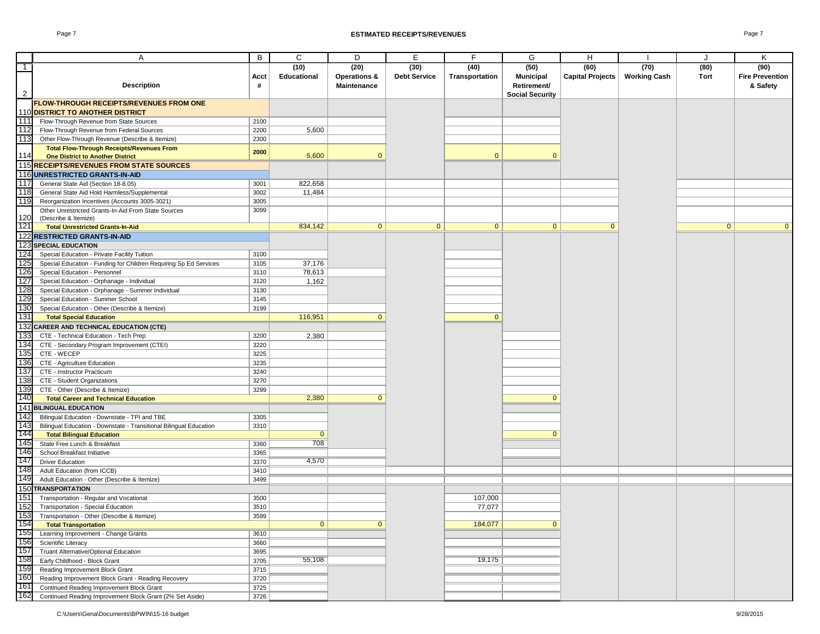|                | Α                                                                  | B    | C              | D                       | E                   | F.             | G                      | H                       |                     | $\cdot$      | Κ                      |
|----------------|--------------------------------------------------------------------|------|----------------|-------------------------|---------------------|----------------|------------------------|-------------------------|---------------------|--------------|------------------------|
| $\overline{1}$ |                                                                    |      | (10)           | (20)                    | (30)                | (40)           | (50)                   | (60)                    | (70)                | (80)         | (90)                   |
|                |                                                                    | Acct | Educational    | <b>Operations &amp;</b> | <b>Debt Service</b> | Transportation | <b>Municipal</b>       | <b>Capital Projects</b> | <b>Working Cash</b> | Tort         | <b>Fire Prevention</b> |
|                | <b>Description</b>                                                 | #    |                | <b>Maintenance</b>      |                     |                | Retirement/            |                         |                     |              | & Safety               |
| $\overline{2}$ |                                                                    |      |                |                         |                     |                | <b>Social Security</b> |                         |                     |              |                        |
|                | <b>FLOW-THROUGH RECEIPTS/REVENUES FROM ONE</b>                     |      |                |                         |                     |                |                        |                         |                     |              |                        |
|                |                                                                    |      |                |                         |                     |                |                        |                         |                     |              |                        |
|                | 110 DISTRICT TO ANOTHER DISTRICT                                   |      |                |                         |                     |                |                        |                         |                     |              |                        |
| 111            | Flow-Through Revenue from State Sources                            | 2100 |                |                         |                     |                |                        |                         |                     |              |                        |
| 112            | Flow-Through Revenue from Federal Sources                          | 2200 | 5,600          |                         |                     |                |                        |                         |                     |              |                        |
| 113            | Other Flow-Through Revenue (Describe & Itemize)                    | 2300 |                |                         |                     |                |                        |                         |                     |              |                        |
|                | <b>Total Flow-Through Receipts/Revenues From</b>                   | 2000 |                |                         |                     |                |                        |                         |                     |              |                        |
| 114            | <b>One District to Another District</b>                            |      | 5,600          | $\Omega$                |                     | $\mathbf{0}$   | $\Omega$               |                         |                     |              |                        |
|                | 115 RECEIPTS/REVENUES FROM STATE SOURCES                           |      |                |                         |                     |                |                        |                         |                     |              |                        |
|                | 116 UNRESTRICTED GRANTS-IN-AID                                     |      |                |                         |                     |                |                        |                         |                     |              |                        |
| 117            | General State Aid (Section 18-8.05)                                | 3001 | 822,658        |                         |                     |                |                        |                         |                     |              |                        |
| 118            | General State Aid Hold Harmless/Supplemental                       | 3002 | 11,484         |                         |                     |                |                        |                         |                     |              |                        |
| 119            | Reorganization Incentives (Accounts 3005-3021)                     | 3005 |                |                         |                     |                |                        |                         |                     |              |                        |
|                | Other Unrestricted Grants-In-Aid From State Sources                | 3099 |                |                         |                     |                |                        |                         |                     |              |                        |
| 120            | (Describe & Itemize)                                               |      |                |                         |                     |                |                        |                         |                     |              |                        |
| 121            | <b>Total Unrestricted Grants-In-Aid</b>                            |      | 834,142        | $\mathbf{0}$            | $\mathbf{0}$        | $\mathbf{0}$   | $\mathbf{0}$           | $\mathbf{0}$            |                     | $\mathbf{0}$ | $\mathbf{0}$           |
|                | 122 RESTRICTED GRANTS-IN-AID                                       |      |                |                         |                     |                |                        |                         |                     |              |                        |
|                | 123 SPECIAL EDUCATION                                              |      |                |                         |                     |                |                        |                         |                     |              |                        |
| 124            | Special Education - Private Facility Tuition                       | 3100 |                |                         |                     |                |                        |                         |                     |              |                        |
| 125            | Special Education - Funding for Children Requiring Sp Ed Services  | 3105 | 37,176         |                         |                     |                |                        |                         |                     |              |                        |
| 126            | Special Education - Personnel                                      | 3110 | 78,613         |                         |                     |                |                        |                         |                     |              |                        |
| 127            | Special Education - Orphanage - Individual                         | 3120 | 1,162          |                         |                     |                |                        |                         |                     |              |                        |
| 128            | Special Education - Orphanage - Summer Individual                  | 3130 |                |                         |                     |                |                        |                         |                     |              |                        |
| 129            | Special Education - Summer School                                  | 3145 |                |                         |                     |                |                        |                         |                     |              |                        |
| 130            | Special Education - Other (Describe & Itemize)                     | 3199 |                |                         |                     |                |                        |                         |                     |              |                        |
| 131            | <b>Total Special Education</b>                                     |      | 116,951        | $\mathbf{0}$            |                     | $\mathbf{0}$   |                        |                         |                     |              |                        |
|                |                                                                    |      |                |                         |                     |                |                        |                         |                     |              |                        |
|                | 132 CAREER AND TECHNICAL EDUCATION (CTE)                           |      |                |                         |                     |                |                        |                         |                     |              |                        |
| 133            | CTE - Technical Education - Tech Prep                              | 3200 | 2,380          |                         |                     |                |                        |                         |                     |              |                        |
| 134            | CTE - Secondary Program Improvement (CTEI)                         | 3220 |                |                         |                     |                |                        |                         |                     |              |                        |
| 135            | CTE - WECEP                                                        | 3225 |                |                         |                     |                |                        |                         |                     |              |                        |
| 136            | CTE - Agriculture Education                                        | 3235 |                |                         |                     |                |                        |                         |                     |              |                        |
| 137            | CTE - Instructor Practicum                                         | 3240 |                |                         |                     |                |                        |                         |                     |              |                        |
| 138            | CTE - Student Organizations                                        | 3270 |                |                         |                     |                |                        |                         |                     |              |                        |
| 139            | CTE - Other (Describe & Itemize)                                   | 3299 |                |                         |                     |                |                        |                         |                     |              |                        |
| 140            | <b>Total Career and Technical Education</b>                        |      | 2,380          | $\mathbf{0}$            |                     |                | $\Omega$               |                         |                     |              |                        |
| 141            | <b>BILINGUAL EDUCATION</b>                                         |      |                |                         |                     |                |                        |                         |                     |              |                        |
| 142            | Bilingual Education - Downstate - TPI and TBE                      | 3305 |                |                         |                     |                |                        |                         |                     |              |                        |
| 143            | Bilingual Education - Downstate - Transitional Bilingual Education | 3310 |                |                         |                     |                |                        |                         |                     |              |                        |
| 144            | <b>Total Bilingual Education</b>                                   |      | $\mathbf{0}$   |                         |                     |                | $\Omega$               |                         |                     |              |                        |
| 145            | State Free Lunch & Breakfast                                       | 3360 | 708            |                         |                     |                |                        |                         |                     |              |                        |
| 146            | School Breakfast Initiative                                        | 3365 |                |                         |                     |                |                        |                         |                     |              |                        |
| 147            | <b>Driver Education</b>                                            | 3370 | 4,570          |                         |                     |                |                        |                         |                     |              |                        |
| 148            | Adult Education (from ICCB)                                        | 3410 |                |                         |                     |                |                        |                         |                     |              |                        |
| 149            | Adult Education - Other (Describe & Itemize)                       | 3499 |                |                         |                     |                |                        |                         |                     |              |                        |
|                | 150 TRANSPORTATION                                                 |      |                |                         |                     |                |                        |                         |                     |              |                        |
| 151            | Transportation - Regular and Vocational                            | 3500 |                |                         |                     | 107,000        |                        |                         |                     |              |                        |
| 152            | Transportation - Special Education                                 | 3510 |                |                         |                     | 77,077         |                        |                         |                     |              |                        |
| 153            | Transportation - Other (Describe & Itemize)                        | 3599 |                |                         |                     |                |                        |                         |                     |              |                        |
| 154            | <b>Total Transportation</b>                                        |      | $\overline{0}$ | $\mathbf{0}$            |                     | 184,077        | $\mathbf{0}$           |                         |                     |              |                        |
| 155            | Learning Improvement - Change Grants                               | 3610 |                |                         |                     |                |                        |                         |                     |              |                        |
| 156            | Scientific Literacy                                                | 3660 |                |                         |                     |                |                        |                         |                     |              |                        |
| 157            | Truant Alternative/Optional Education                              | 3695 |                |                         |                     |                |                        |                         |                     |              |                        |
|                | Early Childhood - Block Grant                                      | 3705 | 55,108         |                         |                     | 19,175         |                        |                         |                     |              |                        |
| 158<br>159     | Reading Improvement Block Grant                                    | 3715 |                |                         |                     |                |                        |                         |                     |              |                        |
| 160            |                                                                    |      |                |                         |                     |                |                        |                         |                     |              |                        |
| 161            | Reading Improvement Block Grant - Reading Recovery                 | 3720 |                |                         |                     |                |                        |                         |                     |              |                        |
|                | Continued Reading Improvement Block Grant                          | 3725 |                |                         |                     |                |                        |                         |                     |              |                        |
| 162            | Continued Reading Improvement Block Grant (2% Set Aside)           | 3726 |                |                         |                     |                |                        |                         |                     |              |                        |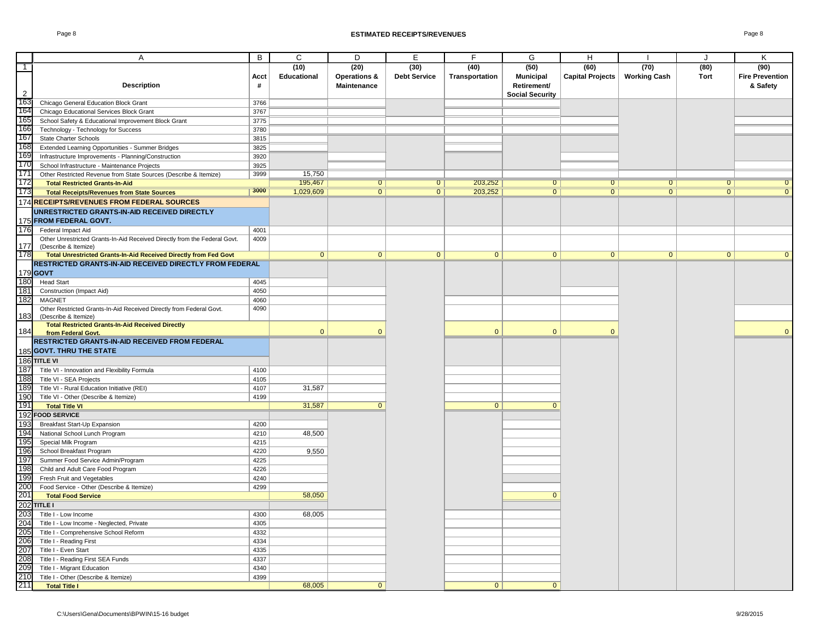|                | A                                                                                                                           | B    | C              | D                       | $\overline{E}$      | F              | G                      | H                       |                     | $\cdot$        | K                      |
|----------------|-----------------------------------------------------------------------------------------------------------------------------|------|----------------|-------------------------|---------------------|----------------|------------------------|-------------------------|---------------------|----------------|------------------------|
| $\top$         |                                                                                                                             |      | (10)           | (20)                    | (30)                | (40)           | (50)                   | (60)                    | (70)                | (80)           | (90)                   |
|                |                                                                                                                             | Acct | Educational    | <b>Operations &amp;</b> | <b>Debt Service</b> | Transportation | <b>Municipal</b>       | <b>Capital Projects</b> | <b>Working Cash</b> | Tort           | <b>Fire Prevention</b> |
|                | <b>Description</b>                                                                                                          | #    |                |                         |                     |                |                        |                         |                     |                |                        |
| $\overline{2}$ |                                                                                                                             |      |                | Maintenance             |                     |                | Retirement/            |                         |                     |                | & Safety               |
| 163            | Chicago General Education Block Grant                                                                                       | 3766 |                |                         |                     |                | <b>Social Security</b> |                         |                     |                |                        |
| 164            | Chicago Educational Services Block Grant                                                                                    | 3767 |                |                         |                     |                |                        |                         |                     |                |                        |
| 165            |                                                                                                                             | 3775 |                |                         |                     |                |                        |                         |                     |                |                        |
| 166            | School Safety & Educational Improvement Block Grant<br>Technology - Technology for Success                                  | 3780 |                |                         |                     |                |                        |                         |                     |                |                        |
| 167            | State Charter Schools                                                                                                       | 3815 |                |                         |                     |                |                        |                         |                     |                |                        |
| 168            |                                                                                                                             | 3825 |                |                         |                     |                |                        |                         |                     |                |                        |
| 169            | Extended Learning Opportunities - Summer Bridges                                                                            | 3920 |                |                         |                     |                |                        |                         |                     |                |                        |
| 170            | Infrastructure Improvements - Planning/Construction                                                                         | 3925 |                |                         |                     |                |                        |                         |                     |                |                        |
| 171            | School Infrastructure - Maintenance Projects                                                                                | 3999 | 15,750         |                         |                     |                |                        |                         |                     |                |                        |
| 172            | Other Restricted Revenue from State Sources (Describe & Itemize)                                                            |      | 195,467        | $\overline{0}$          | $\overline{0}$      | 203,252        | $\overline{0}$         | $\overline{0}$          | $\overline{0}$      | $\overline{0}$ | $\overline{0}$         |
| 173            | <b>Total Restricted Grants-In-Aid</b>                                                                                       | 3000 | 1,029,609      | $\overline{0}$          | $\overline{0}$      | 203,252        | $\overline{0}$         | $\overline{0}$          | $\overline{0}$      | $\overline{0}$ | $\overline{0}$         |
|                | <b>Total Receipts/Revenues from State Sources</b>                                                                           |      |                |                         |                     |                |                        |                         |                     |                |                        |
|                | 174 RECEIPTS/REVENUES FROM FEDERAL SOURCES                                                                                  |      |                |                         |                     |                |                        |                         |                     |                |                        |
|                | UNRESTRICTED GRANTS-IN-AID RECEIVED DIRECTLY                                                                                |      |                |                         |                     |                |                        |                         |                     |                |                        |
|                | 175 FROM FEDERAL GOVT.                                                                                                      |      |                |                         |                     |                |                        |                         |                     |                |                        |
| 176            | Federal Impact Aid                                                                                                          | 4001 |                |                         |                     |                |                        |                         |                     |                |                        |
|                | Other Unrestricted Grants-In-Aid Received Directly from the Federal Govt.                                                   | 4009 |                |                         |                     |                |                        |                         |                     |                |                        |
| 177<br>178     | (Describe & Itemize)                                                                                                        |      | $\overline{0}$ | $\overline{0}$          | $\overline{0}$      | $\overline{0}$ | $\overline{0}$         | $\overline{0}$          | 0                   | $\overline{0}$ | $\mathbf{0}$           |
|                | Total Unrestricted Grants-In-Aid Received Directly from Fed Govt<br>RESTRICTED GRANTS-IN-AID RECEIVED DIRECTLY FROM FEDERAL |      |                |                         |                     |                |                        |                         |                     |                |                        |
|                | $179$ GOVT                                                                                                                  |      |                |                         |                     |                |                        |                         |                     |                |                        |
| 180            |                                                                                                                             | 4045 |                |                         |                     |                |                        |                         |                     |                |                        |
| 181            | <b>Head Start</b>                                                                                                           | 4050 |                |                         |                     |                |                        |                         |                     |                |                        |
| 182            | Construction (Impact Aid)<br><b>MAGNET</b>                                                                                  | 4060 |                |                         |                     |                |                        |                         |                     |                |                        |
|                | Other Restricted Grants-In-Aid Received Directly from Federal Govt.                                                         | 4090 |                |                         |                     |                |                        |                         |                     |                |                        |
| 183            | (Describe & Itemize)                                                                                                        |      |                |                         |                     |                |                        |                         |                     |                |                        |
|                | <b>Total Restricted Grants-In-Aid Received Directly</b>                                                                     |      |                |                         |                     |                |                        |                         |                     |                |                        |
| 184            | from Federal Govt.                                                                                                          |      | $\mathbf{0}$   | $\Omega$                |                     | $\mathbf{0}$   | $\mathbf{0}$           | $\Omega$                |                     |                | $\Omega$               |
|                | RESTRICTED GRANTS-IN-AID RECEIVED FROM FEDERAL                                                                              |      |                |                         |                     |                |                        |                         |                     |                |                        |
|                | 185 GOVT. THRU THE STATE                                                                                                    |      |                |                         |                     |                |                        |                         |                     |                |                        |
|                | 186 TITLE VI                                                                                                                |      |                |                         |                     |                |                        |                         |                     |                |                        |
| 187            | Title VI - Innovation and Flexibility Formula                                                                               | 4100 |                |                         |                     |                |                        |                         |                     |                |                        |
| 188            | Title VI - SEA Projects                                                                                                     | 4105 |                |                         |                     |                |                        |                         |                     |                |                        |
| 189            | Title VI - Rural Education Initiative (REI)                                                                                 | 4107 | 31,587         |                         |                     |                |                        |                         |                     |                |                        |
| 190            | Title VI - Other (Describe & Itemize)                                                                                       | 4199 |                |                         |                     |                |                        |                         |                     |                |                        |
| 191            | <b>Total Title VI</b>                                                                                                       |      | 31,587         | $\mathbf{0}$            |                     | $\overline{0}$ | $\Omega$               |                         |                     |                |                        |
|                | 192 FOOD SERVICE                                                                                                            |      |                |                         |                     |                |                        |                         |                     |                |                        |
| 193            | Breakfast Start-Up Expansion                                                                                                | 4200 |                |                         |                     |                |                        |                         |                     |                |                        |
| 194            | National School Lunch Program                                                                                               | 4210 | 48,500         |                         |                     |                |                        |                         |                     |                |                        |
| 195            | Special Milk Program                                                                                                        | 4215 |                |                         |                     |                |                        |                         |                     |                |                        |
| 196            | School Breakfast Program                                                                                                    | 4220 | 9,550          |                         |                     |                |                        |                         |                     |                |                        |
| 197            | Summer Food Service Admin/Program                                                                                           | 4225 |                |                         |                     |                |                        |                         |                     |                |                        |
| 198            | Child and Adult Care Food Program                                                                                           | 4226 |                |                         |                     |                |                        |                         |                     |                |                        |
| 199            | Fresh Fruit and Vegetables                                                                                                  | 4240 |                |                         |                     |                |                        |                         |                     |                |                        |
| 200            | Food Service - Other (Describe & Itemize)                                                                                   | 4299 |                |                         |                     |                |                        |                         |                     |                |                        |
| 201            | <b>Total Food Service</b>                                                                                                   |      | 58,050         |                         |                     |                | $\Omega$               |                         |                     |                |                        |
|                | $202$ TITLE I                                                                                                               |      |                |                         |                     |                |                        |                         |                     |                |                        |
| 203            | Title I - Low Income                                                                                                        | 4300 | 68,005         |                         |                     |                |                        |                         |                     |                |                        |
| 204            | Title I - Low Income - Neglected, Private                                                                                   | 4305 |                |                         |                     |                |                        |                         |                     |                |                        |
| 205            | Title I - Comprehensive School Reform                                                                                       | 4332 |                |                         |                     |                |                        |                         |                     |                |                        |
| 206            | Title I - Reading First                                                                                                     | 4334 |                |                         |                     |                |                        |                         |                     |                |                        |
| 207            | Title I - Even Start                                                                                                        | 4335 |                |                         |                     |                |                        |                         |                     |                |                        |
| 208            | Title I - Reading First SEA Funds                                                                                           | 4337 |                |                         |                     |                |                        |                         |                     |                |                        |
| 209            | Title I - Migrant Education                                                                                                 | 4340 |                |                         |                     |                |                        |                         |                     |                |                        |
| 210            | Title I - Other (Describe & Itemize)                                                                                        | 4399 |                |                         |                     |                |                        |                         |                     |                |                        |
| 211            | <b>Total Title I</b>                                                                                                        |      | 68.005         | $\overline{0}$          |                     | $\overline{0}$ | $\overline{0}$         |                         |                     |                |                        |
|                |                                                                                                                             |      |                |                         |                     |                |                        |                         |                     |                |                        |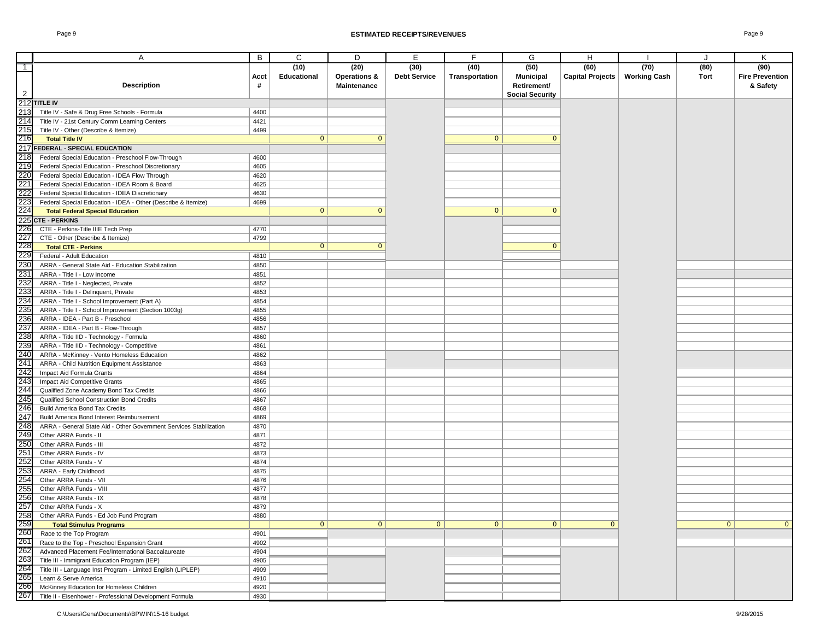|                                        | Α                                                                  | B    | C              | D                       | Е                   | F              | G                      | н                |                     | J            | Κ                      |
|----------------------------------------|--------------------------------------------------------------------|------|----------------|-------------------------|---------------------|----------------|------------------------|------------------|---------------------|--------------|------------------------|
| $\top$                                 |                                                                    |      | (10)           | (20)                    | (30)                | (40)           | (50)                   | (60)             | (70)                | (80)         | (90)                   |
|                                        |                                                                    | Acct | Educational    | <b>Operations &amp;</b> | <b>Debt Service</b> | Transportation | <b>Municipal</b>       | Capital Projects | <b>Working Cash</b> | Tort         | <b>Fire Prevention</b> |
|                                        | <b>Description</b>                                                 | #    |                | <b>Maintenance</b>      |                     |                | Retirement/            |                  |                     |              | & Safety               |
| $\overline{2}$                         |                                                                    |      |                |                         |                     |                | <b>Social Security</b> |                  |                     |              |                        |
|                                        | 212 TITLE IV                                                       |      |                |                         |                     |                |                        |                  |                     |              |                        |
| 213                                    | Title IV - Safe & Drug Free Schools - Formula                      | 4400 |                |                         |                     |                |                        |                  |                     |              |                        |
| 214                                    | Title IV - 21st Century Comm Learning Centers                      | 4421 |                |                         |                     |                |                        |                  |                     |              |                        |
| 215                                    | Title IV - Other (Describe & Itemize)                              | 4499 |                |                         |                     |                |                        |                  |                     |              |                        |
| 216                                    | <b>Total Title IV</b>                                              |      | $\mathbf{0}$   | $\Omega$                |                     | $\mathbf{0}$   | $\Omega$               |                  |                     |              |                        |
|                                        | 217 FEDERAL - SPECIAL EDUCATION                                    |      |                |                         |                     |                |                        |                  |                     |              |                        |
| 218                                    | Federal Special Education - Preschool Flow-Through                 | 4600 |                |                         |                     |                |                        |                  |                     |              |                        |
| 219                                    | Federal Special Education - Preschool Discretionary                | 4605 |                |                         |                     |                |                        |                  |                     |              |                        |
| 220                                    | Federal Special Education - IDEA Flow Through                      | 4620 |                |                         |                     |                |                        |                  |                     |              |                        |
| 221                                    | Federal Special Education - IDEA Room & Board                      | 4625 |                |                         |                     |                |                        |                  |                     |              |                        |
| 222                                    | Federal Special Education - IDEA Discretionary                     | 4630 |                |                         |                     |                |                        |                  |                     |              |                        |
| 223                                    | Federal Special Education - IDEA - Other (Describe & Itemize)      | 4699 |                |                         |                     |                |                        |                  |                     |              |                        |
| 224                                    | <b>Total Federal Special Education</b>                             |      | $\mathbf{0}$   | $\mathbf{0}$            |                     | $\mathbf{0}$   | $\mathbf{0}$           |                  |                     |              |                        |
|                                        | 225 CTE - PERKINS                                                  |      |                |                         |                     |                |                        |                  |                     |              |                        |
| 226                                    | CTE - Perkins-Title IIIE Tech Prep                                 | 4770 |                |                         |                     |                |                        |                  |                     |              |                        |
| 227                                    | CTE - Other (Describe & Itemize)                                   | 4799 |                |                         |                     |                |                        |                  |                     |              |                        |
| 228                                    | <b>Total CTE - Perkins</b>                                         |      | $\mathbf{0}$   | $\Omega$                |                     |                | $\Omega$               |                  |                     |              |                        |
| 229                                    | Federal - Adult Education                                          | 4810 |                |                         |                     |                |                        |                  |                     |              |                        |
| 230                                    | ARRA - General State Aid - Education Stabilization                 | 4850 |                |                         |                     |                |                        |                  |                     |              |                        |
| 231                                    | ARRA - Title I - Low Income                                        | 4851 |                |                         |                     |                |                        |                  |                     |              |                        |
| 232                                    | ARRA - Title I - Neglected, Private                                | 4852 |                |                         |                     |                |                        |                  |                     |              |                        |
| 233                                    | ARRA - Title I - Delinquent, Private                               | 4853 |                |                         |                     |                |                        |                  |                     |              |                        |
| 234                                    | ARRA - Title I - School Improvement (Part A)                       | 4854 |                |                         |                     |                |                        |                  |                     |              |                        |
| 235                                    | ARRA - Title I - School Improvement (Section 1003g)                | 4855 |                |                         |                     |                |                        |                  |                     |              |                        |
| 236                                    | ARRA - IDEA - Part B - Preschool                                   | 4856 |                |                         |                     |                |                        |                  |                     |              |                        |
| 237                                    | ARRA - IDEA - Part B - Flow-Through                                | 4857 |                |                         |                     |                |                        |                  |                     |              |                        |
| 238                                    | ARRA - Title IID - Technology - Formula                            | 4860 |                |                         |                     |                |                        |                  |                     |              |                        |
| 239                                    | ARRA - Title IID - Technology - Competitive                        | 4861 |                |                         |                     |                |                        |                  |                     |              |                        |
| 240                                    | ARRA - McKinney - Vento Homeless Education                         | 4862 |                |                         |                     |                |                        |                  |                     |              |                        |
| 241                                    | ARRA - Child Nutrition Equipment Assistance                        | 4863 |                |                         |                     |                |                        |                  |                     |              |                        |
| 242                                    | Impact Aid Formula Grants                                          | 4864 |                |                         |                     |                |                        |                  |                     |              |                        |
| 243                                    | Impact Aid Competitive Grants                                      | 4865 |                |                         |                     |                |                        |                  |                     |              |                        |
| 244                                    | Qualified Zone Academy Bond Tax Credits                            | 4866 |                |                         |                     |                |                        |                  |                     |              |                        |
| 245                                    | Qualified School Construction Bond Credits                         | 4867 |                |                         |                     |                |                        |                  |                     |              |                        |
| 246                                    | <b>Build America Bond Tax Credits</b>                              | 4868 |                |                         |                     |                |                        |                  |                     |              |                        |
| 247                                    | Build America Bond Interest Reimbursement                          | 4869 |                |                         |                     |                |                        |                  |                     |              |                        |
| 248                                    | ARRA - General State Aid - Other Government Services Stabilization | 4870 |                |                         |                     |                |                        |                  |                     |              |                        |
| 249                                    | Other ARRA Funds - II                                              | 4871 |                |                         |                     |                |                        |                  |                     |              |                        |
| 250                                    | Other ARRA Funds - III                                             | 4872 |                |                         |                     |                |                        |                  |                     |              |                        |
| 251                                    | Other ARRA Funds - IV                                              | 4873 |                |                         |                     |                |                        |                  |                     |              |                        |
| 252                                    | Other ARRA Funds - V                                               | 4874 |                |                         |                     |                |                        |                  |                     |              |                        |
| 253                                    | ARRA - Early Childhood                                             | 4875 |                |                         |                     |                |                        |                  |                     |              |                        |
| 254                                    | Other ARRA Funds - VII                                             | 4876 |                |                         |                     |                |                        |                  |                     |              |                        |
| 255                                    | Other ARRA Funds - VIII                                            | 4877 |                |                         |                     |                |                        |                  |                     |              |                        |
| 256                                    | Other ARRA Funds - IX                                              | 4878 |                |                         |                     |                |                        |                  |                     |              |                        |
| 257                                    | Other ARRA Funds - X                                               | 4879 |                |                         |                     |                |                        |                  |                     |              |                        |
| 258                                    | Other ARRA Funds - Ed Job Fund Program                             | 4880 |                |                         |                     |                |                        |                  |                     |              |                        |
| 259                                    | <b>Total Stimulus Programs</b>                                     |      | $\overline{0}$ | $\mathbf{0}$            | $\overline{0}$      | $\mathbf{0}$   | $\mathbf{0}$           | $\mathbf{0}$     |                     | $\mathbf{0}$ | $\mathbf 0$            |
| 260                                    | Race to the Top Program                                            | 4901 |                |                         |                     |                |                        |                  |                     |              |                        |
| 261<br>262<br>263<br>264<br>265<br>266 | Race to the Top - Preschool Expansion Grant                        | 4902 |                |                         |                     |                |                        |                  |                     |              |                        |
|                                        | Advanced Placement Fee/International Baccalaureate                 | 4904 |                |                         |                     |                |                        |                  |                     |              |                        |
|                                        | Title III - Immigrant Education Program (IEP)                      | 4905 |                |                         |                     |                |                        |                  |                     |              |                        |
|                                        | Title III - Language Inst Program - Limited English (LIPLEP)       | 4909 |                |                         |                     |                |                        |                  |                     |              |                        |
|                                        | Learn & Serve America                                              | 4910 |                |                         |                     |                |                        |                  |                     |              |                        |
|                                        | McKinney Education for Homeless Children                           | 4920 |                |                         |                     |                |                        |                  |                     |              |                        |
| 267                                    | Title II - Eisenhower - Professional Development Formula           | 4930 |                |                         |                     |                |                        |                  |                     |              |                        |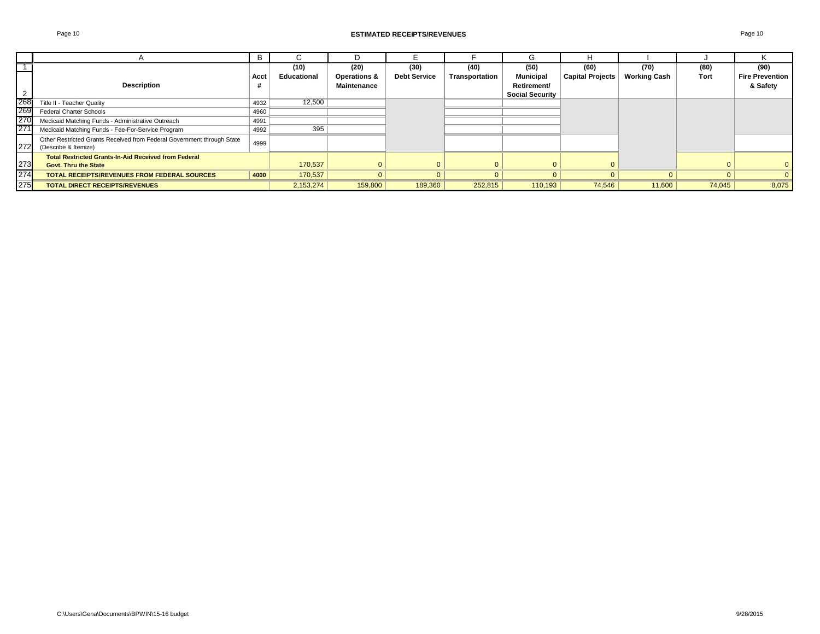|     |                                                                        | B    |             |                    | F                   |                | G                      |                         |                     |        |                        |
|-----|------------------------------------------------------------------------|------|-------------|--------------------|---------------------|----------------|------------------------|-------------------------|---------------------|--------|------------------------|
|     |                                                                        |      | (10)        | (20)               | (30)                | (40)           | (50)                   | (60)                    | (70)                | (80)   | (90)                   |
|     |                                                                        | Acct | Educational | Operations &       | <b>Debt Service</b> | Transportation | <b>Municipal</b>       | <b>Capital Projects</b> | <b>Working Cash</b> | Tort   | <b>Fire Prevention</b> |
|     | <b>Description</b>                                                     |      |             | <b>Maintenance</b> |                     |                | Retirement/            |                         |                     |        | & Safety               |
|     |                                                                        |      |             |                    |                     |                | <b>Social Security</b> |                         |                     |        |                        |
| 268 | Title II - Teacher Quality                                             | 4932 | 12,500      |                    |                     |                |                        |                         |                     |        |                        |
| 269 | Federal Charter Schools                                                | 4960 |             |                    |                     |                |                        |                         |                     |        |                        |
| 270 | Medicaid Matching Funds - Administrative Outreach                      | 4991 |             |                    |                     |                |                        |                         |                     |        |                        |
| 271 | Medicaid Matching Funds - Fee-For-Service Program                      | 4992 | 395         |                    |                     |                |                        |                         |                     |        |                        |
|     | Other Restricted Grants Received from Federal Government through State | 4999 |             |                    |                     |                |                        |                         |                     |        |                        |
|     | 272 (Describe & Itemize)                                               |      |             |                    |                     |                |                        |                         |                     |        |                        |
|     | <b>Total Restricted Grants-In-Aid Received from Federal</b>            |      |             |                    |                     |                |                        |                         |                     |        |                        |
| 273 | <b>Govt. Thru the State</b>                                            |      | 170.537     |                    |                     | 0              |                        |                         |                     |        | $\Omega$               |
| 274 | <b>TOTAL RECEIPTS/REVENUES FROM FEDERAL SOURCES</b>                    | 4000 | 170,537     |                    |                     | $\Omega$       |                        |                         |                     |        | $\mathbf{0}$           |
| 275 | <b>TOTAL DIRECT RECEIPTS/REVENUES</b>                                  |      | 2,153,274   | 159,800            | 189,360             | 252,815        | 110,193                | 74,546                  | 11,600              | 74,045 | 8,075                  |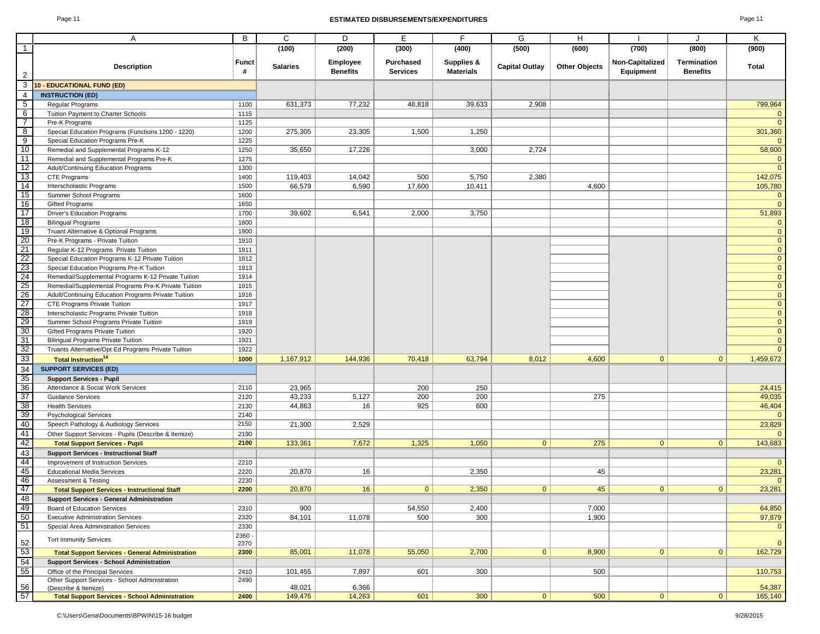#### Page 11 **ESTIMATED DISBURSEMENTS/EXPENDITURES** Page 11

|                                                                                                       | Α                                                                         | B                 | C               | D                           | Е                            | F                              | G                     | H                    |                              | J                              | Κ                            |
|-------------------------------------------------------------------------------------------------------|---------------------------------------------------------------------------|-------------------|-----------------|-----------------------------|------------------------------|--------------------------------|-----------------------|----------------------|------------------------------|--------------------------------|------------------------------|
| $\overline{1}$                                                                                        |                                                                           |                   | (100)           | (200)                       | (300)                        | (400)                          | (500)                 | (600)                | (700)                        | (800)                          | (900)                        |
|                                                                                                       |                                                                           |                   |                 |                             |                              |                                |                       |                      |                              |                                |                              |
| $\overline{2}$                                                                                        | <b>Description</b>                                                        | <b>Funct</b><br># | <b>Salaries</b> | Employee<br><b>Benefits</b> | Purchased<br><b>Services</b> | Supplies &<br><b>Materials</b> | <b>Capital Outlay</b> | <b>Other Objects</b> | Non-Capitalized<br>Equipment | Termination<br><b>Benefits</b> | <b>Total</b>                 |
| 3                                                                                                     | <b>10 - EDUCATIONAL FUND (ED)</b>                                         |                   |                 |                             |                              |                                |                       |                      |                              |                                |                              |
| $\overline{4}$                                                                                        | <b>INSTRUCTION (ED)</b>                                                   |                   |                 |                             |                              |                                |                       |                      |                              |                                |                              |
| $5\overline{}$                                                                                        | Regular Programs                                                          | 1100              | 631,373         | 77,232                      | 48,818                       | 39,633                         | 2,908                 |                      |                              |                                | 799,964                      |
| $6\overline{6}$                                                                                       | Tuition Payment to Charter Schools                                        | 1115              |                 |                             |                              |                                |                       |                      |                              |                                | $\mathbf{0}$                 |
| $\overline{7}$                                                                                        | Pre-K Programs                                                            | 1125              |                 |                             |                              |                                |                       |                      |                              |                                | $\mathbf{0}$                 |
| $\frac{8}{ }$                                                                                         | Special Education Programs (Functions 1200 - 1220)                        | 1200              | 275,305         | 23,305                      | 1,500                        | 1,250                          |                       |                      |                              |                                | 301,360                      |
| $\overline{9}$                                                                                        | Special Education Programs Pre-K                                          | 1225              |                 |                             |                              |                                |                       |                      |                              |                                | $\Omega$                     |
| 10                                                                                                    | Remedial and Supplemental Programs K-12                                   | 1250              | 35,650          | 17,226                      |                              | 3,000                          | 2,724                 |                      |                              |                                | 58,600                       |
| 11                                                                                                    | Remedial and Supplemental Programs Pre-K                                  | 1275              |                 |                             |                              |                                |                       |                      |                              |                                | $\mathbf{0}$                 |
|                                                                                                       | Adult/Continuing Education Programs                                       | 1300              |                 |                             |                              |                                |                       |                      |                              |                                | $\mathbf{0}$                 |
| $\begin{array}{r} \n \overline{12} \\  \overline{13} \\  \overline{14}\n \end{array}$                 | CTE Programs                                                              | 1400              | 119,403         | 14,042                      | 500                          | 5,750                          | 2,380                 |                      |                              |                                | 142,075                      |
|                                                                                                       | Interscholastic Programs                                                  | 1500              | 66,579          | 6,590                       | 17,600                       | 10,411                         |                       | 4,600                |                              |                                | 105,780                      |
| 15                                                                                                    | Summer School Programs                                                    | 1600              |                 |                             |                              |                                |                       |                      |                              |                                | $\mathbf{0}$                 |
| 16                                                                                                    | <b>Gifted Programs</b>                                                    | 1650              |                 |                             |                              |                                |                       |                      |                              |                                | $\mathbf{0}$                 |
| 17                                                                                                    | <b>Driver's Education Programs</b>                                        | 1700              | 39,602          | 6,541                       | 2,000                        | 3,750                          |                       |                      |                              |                                | 51,893                       |
|                                                                                                       | <b>Bilingual Programs</b>                                                 | 1800              |                 |                             |                              |                                |                       |                      |                              |                                | $\mathbf{0}$                 |
| $\frac{18}{19}$<br>$\frac{19}{20}$                                                                    | Truant Alternative & Optional Programs                                    | 1900              |                 |                             |                              |                                |                       |                      |                              |                                | $\mathbf{0}$                 |
|                                                                                                       |                                                                           |                   |                 |                             |                              |                                |                       |                      |                              |                                | $\mathbf{0}$                 |
|                                                                                                       | Pre-K Programs - Private Tuition<br>Regular K-12 Programs Private Tuition | 1910<br>1911      |                 |                             |                              |                                |                       |                      |                              |                                | $\mathbf{0}$                 |
|                                                                                                       |                                                                           | 1912              |                 |                             |                              |                                |                       |                      |                              |                                | $\mathbf{0}$                 |
|                                                                                                       | Special Education Programs K-12 Private Tuition                           |                   |                 |                             |                              |                                |                       |                      |                              |                                |                              |
|                                                                                                       | Special Education Programs Pre-K Tuition                                  | 1913              |                 |                             |                              |                                |                       |                      |                              |                                | $\mathbf{0}$<br>$\mathbf{0}$ |
|                                                                                                       | Remedial/Supplemental Programs K-12 Private Tuition                       | 1914              |                 |                             |                              |                                |                       |                      |                              |                                |                              |
| $\begin{array}{r}\n 22 \\  \hline\n 23 \\  \hline\n 24 \\  \hline\n 25 \\  \hline\n 27\n \end{array}$ | Remedial/Supplemental Programs Pre-K Private Tuition                      | 1915              |                 |                             |                              |                                |                       |                      |                              |                                | $\mathbf{0}$                 |
|                                                                                                       | Adult/Continuing Education Programs Private Tuition                       | 1916              |                 |                             |                              |                                |                       |                      |                              |                                | $\mathbf{0}$                 |
|                                                                                                       | CTE Programs Private Tuition                                              | 1917              |                 |                             |                              |                                |                       |                      |                              |                                | $\overline{0}$               |
| $rac{28}{30}$                                                                                         | Interscholastic Programs Private Tuition                                  | 1918              |                 |                             |                              |                                |                       |                      |                              |                                | $\overline{0}$               |
|                                                                                                       | Summer School Programs Private Tuition                                    | 1919              |                 |                             |                              |                                |                       |                      |                              |                                | $\mathbf{0}$                 |
| 31                                                                                                    | Gifted Programs Private Tuition                                           | 1920              |                 |                             |                              |                                |                       |                      |                              |                                | $\mathbf{0}$                 |
|                                                                                                       | <b>Bilingual Programs Private Tuition</b>                                 | 1921              |                 |                             |                              |                                |                       |                      |                              |                                | $\mathbf{0}$<br>$\Omega$     |
| 32                                                                                                    | Truants Alternative/Opt Ed Programs Private Tuition                       | 1922              |                 |                             |                              |                                |                       |                      |                              |                                |                              |
| 33                                                                                                    | <b>Total Instruction<sup>14</sup></b>                                     | 1000              | 1,167,912       | 144,936                     | 70,418                       | 63,794                         | 8,012                 | 4,600                | $\mathbf{0}$                 | $\mathbf{0}$                   | 1,459,672                    |
| 34                                                                                                    | <b>SUPPORT SERVICES (ED)</b>                                              |                   |                 |                             |                              |                                |                       |                      |                              |                                |                              |
| $\frac{35}{36}$                                                                                       | <b>Support Services - Pupil</b>                                           |                   |                 |                             |                              |                                |                       |                      |                              |                                |                              |
|                                                                                                       | Attendance & Social Work Services                                         | 2110              | 23,965          |                             | 200                          | 250                            |                       |                      |                              |                                | 24,415                       |
| $\overline{37}$                                                                                       | <b>Guidance Services</b>                                                  | 2120              | 43,233          | 5,127                       | 200                          | 200                            |                       | 275                  |                              |                                | 49,035                       |
| 38                                                                                                    | <b>Health Services</b>                                                    | 2130              | 44,863          | 16                          | 925                          | 600                            |                       |                      |                              |                                | 46,404                       |
| 39                                                                                                    | <b>Psychological Services</b>                                             | 2140              |                 |                             |                              |                                |                       |                      |                              |                                | $\mathbf{0}$                 |
| 40                                                                                                    | Speech Pathology & Audiology Services                                     | 2150              | 21,300          | 2,529                       |                              |                                |                       |                      |                              |                                | 23,829                       |
| 41                                                                                                    | Other Support Services - Pupils (Describe & Itemize)                      | 2190              |                 |                             |                              |                                |                       |                      |                              |                                | $\mathbf{0}$                 |
| 42                                                                                                    | <b>Total Support Services - Pupil</b>                                     | 2100              | 133,361         | 7,672                       | 1,325                        | 1,050                          | $\mathbf{0}$          | 275                  | $\mathbf{0}$                 | $\mathbf{0}$                   | 143,683                      |
| $\frac{43}{44}$                                                                                       | <b>Support Services - Instructional Staff</b>                             |                   |                 |                             |                              |                                |                       |                      |                              |                                |                              |
|                                                                                                       | Improvement of Instruction Services                                       | 2210              |                 |                             |                              |                                |                       |                      |                              |                                | $\mathbf{0}$                 |
| 45                                                                                                    | <b>Educational Media Services</b>                                         | 2220              | 20,870          | 16                          |                              | 2,350                          |                       | 45                   |                              |                                | 23,281                       |
| 46                                                                                                    | <b>Assessment &amp; Testing</b>                                           | 2230              |                 |                             |                              |                                |                       |                      |                              |                                | $\mathbf{0}$                 |
| 47                                                                                                    | <b>Total Support Services - Instructional Staff</b>                       | 2200              | 20,870          | 16                          | 0                            | 2,350                          | $\mathbf{0}$          | 45                   | 0 <sup>1</sup>               | $\mathbf{0}$                   | 23,281                       |
| 48                                                                                                    | <b>Support Services - General Administration</b>                          |                   |                 |                             |                              |                                |                       |                      |                              |                                |                              |
|                                                                                                       | Board of Education Services                                               | 2310              | 900             |                             | 54,550                       | 2,400                          |                       | 7,000                |                              |                                | 64,850                       |
| $\frac{49}{50}$                                                                                       | <b>Executive Administration Services</b>                                  | 2320              | 84,101          | 11,078                      | 500                          | 300                            |                       | 1,900                |                              |                                | 97,879                       |
| 51                                                                                                    | Special Area Administration Services                                      | 2330              |                 |                             |                              |                                |                       |                      |                              |                                | $\mathbf{0}$                 |
|                                                                                                       |                                                                           | 2360 -            |                 |                             |                              |                                |                       |                      |                              |                                |                              |
|                                                                                                       | <b>Tort Immunity Services</b>                                             | 2370              |                 |                             |                              |                                |                       |                      |                              |                                | $\mathbf{0}$                 |
| $\begin{array}{r} 52 \\ 53 \\ \hline 54 \\ 55 \end{array}$                                            | <b>Total Support Services - General Administration</b>                    | 2300              | 85,001          | 11,078                      | 55,050                       | 2,700                          | $\mathbf{0}$          | 8,900                | $\mathbf{0}$                 | $\mathbf{0}$                   | 162,729                      |
|                                                                                                       | <b>Support Services - School Administration</b>                           |                   |                 |                             |                              |                                |                       |                      |                              |                                |                              |
|                                                                                                       | Office of the Principal Services                                          | 2410              | 101,455         | 7,897                       | 601                          | 300                            |                       | 500                  |                              |                                | 110,753                      |
|                                                                                                       | Other Support Services - School Administration                            | 2490              |                 |                             |                              |                                |                       |                      |                              |                                |                              |
| 56                                                                                                    | (Describe & Itemize)                                                      |                   | 48,021          | 6,366                       |                              |                                |                       |                      |                              |                                | 54,387                       |
| 57                                                                                                    | <b>Total Support Services - School Administration</b>                     | 2400              | 149,476         | 14,263                      | 601                          | 300                            | $\mathbf{0}$          | 500                  | 0                            | $\mathbf{0}$                   | 165,140                      |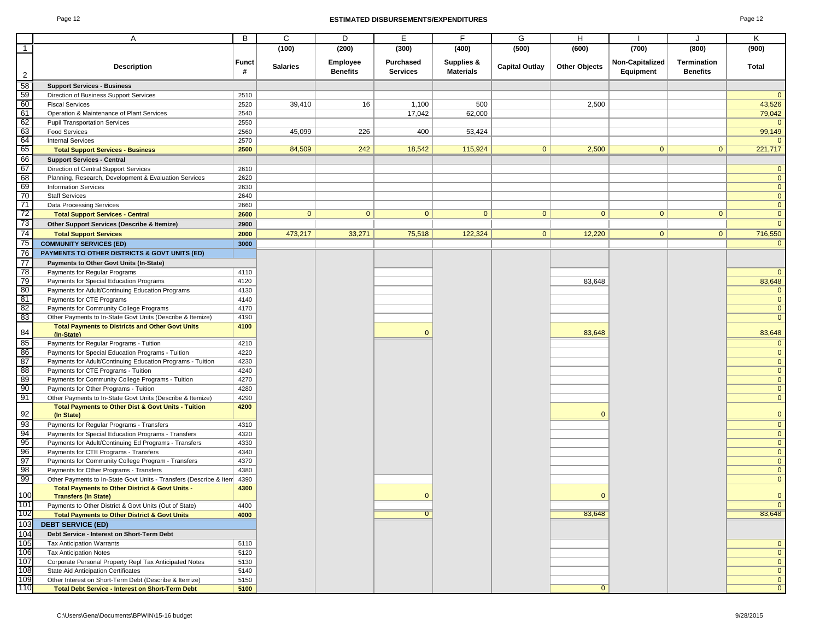#### Page 12 **ESTIMATED DISBURSEMENTS/EXPENDITURES** Page 12

|                                                             | Α                                                                              | B          | C               | D                                  | E                            | F                              | G                     | H                    |                              | J                              | Κ              |
|-------------------------------------------------------------|--------------------------------------------------------------------------------|------------|-----------------|------------------------------------|------------------------------|--------------------------------|-----------------------|----------------------|------------------------------|--------------------------------|----------------|
| $\mathbf{1}$                                                |                                                                                |            | (100)           | (200)                              | (300)                        | (400)                          | (500)                 | (600)                | (700)                        | (800)                          | (900)          |
|                                                             |                                                                                |            |                 |                                    |                              |                                |                       |                      |                              |                                |                |
| $\overline{2}$                                              | <b>Description</b>                                                             | Funct<br># | <b>Salaries</b> | <b>Employee</b><br><b>Benefits</b> | Purchased<br><b>Services</b> | Supplies &<br><b>Materials</b> | <b>Capital Outlay</b> | <b>Other Objects</b> | Non-Capitalized<br>Equipment | Termination<br><b>Benefits</b> | Total          |
| $\overline{58}$                                             | <b>Support Services - Business</b>                                             |            |                 |                                    |                              |                                |                       |                      |                              |                                |                |
| 59                                                          | Direction of Business Support Services                                         | 2510       |                 |                                    |                              |                                |                       |                      |                              |                                | $\overline{0}$ |
| 60                                                          | <b>Fiscal Services</b>                                                         | 2520       | 39,410          | 16                                 | 1,100                        | 500                            |                       | 2,500                |                              |                                | 43,526         |
| 61                                                          | Operation & Maintenance of Plant Services                                      | 2540       |                 |                                    | 17,042                       | 62,000                         |                       |                      |                              |                                | 79,042         |
| 62                                                          | <b>Pupil Transportation Services</b>                                           | 2550       |                 |                                    |                              |                                |                       |                      |                              |                                | $\overline{0}$ |
| 63                                                          | <b>Food Services</b>                                                           | 2560       | 45,099          | 226                                | 400                          | 53,424                         |                       |                      |                              |                                | 99,149         |
| 64                                                          | <b>Internal Services</b>                                                       | 2570       |                 |                                    |                              |                                |                       |                      |                              |                                | $\mathbf{0}$   |
| 65                                                          | <b>Total Support Services - Business</b>                                       | 2500       | 84,509          | 242                                | 18,542                       | 115,924                        | $\mathbf{0}$          | 2,500                | $\overline{0}$               | $\mathbf{0}$                   | 221,717        |
| 66                                                          | <b>Support Services - Central</b>                                              |            |                 |                                    |                              |                                |                       |                      |                              |                                |                |
| 67                                                          | Direction of Central Support Services                                          | 2610       |                 |                                    |                              |                                |                       |                      |                              |                                | $\overline{0}$ |
| 68                                                          | Planning, Research, Development & Evaluation Services                          | 2620       |                 |                                    |                              |                                |                       |                      |                              |                                | $\overline{0}$ |
| 69                                                          | <b>Information Services</b>                                                    | 2630       |                 |                                    |                              |                                |                       |                      |                              |                                | $\overline{0}$ |
| 70                                                          | <b>Staff Services</b>                                                          | 2640       |                 |                                    |                              |                                |                       |                      |                              |                                | $\overline{0}$ |
| 71                                                          | Data Processing Services                                                       | 2660       |                 |                                    |                              |                                |                       |                      |                              |                                | $\overline{0}$ |
| 72                                                          | <b>Total Support Services - Central</b>                                        | 2600       | $\mathbf{0}$    | $\mathbf{0}$                       | $\mathbf{0}$                 | $\mathbf{0}$                   | $\mathbf{0}$          | $\mathbf{0}$         | $\mathbf{0}$                 | $\mathbf{0}$                   | $\overline{0}$ |
| 73                                                          | Other Support Services (Describe & Itemize)                                    | 2900       |                 |                                    |                              |                                |                       |                      |                              |                                | $\overline{0}$ |
| 74                                                          | <b>Total Support Services</b>                                                  | 2000       | 473,217         | 33,271                             | 75,518                       | 122,324                        | $\mathbf{0}$          | 12,220               | 0 <sup>1</sup>               | $\overline{0}$                 | 716,550        |
| 75                                                          | <b>COMMUNITY SERVICES (ED)</b>                                                 | 3000       |                 |                                    |                              |                                |                       |                      |                              |                                | $\overline{0}$ |
| 76                                                          | <b>PAYMENTS TO OTHER DISTRICTS &amp; GOVT UNITS (ED)</b>                       |            |                 |                                    |                              |                                |                       |                      |                              |                                |                |
| $\overline{77}$                                             | Payments to Other Govt Units (In-State)                                        |            |                 |                                    |                              |                                |                       |                      |                              |                                |                |
| 78                                                          | Payments for Regular Programs                                                  | 4110       |                 |                                    |                              |                                |                       |                      |                              |                                | $\mathbf{0}$   |
| 79                                                          | Payments for Special Education Programs                                        | 4120       |                 |                                    |                              |                                |                       | 83,648               |                              |                                | 83,648         |
| 80                                                          | Payments for Adult/Continuing Education Programs                               | 4130       |                 |                                    |                              |                                |                       |                      |                              |                                | $\overline{0}$ |
| 81                                                          | Payments for CTE Programs                                                      | 4140       |                 |                                    |                              |                                |                       |                      |                              |                                | $\overline{0}$ |
| 82                                                          | Payments for Community College Programs                                        | 4170       |                 |                                    |                              |                                |                       |                      |                              |                                | $\overline{0}$ |
| 83                                                          | Other Payments to In-State Govt Units (Describe & Itemize)                     | 4190       |                 |                                    |                              |                                |                       |                      |                              |                                | $\overline{0}$ |
| 84                                                          | <b>Total Payments to Districts and Other Govt Units</b><br>(In-State)          | 4100       |                 |                                    | $\mathbf{0}$                 |                                |                       | 83,648               |                              |                                | 83,648         |
| 85                                                          | Payments for Regular Programs - Tuition                                        | 4210       |                 |                                    |                              |                                |                       |                      |                              |                                | $\mathbf{0}$   |
| 86                                                          | Payments for Special Education Programs - Tuition                              | 4220       |                 |                                    |                              |                                |                       |                      |                              |                                | $\overline{0}$ |
| 87                                                          | Payments for Adult/Continuing Education Programs - Tuition                     | 4230       |                 |                                    |                              |                                |                       |                      |                              |                                | $\overline{0}$ |
| 88                                                          | Payments for CTE Programs - Tuition                                            | 4240       |                 |                                    |                              |                                |                       |                      |                              |                                | $\overline{0}$ |
| 89                                                          | Payments for Community College Programs - Tuition                              | 4270       |                 |                                    |                              |                                |                       |                      |                              |                                | $\overline{0}$ |
| 90                                                          | Payments for Other Programs - Tuition                                          | 4280       |                 |                                    |                              |                                |                       |                      |                              |                                | $\overline{0}$ |
| 91                                                          | Other Payments to In-State Govt Units (Describe & Itemize)                     | 4290       |                 |                                    |                              |                                |                       |                      |                              |                                | $\overline{0}$ |
| 92                                                          | <b>Total Payments to Other Dist &amp; Govt Units - Tuition</b><br>(In State)   | 4200       |                 |                                    |                              |                                |                       | $\Omega$             |                              |                                | $\overline{0}$ |
| 93                                                          | Payments for Regular Programs - Transfers                                      | 4310       |                 |                                    |                              |                                |                       |                      |                              |                                | $\overline{0}$ |
| 94                                                          | Payments for Special Education Programs - Transfers                            | 4320       |                 |                                    |                              |                                |                       |                      |                              |                                | $\overline{0}$ |
| 95                                                          | Payments for Adult/Continuing Ed Programs - Transfers                          | 4330       |                 |                                    |                              |                                |                       |                      |                              |                                | $\overline{0}$ |
| 96                                                          | Payments for CTE Programs - Transfers                                          | 4340       |                 |                                    |                              |                                |                       |                      |                              |                                | $\overline{0}$ |
| 97                                                          | Payments for Community College Program - Transfers                             | 4370       |                 |                                    |                              |                                |                       |                      |                              |                                | $\overline{0}$ |
| 98                                                          | Payments for Other Programs - Transfers                                        | 4380       |                 |                                    |                              |                                |                       |                      |                              |                                | $\overline{0}$ |
| 99                                                          | Other Payments to In-State Govt Units - Transfers (Describe & Item             | 4390       |                 |                                    |                              |                                |                       |                      |                              |                                | $\overline{0}$ |
| $\begin{array}{ c c }\n 100 \\  \hline\n 101\n \end{array}$ | Total Payments to Other District & Govt Units -<br><b>Transfers (In State)</b> | 4300       |                 |                                    | $\mathbf{0}$                 |                                |                       | $\Omega$             |                              |                                | $\overline{0}$ |
|                                                             | Payments to Other District & Govt Units (Out of State)                         | 4400       |                 |                                    |                              |                                |                       |                      |                              |                                | $\overline{0}$ |
| 102                                                         | <b>Total Payments to Other District &amp; Govt Units</b>                       | 4000       |                 |                                    | $\overline{0}$               |                                |                       | 83,648               |                              |                                | 83,648         |
| 103                                                         | <b>DEBT SERVICE (ED)</b>                                                       |            |                 |                                    |                              |                                |                       |                      |                              |                                |                |
| 104                                                         | Debt Service - Interest on Short-Term Debt                                     |            |                 |                                    |                              |                                |                       |                      |                              |                                |                |
| 105                                                         | <b>Tax Anticipation Warrants</b>                                               | 5110       |                 |                                    |                              |                                |                       |                      |                              |                                | $\overline{0}$ |
| 106                                                         | <b>Tax Anticipation Notes</b>                                                  | 5120       |                 |                                    |                              |                                |                       |                      |                              |                                | $\overline{0}$ |
| 107                                                         | Corporate Personal Property Repl Tax Anticipated Notes                         | 5130       |                 |                                    |                              |                                |                       |                      |                              |                                | $\overline{0}$ |
| 108                                                         | State Aid Anticipation Certificates                                            | 5140       |                 |                                    |                              |                                |                       |                      |                              |                                | $\overline{0}$ |
| 109                                                         | Other Interest on Short-Term Debt (Describe & Itemize)                         | 5150       |                 |                                    |                              |                                |                       |                      |                              |                                | $\overline{0}$ |
| 110                                                         | <b>Total Debt Service - Interest on Short-Term Debt</b>                        | 5100       |                 |                                    |                              |                                |                       | $\mathbf{0}$         |                              |                                | $\overline{0}$ |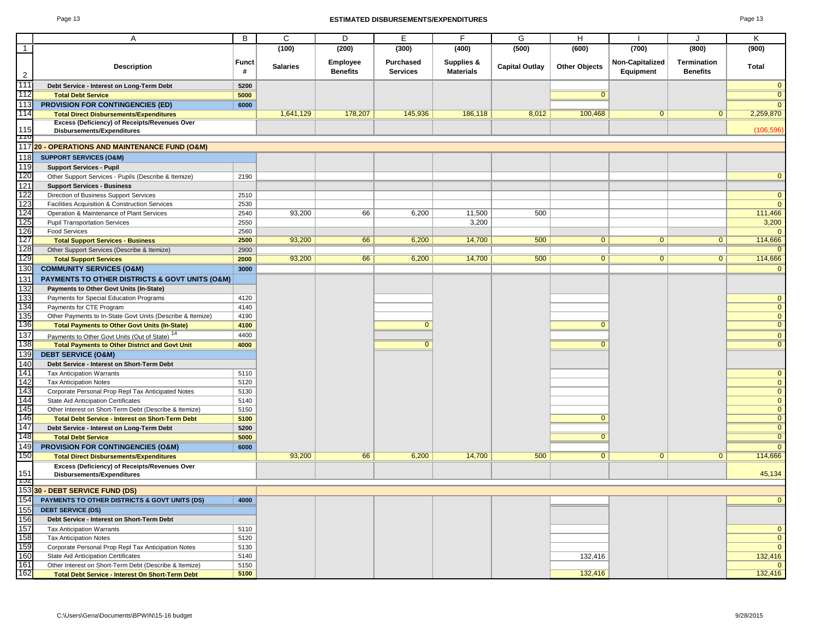#### Page 13 **ESTIMATED DISBURSEMENTS/EXPENDITURES** Page 13

| ٠<br>c<br>۰ |  |
|-------------|--|
|-------------|--|

|                                                         | Α                                                                                        | B            | C               | D                           | E                            | F                              | G                     | H                    |                              |                                | Κ              |
|---------------------------------------------------------|------------------------------------------------------------------------------------------|--------------|-----------------|-----------------------------|------------------------------|--------------------------------|-----------------------|----------------------|------------------------------|--------------------------------|----------------|
| $\overline{1}$                                          |                                                                                          |              | (100)           | (200)                       | (300)                        | (400)                          | (500)                 | (600)                | (700)                        | (800)                          | (900)          |
|                                                         | <b>Description</b>                                                                       | Funct<br>#   | <b>Salaries</b> | Employee<br><b>Benefits</b> | Purchased<br><b>Services</b> | Supplies &<br><b>Materials</b> | <b>Capital Outlay</b> | <b>Other Objects</b> | Non-Capitalized<br>Equipment | Termination<br><b>Benefits</b> | <b>Total</b>   |
| $\overline{2}$                                          |                                                                                          |              |                 |                             |                              |                                |                       |                      |                              |                                |                |
| 111                                                     | Debt Service - Interest on Long-Term Debt                                                | 5200         |                 |                             |                              |                                |                       |                      |                              |                                | $\mathbf{0}$   |
| 112                                                     | <b>Total Debt Service</b>                                                                | 5000         |                 |                             |                              |                                |                       | $\Omega$             |                              |                                | $\overline{0}$ |
| 113                                                     | <b>PROVISION FOR CONTINGENCIES (ED)</b>                                                  | 6000         |                 |                             |                              |                                |                       |                      |                              |                                | $\overline{0}$ |
| 114                                                     | <b>Total Direct Disbursements/Expenditures</b>                                           |              | 1,641,129       | 178,207                     | 145,936                      | 186,118                        | 8,012                 | 100,468              | 0                            | $\mathbf{0}$                   | 2,259,870      |
| 115                                                     | Excess (Deficiency) of Receipts/Revenues Over                                            |              |                 |                             |                              |                                |                       |                      |                              |                                |                |
| mо                                                      | <b>Disbursements/Expenditures</b>                                                        |              |                 |                             |                              |                                |                       |                      |                              |                                | (106, 596)     |
|                                                         | 117 20 - OPERATIONS AND MAINTENANCE FUND (O&M)                                           |              |                 |                             |                              |                                |                       |                      |                              |                                |                |
| 118                                                     | <b>SUPPORT SERVICES (O&amp;M)</b>                                                        |              |                 |                             |                              |                                |                       |                      |                              |                                |                |
| 119                                                     | <b>Support Services - Pupil</b>                                                          |              |                 |                             |                              |                                |                       |                      |                              |                                |                |
| 120                                                     | Other Support Services - Pupils (Describe & Itemize)                                     | 2190         |                 |                             |                              |                                |                       |                      |                              |                                | $\mathbf{0}$   |
|                                                         | <b>Support Services - Business</b>                                                       |              |                 |                             |                              |                                |                       |                      |                              |                                |                |
| $\begin{array}{r} 121 \\ 122 \\ 123 \\ 124 \end{array}$ |                                                                                          |              |                 |                             |                              |                                |                       |                      |                              |                                | $\overline{0}$ |
|                                                         | Direction of Business Support Services<br>Facilities Acquisition & Construction Services | 2510<br>2530 |                 |                             |                              |                                |                       |                      |                              |                                | $\mathbf{0}$   |
|                                                         |                                                                                          | 2540         | 93,200          | 66                          | 6,200                        | 11,500                         | 500                   |                      |                              |                                | 111,466        |
| 125                                                     | Operation & Maintenance of Plant Services<br><b>Pupil Transportation Services</b>        | 2550         |                 |                             |                              | 3,200                          |                       |                      |                              |                                | 3,200          |
|                                                         | <b>Food Services</b>                                                                     | 2560         |                 |                             |                              |                                |                       |                      |                              |                                | $\Omega$       |
| 126<br>127                                              | <b>Total Support Services - Business</b>                                                 | 2500         | 93,200          | 66                          | 6,200                        | 14,700                         | 500                   | $\overline{0}$       | $\mathbf{0}$                 | $\mathbf 0$                    | 114,666        |
|                                                         | Other Support Services (Describe & Itemize)                                              | 2900         |                 |                             |                              |                                |                       |                      |                              |                                | $\overline{0}$ |
| 128<br>129                                              | <b>Total Support Services</b>                                                            | 2000         | 93,200          | 66                          | 6,200                        | 14,700                         | 500                   | $\overline{0}$       | $\overline{0}$               | $\overline{0}$                 | 114,666        |
| 130                                                     | <b>COMMUNITY SERVICES (O&amp;M)</b>                                                      | 3000         |                 |                             |                              |                                |                       |                      |                              |                                | $\mathbf{0}$   |
|                                                         | PAYMENTS TO OTHER DISTRICTS & GOVT UNITS (O&M)                                           |              |                 |                             |                              |                                |                       |                      |                              |                                |                |
| 131                                                     |                                                                                          |              |                 |                             |                              |                                |                       |                      |                              |                                |                |
| 132                                                     | Payments to Other Govt Units (In-State)                                                  |              |                 |                             |                              |                                |                       |                      |                              |                                |                |
| $\frac{133}{134}$ $\frac{134}{135}$                     | Payments for Special Education Programs                                                  | 4120         |                 |                             |                              |                                |                       |                      |                              |                                | $\mathbf{0}$   |
|                                                         | Payments for CTE Program                                                                 | 4140         |                 |                             |                              |                                |                       |                      |                              |                                | $\overline{0}$ |
|                                                         | Other Payments to In-State Govt Units (Describe & Itemize)                               | 4190         |                 |                             |                              |                                |                       |                      |                              |                                | $\overline{0}$ |
|                                                         | <b>Total Payments to Other Govt Units (In-State)</b>                                     | 4100         |                 |                             | $\mathbf{0}$                 |                                |                       | $\mathbf{0}$         |                              |                                | $\mathbf{0}$   |
| 137                                                     | Payments to Other Govt Units (Out of State) <sup>14</sup>                                | 4400         |                 |                             |                              |                                |                       |                      |                              |                                | $\mathbf{0}$   |
| 138                                                     | <b>Total Payments to Other District and Govt Unit</b>                                    | 4000         |                 |                             | $\overline{0}$               |                                |                       | $\Omega$             |                              |                                | $\overline{0}$ |
| 139                                                     | <b>DEBT SERVICE (O&amp;M)</b>                                                            |              |                 |                             |                              |                                |                       |                      |                              |                                |                |
| 140                                                     | Debt Service - Interest on Short-Term Debt                                               |              |                 |                             |                              |                                |                       |                      |                              |                                |                |
| 141                                                     | <b>Tax Anticipation Warrants</b>                                                         | 5110         |                 |                             |                              |                                |                       |                      |                              |                                | $\mathbf{0}$   |
| 142                                                     | <b>Tax Anticipation Notes</b>                                                            | 5120         |                 |                             |                              |                                |                       |                      |                              |                                | $\mathbf{0}$   |
|                                                         | Corporate Personal Prop Repl Tax Anticipated Notes                                       | 5130         |                 |                             |                              |                                |                       |                      |                              |                                | $\mathbf{0}$   |
| $\frac{143}{144}$ $\frac{145}{146}$                     | State Aid Anticipation Certificates                                                      | 5140         |                 |                             |                              |                                |                       |                      |                              |                                | $\mathbf{0}$   |
|                                                         | Other Interest on Short-Term Debt (Describe & Itemize)                                   | 5150         |                 |                             |                              |                                |                       |                      |                              |                                | $\mathbf{0}$   |
|                                                         | <b>Total Debt Service - Interest on Short-Term Debt</b>                                  | 5100         |                 |                             |                              |                                |                       | $\mathbf{0}$         |                              |                                | $\mathbf{0}$   |
| 147                                                     | Debt Service - Interest on Long-Term Debt                                                | 5200         |                 |                             |                              |                                |                       |                      |                              |                                | $\overline{0}$ |
| 148                                                     | <b>Total Debt Service</b>                                                                | 5000         |                 |                             |                              |                                |                       | $\Omega$             |                              |                                | $\overline{0}$ |
| 149                                                     | PROVISION FOR CONTINGENCIES (O&M)                                                        | 6000         |                 |                             |                              |                                |                       |                      |                              |                                | $\mathbf{0}$   |
| 150                                                     | <b>Total Direct Disbursements/Expenditures</b>                                           |              | 93,200          | 66                          | 6,200                        | 14,700                         | 500                   | $\overline{0}$       | 0 <sup>1</sup>               | $\mathbf{0}$                   | 114,666        |
| 151                                                     | Excess (Deficiency) of Receipts/Revenues Over<br><b>Disbursements/Expenditures</b>       |              |                 |                             |                              |                                |                       |                      |                              |                                | 45,134         |
| πυz                                                     |                                                                                          |              |                 |                             |                              |                                |                       |                      |                              |                                |                |
|                                                         | 153330 - DEBT SERVICE FUND (DS)                                                          |              |                 |                             |                              |                                |                       |                      |                              |                                |                |
| 154                                                     | PAYMENTS TO OTHER DISTRICTS & GOVT UNITS (DS)                                            | 4000         |                 |                             |                              |                                |                       |                      |                              |                                | $\mathbf{0}$   |
| 155<br>156<br>157<br>158<br>159<br>160<br>161           | <b>DEBT SERVICE (DS)</b>                                                                 |              |                 |                             |                              |                                |                       |                      |                              |                                |                |
|                                                         | Debt Service - Interest on Short-Term Debt                                               |              |                 |                             |                              |                                |                       |                      |                              |                                |                |
|                                                         | <b>Tax Anticipation Warrants</b>                                                         | 5110         |                 |                             |                              |                                |                       |                      |                              |                                | $\overline{0}$ |
|                                                         | <b>Tax Anticipation Notes</b>                                                            | 5120         |                 |                             |                              |                                |                       |                      |                              |                                | $\mathbf{0}$   |
|                                                         | Corporate Personal Prop Repl Tax Anticipation Notes                                      | 5130         |                 |                             |                              |                                |                       |                      |                              |                                | $\mathbf{0}$   |
|                                                         | State Aid Anticipation Certificates                                                      | 5140         |                 |                             |                              |                                |                       | 132,416              |                              |                                | 132,416        |
|                                                         | Other Interest on Short-Term Debt (Describe & Itemize)                                   | 5150         |                 |                             |                              |                                |                       |                      |                              |                                | $\mathbf{0}$   |
| 162                                                     | <b>Total Debt Service - Interest On Short-Term Debt</b>                                  | 5100         |                 |                             |                              |                                |                       | 132,416              |                              |                                | 132,416        |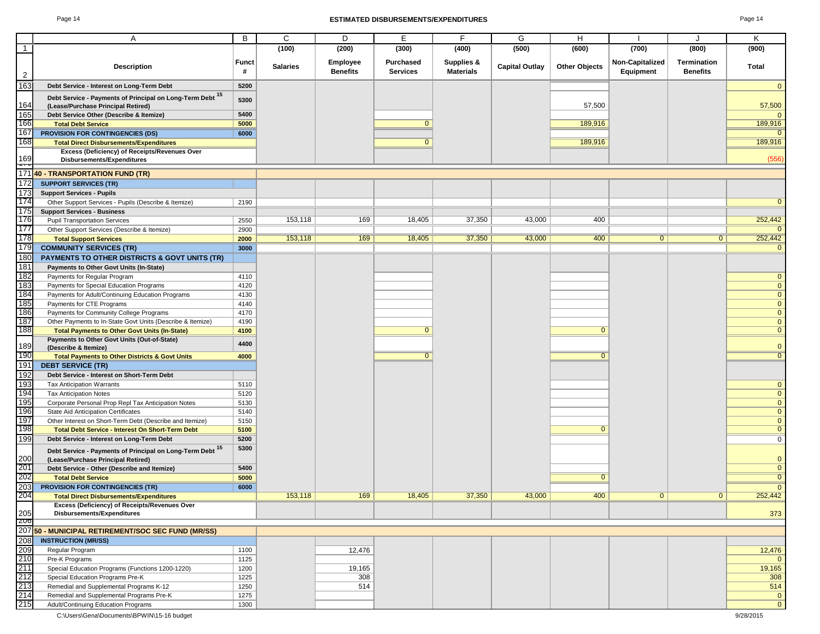#### Page 14 **ESTIMATED DISBURSEMENTS/EXPENDITURES** Page 14

|                  | A                                                                                           | B            | C               | D               | Е               | F.               | G                     | H                    |                 | J               | Κ                           |
|------------------|---------------------------------------------------------------------------------------------|--------------|-----------------|-----------------|-----------------|------------------|-----------------------|----------------------|-----------------|-----------------|-----------------------------|
| $\overline{1}$   |                                                                                             |              | (100)           | (200)           | (300)           | (400)            | (500)                 | (600)                | (700)           | (800)           | (900)                       |
|                  |                                                                                             |              |                 |                 |                 |                  |                       |                      |                 |                 |                             |
|                  | <b>Description</b>                                                                          | <b>Funct</b> | <b>Salaries</b> | Employee        | Purchased       | Supplies &       | <b>Capital Outlay</b> | <b>Other Objects</b> | Non-Capitalized | Termination     | Total                       |
| $\overline{2}$   |                                                                                             | #            |                 | <b>Benefits</b> | <b>Services</b> | <b>Materials</b> |                       |                      | Equipment       | <b>Benefits</b> |                             |
| $\overline{163}$ | Debt Service - Interest on Long-Term Debt                                                   | 5200         |                 |                 |                 |                  |                       |                      |                 |                 | $\overline{0}$              |
|                  | Debt Service - Payments of Principal on Long-Term Debt 15                                   |              |                 |                 |                 |                  |                       |                      |                 |                 |                             |
| 164              | (Lease/Purchase Principal Retired)                                                          | 5300         |                 |                 |                 |                  |                       | 57,500               |                 |                 | 57,500                      |
| 165              | Debt Service Other (Describe & Itemize)                                                     | 5400         |                 |                 |                 |                  |                       |                      |                 |                 | $\Omega$                    |
| 166              | <b>Total Debt Service</b>                                                                   | 5000         |                 |                 | $\overline{0}$  |                  |                       | 189,916              |                 |                 | 189,916                     |
| 167              | PROVISION FOR CONTINGENCIES (DS)                                                            | 6000         |                 |                 |                 |                  |                       |                      |                 |                 | $\mathbf{0}$                |
| 168              | <b>Total Direct Disbursements/Expenditures</b>                                              |              |                 |                 | $\mathbf{0}$    |                  |                       | 189,916              |                 |                 | 189,916                     |
|                  | Excess (Deficiency) of Receipts/Revenues Over                                               |              |                 |                 |                 |                  |                       |                      |                 |                 |                             |
| 169              | Disbursements/Expenditures                                                                  |              |                 |                 |                 |                  |                       |                      |                 |                 | (556)                       |
| —                | 17140 - TRANSPORTATION FUND (TR)                                                            |              |                 |                 |                 |                  |                       |                      |                 |                 |                             |
| 172              | <b>SUPPORT SERVICES (TR)</b>                                                                |              |                 |                 |                 |                  |                       |                      |                 |                 |                             |
|                  |                                                                                             |              |                 |                 |                 |                  |                       |                      |                 |                 |                             |
| 173<br>174       | <b>Support Services - Pupils</b>                                                            |              |                 |                 |                 |                  |                       |                      |                 |                 | $\mathbf{0}$                |
| 175              | Other Support Services - Pupils (Describe & Itemize)                                        | 2190         |                 |                 |                 |                  |                       |                      |                 |                 |                             |
| 176              | <b>Support Services - Business</b>                                                          | 2550         | 153,118         | 169             | 18,405          | 37,350           | 43,000                | 400                  |                 |                 | 252,442                     |
| 177              | <b>Pupil Transportation Services</b>                                                        | 2900         |                 |                 |                 |                  |                       |                      |                 |                 | $\Omega$                    |
| 178              | Other Support Services (Describe & Itemize)                                                 | 2000         | 153,118         | 169             | 18,405          | 37,350           | 43,000                | 400                  | $\overline{0}$  | $\overline{0}$  | 252,442                     |
| 179              | <b>Total Support Services</b><br><b>COMMUNITY SERVICES (TR)</b>                             | 3000         |                 |                 |                 |                  |                       |                      |                 |                 | $\overline{0}$              |
| 180              |                                                                                             |              |                 |                 |                 |                  |                       |                      |                 |                 |                             |
| 181              | <b>PAYMENTS TO OTHER DISTRICTS &amp; GOVT UNITS (TR)</b>                                    |              |                 |                 |                 |                  |                       |                      |                 |                 |                             |
| 182              | Payments to Other Govt Units (In-State)                                                     |              |                 |                 |                 |                  |                       |                      |                 |                 |                             |
|                  | Payments for Regular Program                                                                | 4110         |                 |                 |                 |                  |                       |                      |                 |                 | $\mathbf{0}$<br>$\mathbf 0$ |
| 183<br>184       | Payments for Special Education Programs<br>Payments for Adult/Continuing Education Programs | 4120<br>4130 |                 |                 |                 |                  |                       |                      |                 |                 | $\mathbf{0}$                |
| 185              |                                                                                             | 4140         |                 |                 |                 |                  |                       |                      |                 |                 | $\mathbf 0$                 |
| 186              | Payments for CTE Programs<br>Payments for Community College Programs                        | 4170         |                 |                 |                 |                  |                       |                      |                 |                 | $\mathbf{0}$                |
| 187              | Other Payments to In-State Govt Units (Describe & Itemize)                                  | 4190         |                 |                 |                 |                  |                       |                      |                 |                 | $\mathbf 0$                 |
| 188              | <b>Total Payments to Other Govt Units (In-State)</b>                                        | 4100         |                 |                 | $\mathbf{0}$    |                  |                       | $\mathbf{0}$         |                 |                 | $\overline{0}$              |
|                  | Payments to Other Govt Units (Out-of-State)                                                 |              |                 |                 |                 |                  |                       |                      |                 |                 |                             |
| 189              | (Describe & Itemize)                                                                        | 4400         |                 |                 |                 |                  |                       |                      |                 |                 | $\overline{0}$              |
| 190              | <b>Total Payments to Other Districts &amp; Govt Units</b>                                   | 4000         |                 |                 | $\Omega$        |                  |                       | $\Omega$             |                 |                 | $\overline{0}$              |
| 191              | <b>DEBT SERVICE (TR)</b>                                                                    |              |                 |                 |                 |                  |                       |                      |                 |                 |                             |
| 192              | Debt Service - Interest on Short-Term Debt                                                  |              |                 |                 |                 |                  |                       |                      |                 |                 |                             |
| 193              | <b>Tax Anticipation Warrants</b>                                                            | 5110         |                 |                 |                 |                  |                       |                      |                 |                 | $\mathbf 0$                 |
| 194              | <b>Tax Anticipation Notes</b>                                                               | 5120         |                 |                 |                 |                  |                       |                      |                 |                 | $\mathbf{0}$                |
| 195              | Corporate Personal Prop Repl Tax Anticipation Notes                                         | 5130         |                 |                 |                 |                  |                       |                      |                 |                 | $\pmb{0}$                   |
| 196              | State Aid Anticipation Certificates                                                         | 5140         |                 |                 |                 |                  |                       |                      |                 |                 | $\mathbf{0}$                |
| 197              | Other Interest on Short-Term Debt (Describe and Itemize)                                    | 5150         |                 |                 |                 |                  |                       |                      |                 |                 | $\overline{0}$              |
| 198              | <b>Total Debt Service - Interest On Short-Term Debt</b>                                     | 5100         |                 |                 |                 |                  |                       | $\Omega$             |                 |                 | $\overline{0}$              |
| 199              | Debt Service - Interest on Long-Term Debt                                                   | 5200         |                 |                 |                 |                  |                       |                      |                 |                 | $\overline{0}$              |
|                  | Debt Service - Payments of Principal on Long-Term Debt 15                                   | 5300         |                 |                 |                 |                  |                       |                      |                 |                 |                             |
| 200              | (Lease/Purchase Principal Retired)                                                          |              |                 |                 |                 |                  |                       |                      |                 |                 | $\mathbf 0$                 |
| 201              | Debt Service - Other (Describe and Itemize)                                                 | 5400         |                 |                 |                 |                  |                       |                      |                 |                 | $\mathbf 0$                 |
| 202              | <b>Total Debt Service</b>                                                                   | 5000         |                 |                 |                 |                  |                       | $\Omega$             |                 |                 | $\overline{0}$              |
| 203              | <b>PROVISION FOR CONTINGENCIES (TR)</b>                                                     | 6000         |                 |                 |                 |                  |                       |                      |                 |                 | $\overline{\mathbf{0}}$     |
| 204              | <b>Total Direct Disbursements/Expenditures</b>                                              |              | 153,118         | 169             | 18,405          | 37,350           | 43,000                | 400                  | 0               | 0               | 252,442                     |
|                  | Excess (Deficiency) of Receipts/Revenues Over                                               |              |                 |                 |                 |                  |                       |                      |                 |                 |                             |
| 205              | <b>Disbursements/Expenditures</b>                                                           |              |                 |                 |                 |                  |                       |                      |                 |                 | 373                         |
| z <sub>00</sub>  |                                                                                             |              |                 |                 |                 |                  |                       |                      |                 |                 |                             |
|                  | 207 50 - MUNICIPAL RETIREMENT/SOC SEC FUND (MR/SS)                                          |              |                 |                 |                 |                  |                       |                      |                 |                 |                             |
| 208              | <b>INSTRUCTION (MR/SS)</b>                                                                  |              |                 |                 |                 |                  |                       |                      |                 |                 |                             |
| 209              | Regular Program                                                                             | 1100         |                 | 12,476          |                 |                  |                       |                      |                 |                 | 12,476                      |
| 210              | Pre-K Programs                                                                              | 1125         |                 |                 |                 |                  |                       |                      |                 |                 | $\mathbf{0}$                |
| 211              | Special Education Programs (Functions 1200-1220)                                            | 1200         |                 | 19,165          |                 |                  |                       |                      |                 |                 | 19,165                      |
| 212              | Special Education Programs Pre-K                                                            | 1225         |                 | 308             |                 |                  |                       |                      |                 |                 | 308                         |
| 213              | Remedial and Supplemental Programs K-12                                                     | 1250         |                 | 514             |                 |                  |                       |                      |                 |                 | 514                         |
| 214              | Remedial and Supplemental Programs Pre-K                                                    | 1275         |                 |                 |                 |                  |                       |                      |                 |                 | $\mathbf{0}$                |
| 215              | Adult/Continuing Education Programs                                                         | 1300         |                 |                 |                 |                  |                       |                      |                 |                 | $\overline{0}$              |

C:\Users\Gena\Documents\BPWIN\15-16 budget 9/28/2015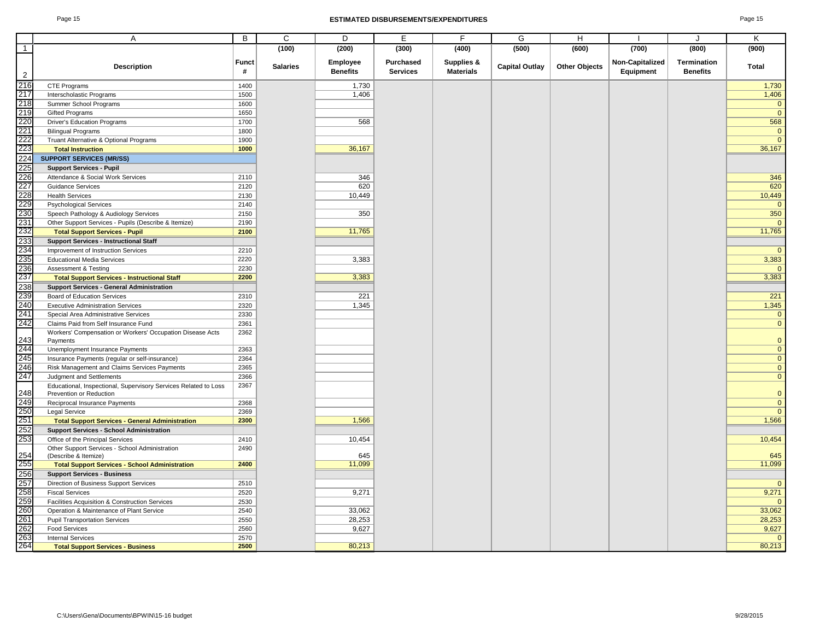#### Page 15 **ESTIMATED DISBURSEMENTS/EXPENDITURES** Page 15

|                   | Α                                                                                          | B            | C               | D                           | E                                   | F                              | G                     | H                    |                              | J                                     | Κ                      |
|-------------------|--------------------------------------------------------------------------------------------|--------------|-----------------|-----------------------------|-------------------------------------|--------------------------------|-----------------------|----------------------|------------------------------|---------------------------------------|------------------------|
| $\overline{1}$    |                                                                                            |              | (100)           | (200)                       | (300)                               | (400)                          | (500)                 | (600)                | (700)                        | (800)                                 | (900)                  |
|                   |                                                                                            |              |                 |                             |                                     |                                |                       |                      |                              |                                       |                        |
| $\overline{2}$    | <b>Description</b>                                                                         | Funct<br>#   | <b>Salaries</b> | Employee<br><b>Benefits</b> | <b>Purchased</b><br><b>Services</b> | Supplies &<br><b>Materials</b> | <b>Capital Outlay</b> | <b>Other Objects</b> | Non-Capitalized<br>Equipment | <b>Termination</b><br><b>Benefits</b> | <b>Total</b>           |
| 216               | <b>CTE Programs</b>                                                                        | 1400         |                 | 1,730                       |                                     |                                |                       |                      |                              |                                       | 1,730                  |
| 217               | Interscholastic Programs                                                                   | 1500         |                 | 1,406                       |                                     |                                |                       |                      |                              |                                       | 1,406                  |
| 218               | Summer School Programs                                                                     | 1600         |                 |                             |                                     |                                |                       |                      |                              |                                       | $\mathbf{0}$           |
| 219               | <b>Gifted Programs</b>                                                                     | 1650         |                 |                             |                                     |                                |                       |                      |                              |                                       | $\mathbf{0}$           |
| 220               | <b>Driver's Education Programs</b>                                                         | 1700         |                 | 568                         |                                     |                                |                       |                      |                              |                                       | 568                    |
| 221               | <b>Bilingual Programs</b>                                                                  | 1800         |                 |                             |                                     |                                |                       |                      |                              |                                       | $\mathbf{0}$           |
| 222               | Truant Alternative & Optional Programs                                                     | 1900         |                 |                             |                                     |                                |                       |                      |                              |                                       | $\Omega$               |
| 223               | <b>Total Instruction</b>                                                                   | 1000         |                 | 36,167                      |                                     |                                |                       |                      |                              |                                       | 36,167                 |
| 224               | <b>SUPPORT SERVICES (MR/SS)</b>                                                            |              |                 |                             |                                     |                                |                       |                      |                              |                                       |                        |
| 225               | <b>Support Services - Pupil</b>                                                            |              |                 |                             |                                     |                                |                       |                      |                              |                                       |                        |
| 226               | Attendance & Social Work Services                                                          | 2110         |                 | 346                         |                                     |                                |                       |                      |                              |                                       | 346                    |
| 227               | <b>Guidance Services</b>                                                                   | 2120         |                 | 620                         |                                     |                                |                       |                      |                              |                                       | 620                    |
|                   | <b>Health Services</b>                                                                     | 2130         |                 | 10,449                      |                                     |                                |                       |                      |                              |                                       | 10,449                 |
| 228<br>229        | <b>Psychological Services</b>                                                              | 2140         |                 |                             |                                     |                                |                       |                      |                              |                                       | $\mathbf{0}$           |
| 230               | Speech Pathology & Audiology Services                                                      | 2150         |                 | 350                         |                                     |                                |                       |                      |                              |                                       | 350                    |
|                   | Other Support Services - Pupils (Describe & Itemize)                                       | 2190         |                 |                             |                                     |                                |                       |                      |                              |                                       | $\Omega$               |
| 231<br>232        | <b>Total Support Services - Pupil</b>                                                      | 2100         |                 | 11,765                      |                                     |                                |                       |                      |                              |                                       | 11,765                 |
| 233               | <b>Support Services - Instructional Staff</b>                                              |              |                 |                             |                                     |                                |                       |                      |                              |                                       |                        |
| 234               | Improvement of Instruction Services                                                        | 2210         |                 |                             |                                     |                                |                       |                      |                              |                                       | $\mathbf{0}$           |
| 235               | <b>Educational Media Services</b>                                                          | 2220         |                 | 3,383                       |                                     |                                |                       |                      |                              |                                       | 3,383                  |
|                   | <b>Assessment &amp; Testing</b>                                                            | 2230         |                 |                             |                                     |                                |                       |                      |                              |                                       | $\mathbf{0}$           |
| 236<br>237        | <b>Total Support Services - Instructional Staff</b>                                        | 2200         |                 | 3,383                       |                                     |                                |                       |                      |                              |                                       | 3,383                  |
| 238               |                                                                                            |              |                 |                             |                                     |                                |                       |                      |                              |                                       |                        |
| 239               | <b>Support Services - General Administration</b>                                           |              |                 |                             |                                     |                                |                       |                      |                              |                                       |                        |
| 240               | Board of Education Services                                                                | 2310         |                 | 221                         |                                     |                                |                       |                      |                              |                                       | 221                    |
|                   | <b>Executive Administration Services</b>                                                   | 2320         |                 | 1,345                       |                                     |                                |                       |                      |                              |                                       | 1,345                  |
| 241               | Special Area Administrative Services                                                       | 2330         |                 |                             |                                     |                                |                       |                      |                              |                                       | $\mathbf{0}$           |
| 242               | Claims Paid from Self Insurance Fund                                                       | 2361         |                 |                             |                                     |                                |                       |                      |                              |                                       | $\mathbf{0}$           |
| 243               | Workers' Compensation or Workers' Occupation Disease Acts                                  | 2362         |                 |                             |                                     |                                |                       |                      |                              |                                       | $\mathbf{0}$           |
| 244               | Payments<br>Unemployment Insurance Payments                                                | 2363         |                 |                             |                                     |                                |                       |                      |                              |                                       | $\mathbf{0}$           |
| 245               |                                                                                            |              |                 |                             |                                     |                                |                       |                      |                              |                                       | $\mathbf{0}$           |
| 246               | Insurance Payments (regular or self-insurance)                                             | 2364         |                 |                             |                                     |                                |                       |                      |                              |                                       |                        |
| 247               | Risk Management and Claims Services Payments                                               | 2365         |                 |                             |                                     |                                |                       |                      |                              |                                       | $\mathbf{0}$           |
|                   | Judgment and Settlements                                                                   | 2366         |                 |                             |                                     |                                |                       |                      |                              |                                       | $\overline{0}$         |
| 248               | Educational, Inspectional, Supervisory Services Related to Loss<br>Prevention or Reduction | 2367         |                 |                             |                                     |                                |                       |                      |                              |                                       | $\mathbf{0}$           |
| 249               | Reciprocal Insurance Payments                                                              | 2368         |                 |                             |                                     |                                |                       |                      |                              |                                       | $\mathbf{0}$           |
|                   | <b>Legal Service</b>                                                                       | 2369         |                 |                             |                                     |                                |                       |                      |                              |                                       | $\mathbf{0}$           |
| $\frac{250}{251}$ | <b>Total Support Services - General Administration</b>                                     | 2300         |                 | 1,566                       |                                     |                                |                       |                      |                              |                                       | 1,566                  |
| 252               |                                                                                            |              |                 |                             |                                     |                                |                       |                      |                              |                                       |                        |
| 253               | <b>Support Services - School Administration</b>                                            |              |                 | 10,454                      |                                     |                                |                       |                      |                              |                                       |                        |
|                   | Office of the Principal Services                                                           | 2410         |                 |                             |                                     |                                |                       |                      |                              |                                       | 10,454                 |
| 254               | Other Support Services - School Administration<br>(Describe & Itemize)                     | 2490         |                 | 645                         |                                     |                                |                       |                      |                              |                                       | 645                    |
| 255               | <b>Total Support Services - School Administration</b>                                      | 2400         |                 | 11,099                      |                                     |                                |                       |                      |                              |                                       | 11,099                 |
| 256               | <b>Support Services - Business</b>                                                         |              |                 |                             |                                     |                                |                       |                      |                              |                                       |                        |
| 257               | Direction of Business Support Services                                                     | 2510         |                 |                             |                                     |                                |                       |                      |                              |                                       | $\mathbf{0}$           |
| 258               | <b>Fiscal Services</b>                                                                     | 2520         |                 | 9,271                       |                                     |                                |                       |                      |                              |                                       | 9,271                  |
| 259               | Facilities Acquisition & Construction Services                                             | 2530         |                 |                             |                                     |                                |                       |                      |                              |                                       | $\mathbf{0}$           |
| 260               |                                                                                            |              |                 | 33,062                      |                                     |                                |                       |                      |                              |                                       |                        |
| 261               | Operation & Maintenance of Plant Service                                                   | 2540         |                 |                             |                                     |                                |                       |                      |                              |                                       | 33,062                 |
|                   | <b>Pupil Transportation Services</b>                                                       | 2550         |                 | 28,253                      |                                     |                                |                       |                      |                              |                                       | 28,253                 |
| 262<br>263        | <b>Food Services</b>                                                                       | 2560         |                 | 9,627                       |                                     |                                |                       |                      |                              |                                       | 9,627                  |
| 264               | <b>Internal Services</b>                                                                   | 2570<br>2500 |                 | 80,213                      |                                     |                                |                       |                      |                              |                                       | $\mathbf{0}$<br>80,213 |
|                   | <b>Total Support Services - Business</b>                                                   |              |                 |                             |                                     |                                |                       |                      |                              |                                       |                        |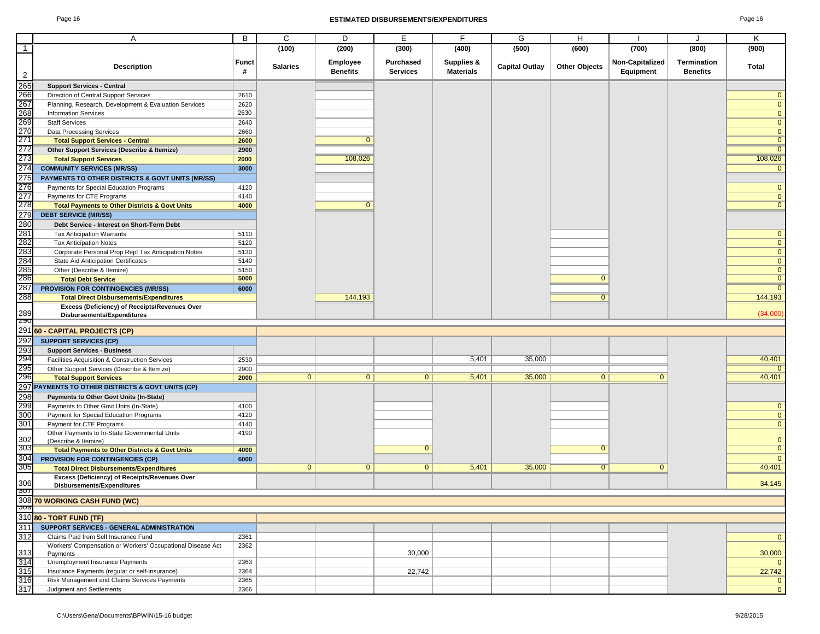#### Page 16 **ESTIMATED DISBURSEMENTS/EXPENDITURES** Page 16

|                | Α                                                                                                  | В                 | C               | D                           | Е                            | F.                             | G                     | H                    |                              | J                                     | Κ                            |
|----------------|----------------------------------------------------------------------------------------------------|-------------------|-----------------|-----------------------------|------------------------------|--------------------------------|-----------------------|----------------------|------------------------------|---------------------------------------|------------------------------|
| $\overline{1}$ |                                                                                                    |                   | (100)           | (200)                       | (300)                        | (400)                          | (500)                 | (600)                | (700)                        | (800)                                 | (900)                        |
| $\overline{2}$ | <b>Description</b>                                                                                 | <b>Funct</b><br># | <b>Salaries</b> | Employee<br><b>Benefits</b> | Purchased<br><b>Services</b> | Supplies &<br><b>Materials</b> | <b>Capital Outlay</b> | <b>Other Objects</b> | Non-Capitalized<br>Equipment | <b>Termination</b><br><b>Benefits</b> | Total                        |
| 265            |                                                                                                    |                   |                 |                             |                              |                                |                       |                      |                              |                                       |                              |
|                | <b>Support Services - Central</b>                                                                  |                   |                 |                             |                              |                                |                       |                      |                              |                                       |                              |
| 266<br>267     | Direction of Central Support Services                                                              | 2610              |                 |                             |                              |                                |                       |                      |                              |                                       | $\mathbf{0}$<br>$\mathbf{0}$ |
|                | Planning, Research, Development & Evaluation Services                                              | 2620<br>2630      |                 |                             |                              |                                |                       |                      |                              |                                       |                              |
| 268            | <b>Information Services</b>                                                                        |                   |                 |                             |                              |                                |                       |                      |                              |                                       | $\mathbf{0}$                 |
| 269<br>270     | <b>Staff Services</b>                                                                              | 2640              |                 |                             |                              |                                |                       |                      |                              |                                       | $\mathbf{0}$<br>$\mathbf{0}$ |
| 271            | Data Processing Services                                                                           | 2660              |                 | $\mathbf{0}$                |                              |                                |                       |                      |                              |                                       | $\mathbf{0}$                 |
| 272            | <b>Total Support Services - Central</b>                                                            | 2600              |                 |                             |                              |                                |                       |                      |                              |                                       | $\mathbf{0}$                 |
| 273            | Other Support Services (Describe & Itemize)                                                        | 2900              |                 | 108,026                     |                              |                                |                       |                      |                              |                                       | 108,026                      |
| 274            | <b>Total Support Services</b><br><b>COMMUNITY SERVICES (MR/SS)</b>                                 | 2000<br>3000      |                 |                             |                              |                                |                       |                      |                              |                                       | $\mathbf{0}$                 |
| 275            | PAYMENTS TO OTHER DISTRICTS & GOVT UNITS (MR/SS)                                                   |                   |                 |                             |                              |                                |                       |                      |                              |                                       |                              |
| 276            | Payments for Special Education Programs                                                            | 4120              |                 |                             |                              |                                |                       |                      |                              |                                       | $\mathbf{0}$                 |
| 277            | Payments for CTE Programs                                                                          | 4140              |                 |                             |                              |                                |                       |                      |                              |                                       | $\mathbf{0}$                 |
| 278            |                                                                                                    | 4000              |                 | $\mathbf{0}$                |                              |                                |                       |                      |                              |                                       | $\mathbf{0}$                 |
| 279            | <b>Total Payments to Other Districts &amp; Govt Units</b><br><b>DEBT SERVICE (MR/SS)</b>           |                   |                 |                             |                              |                                |                       |                      |                              |                                       |                              |
| 280            | Debt Service - Interest on Short-Term Debt                                                         |                   |                 |                             |                              |                                |                       |                      |                              |                                       |                              |
| 281            | <b>Tax Anticipation Warrants</b>                                                                   | 5110              |                 |                             |                              |                                |                       |                      |                              |                                       | $\mathbf{0}$                 |
| 282            | <b>Tax Anticipation Notes</b>                                                                      | 5120              |                 |                             |                              |                                |                       |                      |                              |                                       | $\mathbf{0}$                 |
| 283            | Corporate Personal Prop Repl Tax Anticipation Notes                                                | 5130              |                 |                             |                              |                                |                       |                      |                              |                                       | $\mathbf{0}$                 |
| 284            | State Aid Anticipation Certificates                                                                | 5140              |                 |                             |                              |                                |                       |                      |                              |                                       | $\mathbf 0$                  |
| 285            | Other (Describe & Itemize)                                                                         | 5150              |                 |                             |                              |                                |                       |                      |                              |                                       | $\mathbf{0}$                 |
| 286            | <b>Total Debt Service</b>                                                                          | 5000              |                 |                             |                              |                                |                       | $\mathbf{0}$         |                              |                                       | $\mathbf{0}$                 |
| 287            | <b>PROVISION FOR CONTINGENCIES (MR/SS)</b>                                                         | 6000              |                 |                             |                              |                                |                       |                      |                              |                                       | $\overline{0}$               |
| 288            | <b>Total Direct Disbursements/Expenditures</b>                                                     |                   |                 | 144,193                     |                              |                                |                       | $\overline{0}$       |                              |                                       | 144,193                      |
|                | Excess (Deficiency) of Receipts/Revenues Over                                                      |                   |                 |                             |                              |                                |                       |                      |                              |                                       |                              |
| 289            | Disbursements/Expenditures                                                                         |                   |                 |                             |                              |                                |                       |                      |                              |                                       | (34,000)                     |
| 790            |                                                                                                    |                   |                 |                             |                              |                                |                       |                      |                              |                                       |                              |
|                | 291 60 - CAPITAL PROJECTS (CP)                                                                     |                   |                 |                             |                              |                                |                       |                      |                              |                                       |                              |
| 292            | <b>SUPPORT SERVICES (CP)</b>                                                                       |                   |                 |                             |                              |                                |                       |                      |                              |                                       |                              |
| 293<br>294     | <b>Support Services - Business</b>                                                                 |                   |                 |                             |                              |                                |                       |                      |                              |                                       |                              |
|                | Facilities Acquisition & Construction Services                                                     | 2530              |                 |                             |                              | 5,401                          | 35,000                |                      |                              |                                       | 40,401                       |
| 295            | Other Support Services (Describe & Itemize)                                                        | 2900              |                 |                             |                              |                                |                       |                      |                              |                                       |                              |
| 296            | <b>Total Support Services</b>                                                                      | 2000              | $\overline{0}$  | $\overline{0}$              | $\overline{0}$               | 5,401                          | 35,000                | $\overline{0}$       | $\overline{0}$               |                                       | 40,401                       |
|                | 297 PAYMENTS TO OTHER DISTRICTS & GOVT UNITS (CP)                                                  |                   |                 |                             |                              |                                |                       |                      |                              |                                       |                              |
| 298            | Payments to Other Govt Units (In-State)                                                            |                   |                 |                             |                              |                                |                       |                      |                              |                                       |                              |
| 299            | Payments to Other Govt Units (In-State)                                                            | 4100              |                 |                             |                              |                                |                       |                      |                              |                                       | $\mathbf{0}$                 |
| 300            | Payment for Special Education Programs                                                             | 4120              |                 |                             |                              |                                |                       |                      |                              |                                       | $\mathbf{0}$                 |
| 301            | Payment for CTE Programs                                                                           | 4140              |                 |                             |                              |                                |                       |                      |                              |                                       | $\mathbf{0}$                 |
| 302            | Other Payments to In-State Governmental Units                                                      | 4190              |                 |                             |                              |                                |                       |                      |                              |                                       | $\mathbf{0}$                 |
| 303            | (Describe & Itemize)<br><b>Total Payments to Other Districts &amp; Govt Units</b>                  | 4000              |                 |                             | $\overline{0}$               |                                |                       | $\overline{0}$       |                              |                                       | $\overline{0}$               |
| 304            | <b>PROVISION FOR CONTINGENCIES (CP)</b>                                                            | 6000              |                 |                             |                              |                                |                       |                      |                              |                                       | $\overline{0}$               |
| 305            | <b>Total Direct Disbursements/Expenditures</b>                                                     |                   | $\overline{0}$  | $\mathbf{0}$                | $\mathbf{0}$                 | 5,401                          | 35,000                | $\overline{0}$       | $\mathbf{0}$                 |                                       | 40,401                       |
|                | Excess (Deficiency) of Receipts/Revenues Over                                                      |                   |                 |                             |                              |                                |                       |                      |                              |                                       |                              |
| 306            | Disbursements/Expenditures                                                                         |                   |                 |                             |                              |                                |                       |                      |                              |                                       | 34,145                       |
|                |                                                                                                    |                   |                 |                             |                              |                                |                       |                      |                              |                                       |                              |
|                | 308 70 WORKING CASH FUND (WC)                                                                      |                   |                 |                             |                              |                                |                       |                      |                              |                                       |                              |
| <u>ଏଠା</u>     | 31080 - TORT FUND (TF)                                                                             |                   |                 |                             |                              |                                |                       |                      |                              |                                       |                              |
|                |                                                                                                    |                   |                 |                             |                              |                                |                       |                      |                              |                                       |                              |
| 311            | SUPPORT SERVICES - GENERAL ADMINISTRATION                                                          |                   |                 |                             |                              |                                |                       |                      |                              |                                       |                              |
| 312            | Claims Paid from Self Insurance Fund<br>Workers' Compensation or Workers' Occupational Disease Act | 2361              |                 |                             |                              |                                |                       |                      |                              |                                       | $\mathbf{0}$                 |
| 313            | Payments                                                                                           | 2362              |                 |                             | 30,000                       |                                |                       |                      |                              |                                       | 30,000                       |
| 314            | Unemployment Insurance Payments                                                                    | 2363              |                 |                             |                              |                                |                       |                      |                              |                                       | $\mathbf{0}$                 |
| 315            | Insurance Payments (regular or self-insurance)                                                     | 2364              |                 |                             | 22,742                       |                                |                       |                      |                              |                                       | 22,742                       |
| 316            | Risk Management and Claims Services Payments                                                       | 2365              |                 |                             |                              |                                |                       |                      |                              |                                       | $\mathbf 0$                  |
| 317            | Judgment and Settlements                                                                           | 2366              |                 |                             |                              |                                |                       |                      |                              |                                       | $\mathbf{0}$                 |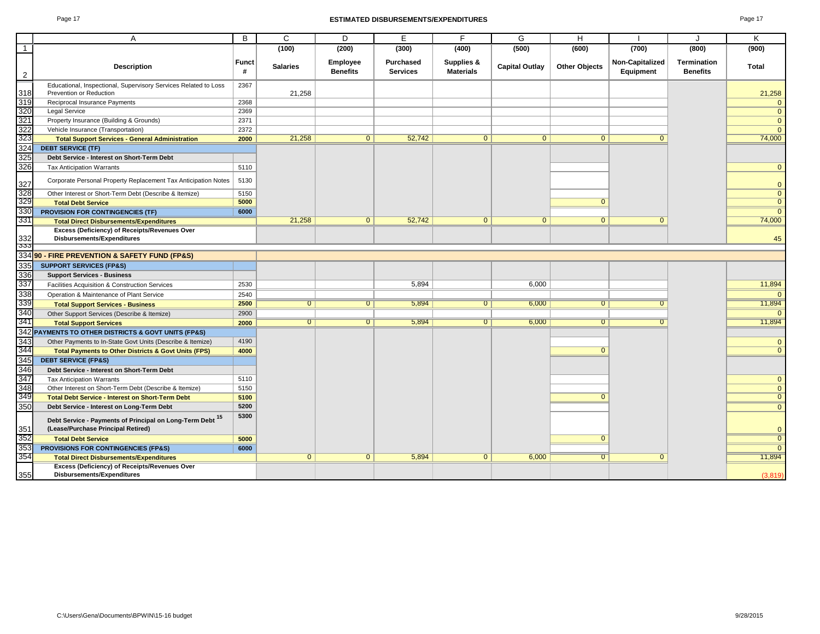#### Page 17 **ESTIMATED DISBURSEMENTS/EXPENDITURES** Page 17

| ŀ |  |
|---|--|
|---|--|

|                | $\overline{A}$                                                                                  | B                 | $\mathsf{C}$    | D                           | E                            | F                              | G                     | H                    |                              | J                              | Κ              |
|----------------|-------------------------------------------------------------------------------------------------|-------------------|-----------------|-----------------------------|------------------------------|--------------------------------|-----------------------|----------------------|------------------------------|--------------------------------|----------------|
| $\mathbf{1}$   |                                                                                                 |                   | (100)           | (200)                       | (300)                        | (400)                          | (500)                 | (600)                | (700)                        | (800)                          | (900)          |
| $\overline{2}$ | <b>Description</b>                                                                              | <b>Funct</b><br># | <b>Salaries</b> | Employee<br><b>Benefits</b> | Purchased<br><b>Services</b> | Supplies &<br><b>Materials</b> | <b>Capital Outlay</b> | <b>Other Objects</b> | Non-Capitalized<br>Equipment | Termination<br><b>Benefits</b> | Total          |
|                | Educational, Inspectional, Supervisory Services Related to Loss                                 | 2367              |                 |                             |                              |                                |                       |                      |                              |                                |                |
| 318            | Prevention or Reduction                                                                         |                   | 21,258          |                             |                              |                                |                       |                      |                              |                                | 21,258         |
| 319            | Reciprocal Insurance Payments                                                                   | 2368              |                 |                             |                              |                                |                       |                      |                              |                                | $\overline{0}$ |
| 320            | <b>Legal Service</b>                                                                            | 2369              |                 |                             |                              |                                |                       |                      |                              |                                | $\overline{0}$ |
| 321            | Property Insurance (Building & Grounds)                                                         | 2371              |                 |                             |                              |                                |                       |                      |                              |                                | $\overline{0}$ |
| 322<br>323     | Vehicle Insurance (Transportation)                                                              | 2372              |                 |                             |                              |                                |                       |                      |                              |                                | $\overline{0}$ |
|                | <b>Total Support Services - General Administration</b>                                          | 2000              | 21,258          | $\mathbf{0}$                | 52,742                       | $\overline{0}$                 | $\mathbf{0}$          | 0 <sup>1</sup>       | $\Omega$                     |                                | 74,000         |
| 324            | <b>DEBT SERVICE (TF)</b>                                                                        |                   |                 |                             |                              |                                |                       |                      |                              |                                |                |
| 325            | Debt Service - Interest on Short-Term Debt                                                      |                   |                 |                             |                              |                                |                       |                      |                              |                                |                |
| 326            | <b>Tax Anticipation Warrants</b>                                                                | 5110              |                 |                             |                              |                                |                       |                      |                              |                                | $\overline{0}$ |
| 327            | Corporate Personal Property Replacement Tax Anticipation Notes                                  | 5130              |                 |                             |                              |                                |                       |                      |                              |                                | $\overline{0}$ |
| 328<br>329     | Other Interest or Short-Term Debt (Describe & Itemize)                                          | 5150              |                 |                             |                              |                                |                       |                      |                              |                                | $\overline{0}$ |
|                | <b>Total Debt Service</b>                                                                       | 5000              |                 |                             |                              |                                |                       | $\mathbf{0}$         |                              |                                | $\overline{0}$ |
| 330            | PROVISION FOR CONTINGENCIES (TF)                                                                | 6000              |                 |                             |                              |                                |                       |                      |                              |                                | $\overline{0}$ |
| 331            | <b>Total Direct Disbursements/Expenditures</b>                                                  |                   | 21,258          | $\overline{0}$              | 52,742                       | $\overline{0}$                 | $\overline{0}$        | $\overline{0}$       | $\mathbf{0}$                 |                                | 74,000         |
| 332            | Excess (Deficiency) of Receipts/Revenues Over<br>Disbursements/Expenditures                     |                   |                 |                             |                              |                                |                       |                      |                              |                                | 45             |
| 333            |                                                                                                 |                   |                 |                             |                              |                                |                       |                      |                              |                                |                |
|                | 334 90 - FIRE PREVENTION & SAFETY FUND (FP&S)                                                   |                   |                 |                             |                              |                                |                       |                      |                              |                                |                |
| 335            | <b>SUPPORT SERVICES (FP&amp;S)</b>                                                              |                   |                 |                             |                              |                                |                       |                      |                              |                                |                |
| 336            | <b>Support Services - Business</b>                                                              |                   |                 |                             |                              |                                |                       |                      |                              |                                |                |
| 337            | Facilities Acquisition & Construction Services                                                  | 2530              |                 |                             | 5,894                        |                                | 6,000                 |                      |                              |                                | 11,894         |
| 338            | Operation & Maintenance of Plant Service                                                        | 2540              |                 |                             |                              |                                |                       |                      |                              |                                | $\overline{0}$ |
| 339            | <b>Total Support Services - Business</b>                                                        | 2500              | $\overline{0}$  | $\overline{0}$              | 5,894                        | $\overline{0}$                 | 6,000                 | 0                    |                              |                                | 11,894         |
| 340<br>341     | Other Support Services (Describe & Itemize)                                                     | 2900              |                 |                             |                              |                                |                       |                      |                              |                                | $\overline{0}$ |
|                | <b>Total Support Services</b>                                                                   | 2000              | $\overline{0}$  | $\overline{0}$              | 5,894                        | $\overline{0}$                 | 6,000                 | $\overline{0}$       | $\Omega$                     |                                | 11,894         |
|                | 342 PAYMENTS TO OTHER DISTRICTS & GOVT UNITS (FP&S)                                             |                   |                 |                             |                              |                                |                       |                      |                              |                                |                |
| 343<br>344     | Other Payments to In-State Govt Units (Describe & Itemize)                                      | 4190              |                 |                             |                              |                                |                       |                      |                              |                                | $\overline{0}$ |
|                | <b>Total Payments to Other Districts &amp; Govt Units (FPS)</b>                                 | 4000              |                 |                             |                              |                                |                       | $\overline{0}$       |                              |                                | $\overline{0}$ |
| 345            | <b>DEBT SERVICE (FP&amp;S)</b>                                                                  |                   |                 |                             |                              |                                |                       |                      |                              |                                |                |
| 346            | Debt Service - Interest on Short-Term Debt                                                      |                   |                 |                             |                              |                                |                       |                      |                              |                                |                |
| 347            | <b>Tax Anticipation Warrants</b>                                                                | 5110              |                 |                             |                              |                                |                       |                      |                              |                                | $\overline{0}$ |
| 348<br>349     | Other Interest on Short-Term Debt (Describe & Itemize)                                          | 5150              |                 |                             |                              |                                |                       |                      |                              |                                | $\overline{0}$ |
|                | <b>Total Debt Service - Interest on Short-Term Debt</b>                                         | 5100              |                 |                             |                              |                                |                       | $\mathbf{0}$         |                              |                                | $\overline{0}$ |
| 350            | Debt Service - Interest on Long-Term Debt                                                       | 5200              |                 |                             |                              |                                |                       |                      |                              |                                | $\overline{0}$ |
| 351            | Debt Service - Payments of Principal on Long-Term Debt 15<br>(Lease/Purchase Principal Retired) | 5300              |                 |                             |                              |                                |                       |                      |                              |                                | $\overline{0}$ |
| 352            | <b>Total Debt Service</b>                                                                       | 5000              |                 |                             |                              |                                |                       | $\mathbf{0}$         |                              |                                | $\overline{0}$ |
| 353            | PROVISIONS FOR CONTINGENCIES (FP&S)                                                             | 6000              |                 |                             |                              |                                |                       |                      |                              |                                | $\overline{0}$ |
| 354            | <b>Total Direct Disbursements/Expenditures</b>                                                  |                   | $\mathbf{0}$    | $\mathbf{0}$                | 5,894                        | $\overline{0}$                 | 6,000                 | $\overline{0}$       | $\mathbf{0}$                 |                                | 11,894         |
| 355            | Excess (Deficiency) of Receipts/Revenues Over<br><b>Disbursements/Expenditures</b>              |                   |                 |                             |                              |                                |                       |                      |                              |                                | (3,819)        |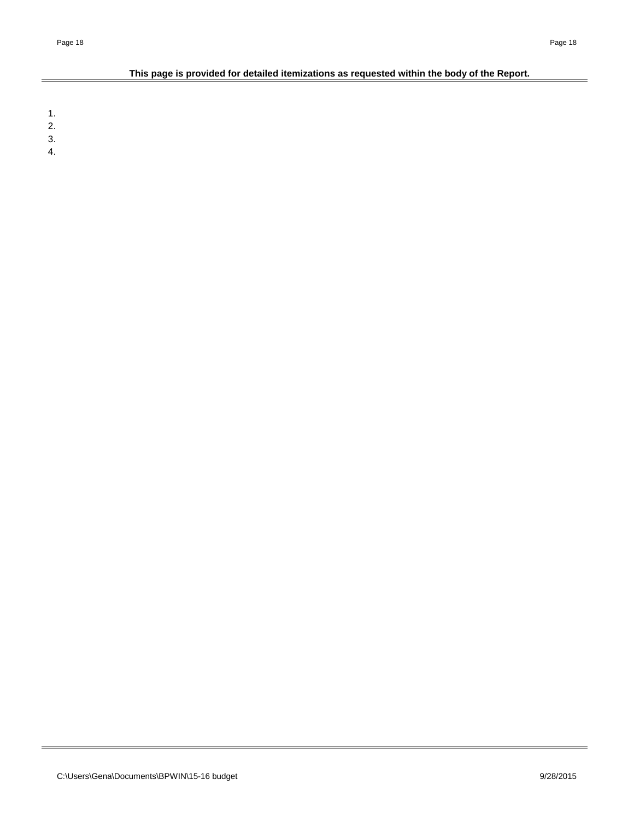# **This page is provided for detailed itemizations as requested within the body of the Report.**

1.

2.

3.

4.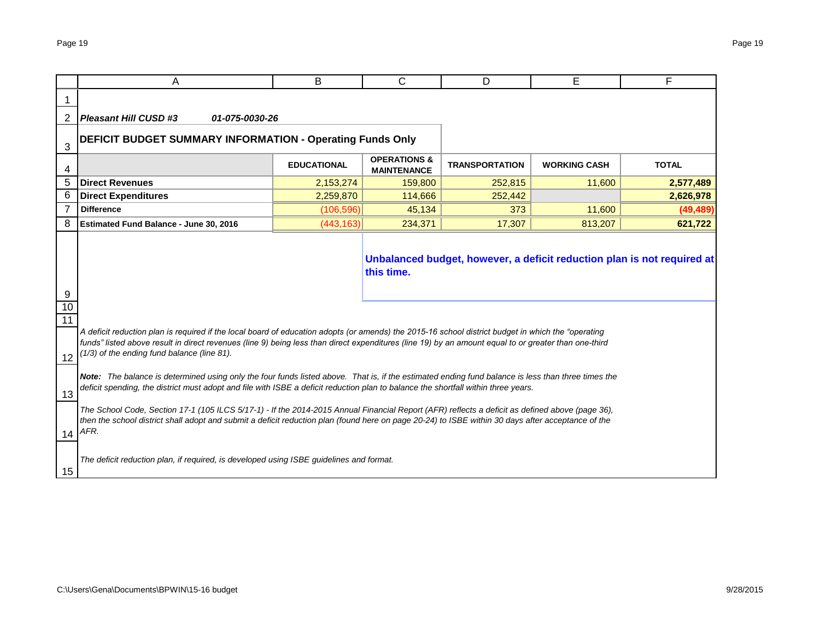|                       | A                                                                                                                                                                                                                                                                                                                                                                                                                                                                                                                                                                                                 | B                  | C                                             | D                     | Е                   | F            |  |  |  |  |
|-----------------------|---------------------------------------------------------------------------------------------------------------------------------------------------------------------------------------------------------------------------------------------------------------------------------------------------------------------------------------------------------------------------------------------------------------------------------------------------------------------------------------------------------------------------------------------------------------------------------------------------|--------------------|-----------------------------------------------|-----------------------|---------------------|--------------|--|--|--|--|
|                       |                                                                                                                                                                                                                                                                                                                                                                                                                                                                                                                                                                                                   |                    |                                               |                       |                     |              |  |  |  |  |
| 2                     | <b>Pleasant Hill CUSD #3</b><br>01-075-0030-26                                                                                                                                                                                                                                                                                                                                                                                                                                                                                                                                                    |                    |                                               |                       |                     |              |  |  |  |  |
| 3                     | <b>DEFICIT BUDGET SUMMARY INFORMATION - Operating Funds Only</b>                                                                                                                                                                                                                                                                                                                                                                                                                                                                                                                                  |                    |                                               |                       |                     |              |  |  |  |  |
| 4                     |                                                                                                                                                                                                                                                                                                                                                                                                                                                                                                                                                                                                   | <b>EDUCATIONAL</b> | <b>OPERATIONS &amp;</b><br><b>MAINTENANCE</b> | <b>TRANSPORTATION</b> | <b>WORKING CASH</b> | <b>TOTAL</b> |  |  |  |  |
| 5                     | <b>Direct Revenues</b>                                                                                                                                                                                                                                                                                                                                                                                                                                                                                                                                                                            | 2,153,274          | 159,800                                       | 252,815               | 11,600              | 2,577,489    |  |  |  |  |
| 6                     | <b>Direct Expenditures</b>                                                                                                                                                                                                                                                                                                                                                                                                                                                                                                                                                                        | 2,259,870          | 114,666                                       | 252,442               |                     | 2,626,978    |  |  |  |  |
| 7                     | <b>Difference</b>                                                                                                                                                                                                                                                                                                                                                                                                                                                                                                                                                                                 | (106, 596)         | 45,134                                        | 373                   | 11,600              | (49, 489)    |  |  |  |  |
| 8                     | <b>Estimated Fund Balance - June 30, 2016</b>                                                                                                                                                                                                                                                                                                                                                                                                                                                                                                                                                     | (443, 163)         | 234,371                                       | 17,307                | 813,207             | 621,722      |  |  |  |  |
| 9<br>$10$<br>11<br>12 | A deficit reduction plan is required if the local board of education adopts (or amends) the 2015-16 school district budget in which the "operating<br>funds" listed above result in direct revenues (line 9) being less than direct expenditures (line 19) by an amount equal to or greater than one-third<br>(1/3) of the ending fund balance (line 81).                                                                                                                                                                                                                                         |                    | this time.                                    |                       |                     |              |  |  |  |  |
| 13                    | Note: The balance is determined using only the four funds listed above. That is, if the estimated ending fund balance is less than three times the<br>deficit spending, the district must adopt and file with ISBE a deficit reduction plan to balance the shortfall within three years.<br>The School Code, Section 17-1 (105 ILCS 5/17-1) - If the 2014-2015 Annual Financial Report (AFR) reflects a deficit as defined above (page 36),<br>then the school district shall adopt and submit a deficit reduction plan (found here on page 20-24) to ISBE within 30 days after acceptance of the |                    |                                               |                       |                     |              |  |  |  |  |
| 14<br>15              | AFR.<br>The deficit reduction plan, if required, is developed using ISBE guidelines and format.                                                                                                                                                                                                                                                                                                                                                                                                                                                                                                   |                    |                                               |                       |                     |              |  |  |  |  |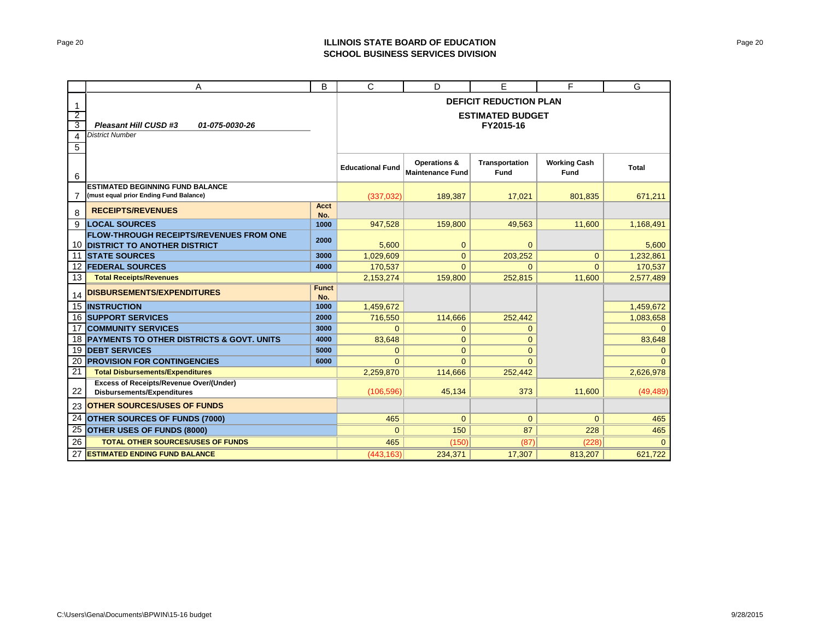# Page 20 **ILLINOIS STATE BOARD OF EDUCATION SCHOOL BUSINESS SERVICES DIVISION**

|                 | A                                                                                   | B                   | C                       | D                                                  | E                                    | F                           | G         |  |  |  |  |  |  |
|-----------------|-------------------------------------------------------------------------------------|---------------------|-------------------------|----------------------------------------------------|--------------------------------------|-----------------------------|-----------|--|--|--|--|--|--|
| -1              |                                                                                     |                     |                         |                                                    | <b>DEFICIT REDUCTION PLAN</b>        |                             |           |  |  |  |  |  |  |
| $\overline{2}$  |                                                                                     |                     |                         |                                                    | <b>ESTIMATED BUDGET</b>              |                             |           |  |  |  |  |  |  |
| 3               | <b>Pleasant Hill CUSD #3</b><br>01-075-0030-26                                      |                     |                         |                                                    | FY2015-16                            |                             |           |  |  |  |  |  |  |
| 4               | <b>District Number</b>                                                              |                     |                         |                                                    |                                      |                             |           |  |  |  |  |  |  |
| 5               |                                                                                     |                     |                         |                                                    |                                      |                             |           |  |  |  |  |  |  |
| 6               |                                                                                     |                     | <b>Educational Fund</b> | <b>Operations &amp;</b><br><b>Maintenance Fund</b> | <b>Transportation</b><br><b>Fund</b> | <b>Working Cash</b><br>Fund | Total     |  |  |  |  |  |  |
|                 | <b>ESTIMATED BEGINNING FUND BALANCE</b>                                             |                     |                         |                                                    |                                      |                             |           |  |  |  |  |  |  |
|                 | (must equal prior Ending Fund Balance)                                              |                     | (337,032)               | 189,387                                            | 17,021                               | 801,835                     | 671,211   |  |  |  |  |  |  |
| 8               | <b>RECEIPTS/REVENUES</b>                                                            | Acct<br>No.         |                         |                                                    |                                      |                             |           |  |  |  |  |  |  |
| 9               | <b>LOCAL SOURCES</b>                                                                | 1000                | 947.528                 | 159,800                                            | 49.563                               | 11.600                      | 1,168,491 |  |  |  |  |  |  |
|                 | <b>FLOW-THROUGH RECEIPTS/REVENUES FROM ONE</b>                                      | 2000                |                         |                                                    |                                      |                             |           |  |  |  |  |  |  |
|                 | <b>10 DISTRICT TO ANOTHER DISTRICT</b>                                              |                     | 5,600                   | $\mathbf{0}$                                       | $\mathbf{0}$                         |                             | 5,600     |  |  |  |  |  |  |
|                 | <b>11 STATE SOURCES</b>                                                             | 3000                | 1,029,609               | $\overline{0}$                                     | 203,252                              | $\Omega$                    | 1,232,861 |  |  |  |  |  |  |
|                 | <b>12 FEDERAL SOURCES</b>                                                           | 4000                | 170,537                 | $\Omega$                                           | $\Omega$                             | $\Omega$                    | 170,537   |  |  |  |  |  |  |
| 13              | <b>Total Receipts/Revenues</b>                                                      |                     | 2,153,274               | 159,800                                            | 252,815                              | 11,600                      | 2,577,489 |  |  |  |  |  |  |
| 14              | <b>DISBURSEMENTS/EXPENDITURES</b>                                                   | <b>Funct</b><br>No. |                         |                                                    |                                      |                             |           |  |  |  |  |  |  |
|                 | <b>15 INSTRUCTION</b>                                                               | 1000                | 1,459,672               |                                                    |                                      |                             | 1,459,672 |  |  |  |  |  |  |
|                 | <b>16 SUPPORT SERVICES</b>                                                          | 2000                | 716,550                 | 114,666                                            | 252.442                              |                             | 1,083,658 |  |  |  |  |  |  |
|                 | <b>17 COMMUNITY SERVICES</b>                                                        | 3000                | $\Omega$                | $\mathbf{0}$                                       | $\mathbf{0}$                         |                             | $\Omega$  |  |  |  |  |  |  |
|                 | <b>18 PAYMENTS TO OTHER DISTRICTS &amp; GOVT. UNITS</b>                             | 4000                | 83,648                  | $\mathbf 0$                                        | $\mathbf{0}$                         |                             | 83,648    |  |  |  |  |  |  |
| 19              | <b>DEBT SERVICES</b>                                                                | 5000                | $\Omega$                | $\overline{0}$                                     | $\Omega$                             |                             | $\Omega$  |  |  |  |  |  |  |
| 20              | <b>PROVISION FOR CONTINGENCIES</b>                                                  | 6000                | $\Omega$                | $\Omega$                                           | $\Omega$                             |                             | $\Omega$  |  |  |  |  |  |  |
| 21              | <b>Total Disbursements/Expenditures</b>                                             |                     | 2,259,870               | 114,666                                            | 252,442                              |                             | 2,626,978 |  |  |  |  |  |  |
| 22              | <b>Excess of Receipts/Revenue Over/(Under)</b><br><b>Disbursements/Expenditures</b> |                     | (106.596)               | 45.134                                             | 373                                  | 11.600                      | (49, 489) |  |  |  |  |  |  |
| 23              | <b>OTHER SOURCES/USES OF FUNDS</b>                                                  |                     |                         |                                                    |                                      |                             |           |  |  |  |  |  |  |
| $\overline{24}$ | <b>OTHER SOURCES OF FUNDS (7000)</b>                                                |                     | 465                     | $\overline{0}$                                     | $\overline{0}$                       | $\overline{0}$              | 465       |  |  |  |  |  |  |
| $\overline{25}$ | <b>OTHER USES OF FUNDS (8000)</b>                                                   |                     | $\overline{0}$          | 150                                                | 87                                   | 228                         | 465       |  |  |  |  |  |  |
| 26              | <b>TOTAL OTHER SOURCES/USES OF FUNDS</b>                                            |                     | 465                     | (150)                                              | (87)                                 | (228)                       | $\Omega$  |  |  |  |  |  |  |
| 27              | <b>ESTIMATED ENDING FUND BALANCE</b>                                                |                     | (443, 163)              | 234,371                                            | 17,307                               | 813,207                     | 621,722   |  |  |  |  |  |  |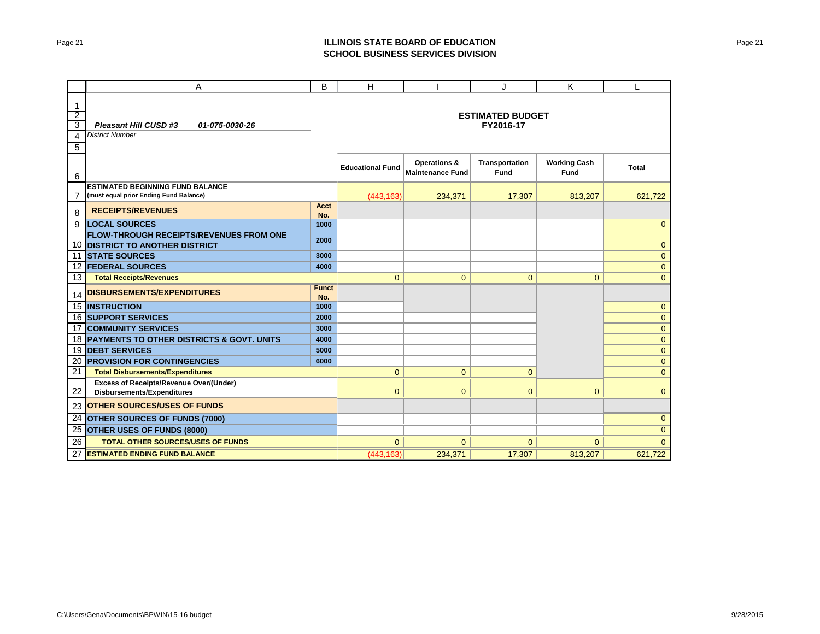# Page 21 **ILLINOIS STATE BOARD OF EDUCATION SCHOOL BUSINESS SERVICES DIVISION**

|                                                                               | A                                                                                         | B                   | H                       |                                                    | J                                    | K                                  | L              |
|-------------------------------------------------------------------------------|-------------------------------------------------------------------------------------------|---------------------|-------------------------|----------------------------------------------------|--------------------------------------|------------------------------------|----------------|
| $\mathbf{1}$<br>$\overline{2}$<br>$\overline{\mathbf{3}}$<br>4<br>$\mathbf 5$ | Pleasant Hill CUSD #3<br>01-075-0030-26<br><b>District Number</b>                         |                     |                         |                                                    | <b>ESTIMATED BUDGET</b><br>FY2016-17 |                                    |                |
| 6                                                                             |                                                                                           |                     | <b>Educational Fund</b> | <b>Operations &amp;</b><br><b>Maintenance Fund</b> | Transportation<br><b>Fund</b>        | <b>Working Cash</b><br><b>Fund</b> | <b>Total</b>   |
|                                                                               | <b>ESTIMATED BEGINNING FUND BALANCE</b>                                                   |                     |                         |                                                    |                                      |                                    |                |
| 7                                                                             | (must equal prior Ending Fund Balance)                                                    |                     | (443, 163)              | 234,371                                            | 17,307                               | 813,207                            | 621,722        |
| 8                                                                             | <b>RECEIPTS/REVENUES</b>                                                                  | Acct<br>No.         |                         |                                                    |                                      |                                    |                |
| 9                                                                             | <b>LOCAL SOURCES</b>                                                                      | 1000                |                         |                                                    |                                      |                                    | $\mathbf{0}$   |
|                                                                               | <b>FLOW-THROUGH RECEIPTS/REVENUES FROM ONE</b><br>10 <b>IDISTRICT TO ANOTHER DISTRICT</b> | 2000                |                         |                                                    |                                      |                                    | $\mathbf{0}$   |
|                                                                               | 11 STATE SOURCES                                                                          | 3000                |                         |                                                    |                                      |                                    | $\mathbf{0}$   |
|                                                                               | 12 <b>FEDERAL SOURCES</b>                                                                 | 4000                |                         |                                                    |                                      |                                    | $\mathbf{0}$   |
| 13                                                                            | <b>Total Receipts/Revenues</b>                                                            |                     | $\mathbf{0}$            | $\mathbf{0}$                                       | $\mathbf{0}$                         | $\mathbf{0}$                       | $\overline{0}$ |
| 14                                                                            | <b>DISBURSEMENTS/EXPENDITURES</b>                                                         | <b>Funct</b><br>No. |                         |                                                    |                                      |                                    |                |
|                                                                               | <b>15 INSTRUCTION</b>                                                                     | 1000                |                         |                                                    |                                      |                                    | $\mathbf{0}$   |
|                                                                               | <b>16 SUPPORT SERVICES</b>                                                                | 2000                |                         |                                                    |                                      |                                    | $\mathbf{0}$   |
|                                                                               | <b>17 COMMUNITY SERVICES</b>                                                              | 3000                |                         |                                                    |                                      |                                    | $\mathbf{0}$   |
|                                                                               | 18 PAYMENTS TO OTHER DISTRICTS & GOVT. UNITS                                              | 4000                |                         |                                                    |                                      |                                    | $\mathbf{0}$   |
|                                                                               | <b>19 DEBT SERVICES</b>                                                                   | 5000                |                         |                                                    |                                      |                                    | $\mathbf{0}$   |
| 21                                                                            | 20 <b>PROVISION FOR CONTINGENCIES</b><br><b>Total Disbursements/Expenditures</b>          | 6000                | $\mathbf{0}$            | $\overline{0}$                                     | $\mathbf{0}$                         |                                    | $\mathbf{0}$   |
|                                                                               | <b>Excess of Receipts/Revenue Over/(Under)</b>                                            |                     |                         |                                                    |                                      |                                    | $\mathbf{0}$   |
| 22                                                                            | <b>Disbursements/Expenditures</b>                                                         |                     | $\mathbf{0}$            | $\mathbf{0}$                                       | $\mathbf{0}$                         | $\mathbf{0}$                       | $\mathbf{0}$   |
| 23                                                                            | <b>OTHER SOURCES/USES OF FUNDS</b>                                                        |                     |                         |                                                    |                                      |                                    |                |
|                                                                               | 24 OTHER SOURCES OF FUNDS (7000)                                                          |                     |                         |                                                    |                                      |                                    | $\overline{0}$ |
| 25                                                                            | <b>OTHER USES OF FUNDS (8000)</b>                                                         |                     |                         |                                                    |                                      |                                    | $\mathbf{0}$   |
| 26                                                                            | <b>TOTAL OTHER SOURCES/USES OF FUNDS</b>                                                  |                     | $\Omega$                | $\Omega$                                           | $\Omega$                             | $\Omega$                           | $\mathbf{0}$   |
| 27                                                                            | <b>ESTIMATED ENDING FUND BALANCE</b>                                                      |                     | (443, 163)              | 234,371                                            | 17,307                               | 813,207                            | 621,722        |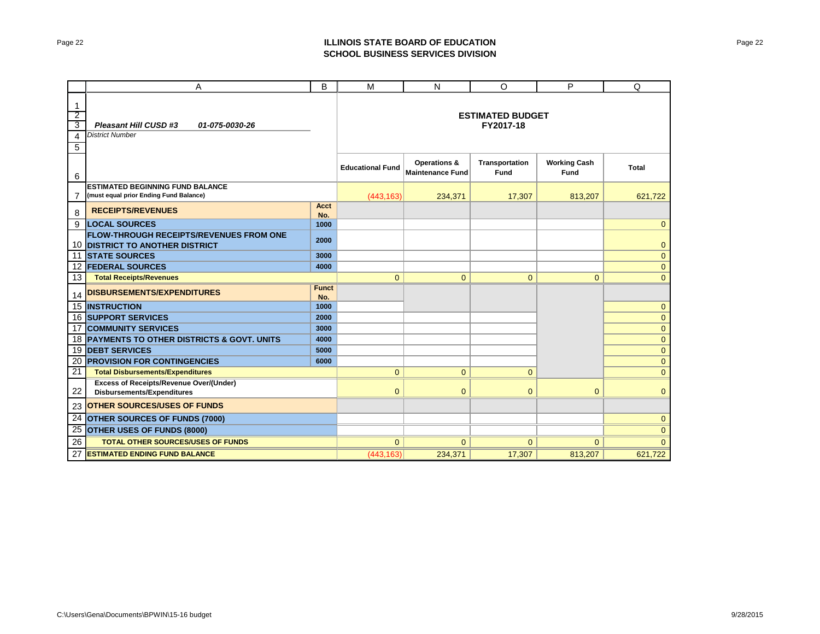# Page 22 **ILLINOIS STATE BOARD OF EDUCATION SCHOOL BUSINESS SERVICES DIVISION**

|                                                         | Α                                                                                        | B                   | M                       | N                                       | O                                    | P                           | Q                            |
|---------------------------------------------------------|------------------------------------------------------------------------------------------|---------------------|-------------------------|-----------------------------------------|--------------------------------------|-----------------------------|------------------------------|
| $\mathbf{1}$<br>$\overline{2}$<br>3<br>4<br>$\mathbf 5$ | Pleasant Hill CUSD #3<br>01-075-0030-26<br><b>District Number</b>                        |                     |                         |                                         | <b>ESTIMATED BUDGET</b><br>FY2017-18 |                             |                              |
| 6                                                       |                                                                                          |                     | <b>Educational Fund</b> | Operations &<br><b>Maintenance Fund</b> | <b>Transportation</b><br><b>Fund</b> | <b>Working Cash</b><br>Fund | <b>Total</b>                 |
|                                                         | <b>ESTIMATED BEGINNING FUND BALANCE</b>                                                  |                     |                         |                                         |                                      |                             |                              |
| 7                                                       | (must equal prior Ending Fund Balance)                                                   |                     | (443, 163)              | 234,371                                 | 17,307                               | 813,207                     | 621,722                      |
| 8                                                       | <b>RECEIPTS/REVENUES</b>                                                                 | Acct<br>No.         |                         |                                         |                                      |                             |                              |
| 9                                                       | <b>LOCAL SOURCES</b>                                                                     | 1000                |                         |                                         |                                      |                             | $\mathbf{0}$                 |
|                                                         | <b>FLOW-THROUGH RECEIPTS/REVENUES FROM ONE</b><br><b>10 DISTRICT TO ANOTHER DISTRICT</b> | 2000                |                         |                                         |                                      |                             | $\mathbf{0}$                 |
|                                                         | 11 STATE SOURCES                                                                         | 3000                |                         |                                         |                                      |                             | $\mathbf{0}$                 |
|                                                         | 12 <b>FEDERAL SOURCES</b>                                                                | 4000                |                         |                                         |                                      |                             | $\mathbf{0}$                 |
| 13                                                      | <b>Total Receipts/Revenues</b>                                                           |                     | $\overline{0}$          | $\overline{0}$                          | $\overline{0}$                       | $\mathbf{0}$                | $\mathbf{0}$                 |
| 14                                                      | <b>DISBURSEMENTS/EXPENDITURES</b>                                                        | <b>Funct</b><br>No. |                         |                                         |                                      |                             |                              |
|                                                         | <b>15 INSTRUCTION</b>                                                                    | 1000                |                         |                                         |                                      |                             | $\mathbf{0}$                 |
|                                                         | <b>16 SUPPORT SERVICES</b>                                                               | 2000                |                         |                                         |                                      |                             | $\mathbf{0}$                 |
|                                                         | <b>17 COMMUNITY SERVICES</b>                                                             | 3000                |                         |                                         |                                      |                             | $\mathbf{0}$                 |
|                                                         | 18 PAYMENTS TO OTHER DISTRICTS & GOVT. UNITS                                             | 4000                |                         |                                         |                                      |                             | $\mathbf{0}$                 |
|                                                         | <b>19 DEBT SERVICES</b><br>20 <b>PROVISION FOR CONTINGENCIES</b>                         | 5000<br>6000        |                         |                                         |                                      |                             | $\mathbf{0}$                 |
| 21                                                      | <b>Total Disbursements/Expenditures</b>                                                  |                     | $\Omega$                | $\overline{0}$                          | $\overline{0}$                       |                             | $\mathbf{0}$<br>$\mathbf{0}$ |
|                                                         | <b>Excess of Receipts/Revenue Over/(Under)</b>                                           |                     |                         |                                         |                                      |                             |                              |
| 22                                                      | <b>Disbursements/Expenditures</b>                                                        |                     | $\Omega$                | $\mathbf{0}$                            | $\mathbf{0}$                         | $\mathbf{0}$                | $\mathbf{0}$                 |
| 23                                                      | <b>OTHER SOURCES/USES OF FUNDS</b>                                                       |                     |                         |                                         |                                      |                             |                              |
|                                                         | 24 OTHER SOURCES OF FUNDS (7000)                                                         |                     |                         |                                         |                                      |                             | $\mathbf{0}$                 |
| $\overline{25}$                                         | <b>OTHER USES OF FUNDS (8000)</b>                                                        |                     |                         |                                         |                                      |                             | $\mathbf{0}$                 |
| 26                                                      | <b>TOTAL OTHER SOURCES/USES OF FUNDS</b>                                                 |                     | $\Omega$                | $\mathbf{0}$                            | $\mathbf{0}$                         | $\mathbf{0}$                | $\Omega$                     |
| 27                                                      | <b>ESTIMATED ENDING FUND BALANCE</b>                                                     |                     | (443, 163)              | 234,371                                 | 17,307                               | 813,207                     | 621,722                      |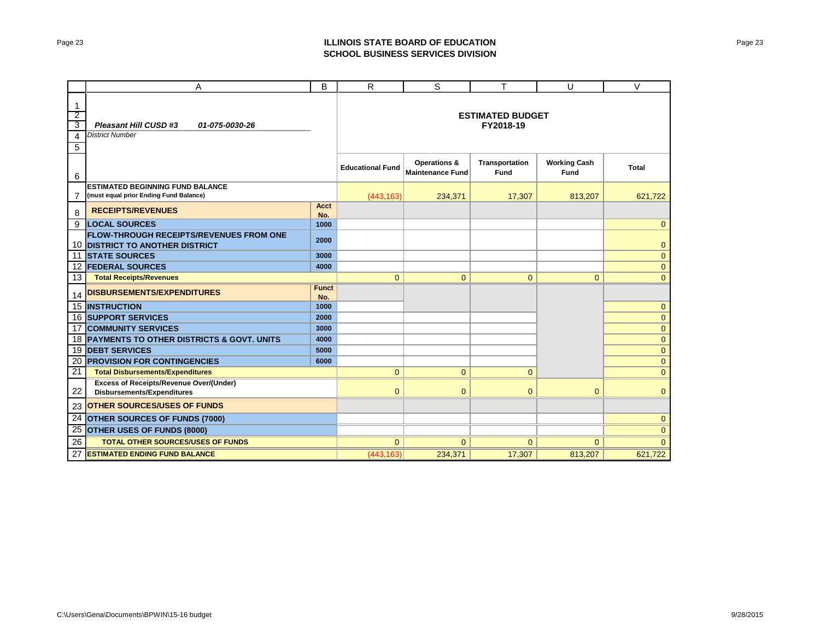# Page 23 **ILLINOIS STATE BOARD OF EDUCATION SCHOOL BUSINESS SERVICES DIVISION**

|                                                         | Α                                                                                        | B                   | R                       | S                                       | T                                    | U                           | $\vee$       |
|---------------------------------------------------------|------------------------------------------------------------------------------------------|---------------------|-------------------------|-----------------------------------------|--------------------------------------|-----------------------------|--------------|
| $\mathbf{1}$<br>$\overline{2}$<br>3<br>4<br>$\mathbf 5$ | Pleasant Hill CUSD #3<br>01-075-0030-26<br><b>District Number</b>                        |                     |                         |                                         | <b>ESTIMATED BUDGET</b><br>FY2018-19 |                             |              |
| 6                                                       |                                                                                          |                     | <b>Educational Fund</b> | Operations &<br><b>Maintenance Fund</b> | <b>Transportation</b><br><b>Fund</b> | <b>Working Cash</b><br>Fund | <b>Total</b> |
|                                                         | <b>ESTIMATED BEGINNING FUND BALANCE</b>                                                  |                     |                         |                                         |                                      |                             |              |
| 7                                                       | (must equal prior Ending Fund Balance)                                                   |                     | (443, 163)              | 234,371                                 | 17,307                               | 813,207                     | 621,722      |
| 8                                                       | <b>RECEIPTS/REVENUES</b>                                                                 | Acct<br>No.         |                         |                                         |                                      |                             |              |
| 9                                                       | <b>LOCAL SOURCES</b>                                                                     | 1000                |                         |                                         |                                      |                             | $\mathbf{0}$ |
|                                                         | <b>FLOW-THROUGH RECEIPTS/REVENUES FROM ONE</b><br><b>10 DISTRICT TO ANOTHER DISTRICT</b> | 2000                |                         |                                         |                                      |                             | $\mathbf{0}$ |
|                                                         | 11 STATE SOURCES                                                                         | 3000                |                         |                                         |                                      |                             | $\mathbf{0}$ |
|                                                         | 12 <b>FEDERAL SOURCES</b>                                                                | 4000                |                         |                                         |                                      |                             | $\mathbf{0}$ |
| 13                                                      | <b>Total Receipts/Revenues</b>                                                           |                     | $\overline{0}$          | $\overline{0}$                          | $\overline{0}$                       | $\mathbf{0}$                | $\mathbf{0}$ |
| 14                                                      | <b>DISBURSEMENTS/EXPENDITURES</b>                                                        | <b>Funct</b><br>No. |                         |                                         |                                      |                             |              |
|                                                         | <b>15 INSTRUCTION</b>                                                                    | 1000                |                         |                                         |                                      |                             | $\mathbf{0}$ |
|                                                         | <b>16 SUPPORT SERVICES</b>                                                               | 2000                |                         |                                         |                                      |                             | $\mathbf{0}$ |
|                                                         | <b>17 COMMUNITY SERVICES</b>                                                             | 3000                |                         |                                         |                                      |                             | $\mathbf{0}$ |
|                                                         | 18 PAYMENTS TO OTHER DISTRICTS & GOVT. UNITS                                             | 4000                |                         |                                         |                                      |                             | $\mathbf{0}$ |
|                                                         | <b>19 DEBT SERVICES</b>                                                                  | 5000                |                         |                                         |                                      |                             | $\mathbf{0}$ |
| 21                                                      | 20 <b>PROVISION FOR CONTINGENCIES</b><br><b>Total Disbursements/Expenditures</b>         | 6000                | $\Omega$                | $\overline{0}$                          | $\overline{0}$                       |                             | $\mathbf{0}$ |
|                                                         | <b>Excess of Receipts/Revenue Over/(Under)</b>                                           |                     |                         |                                         |                                      |                             | $\mathbf{0}$ |
| 22                                                      | <b>Disbursements/Expenditures</b>                                                        |                     | $\Omega$                | $\mathbf{0}$                            | $\mathbf{0}$                         | $\mathbf{0}$                | $\mathbf{0}$ |
| 23                                                      | <b>OTHER SOURCES/USES OF FUNDS</b>                                                       |                     |                         |                                         |                                      |                             |              |
|                                                         | 24 OTHER SOURCES OF FUNDS (7000)                                                         |                     |                         |                                         |                                      |                             | $\mathbf{0}$ |
| $\overline{25}$                                         | <b>OTHER USES OF FUNDS (8000)</b>                                                        |                     |                         |                                         |                                      |                             | $\mathbf{0}$ |
| 26                                                      | <b>TOTAL OTHER SOURCES/USES OF FUNDS</b>                                                 |                     | $\Omega$                | $\mathbf{0}$                            | $\mathbf{0}$                         | $\mathbf{0}$                | $\Omega$     |
| 27                                                      | <b>ESTIMATED ENDING FUND BALANCE</b>                                                     |                     | (443, 163)              | 234,371                                 | 17,307                               | 813,207                     | 621,722      |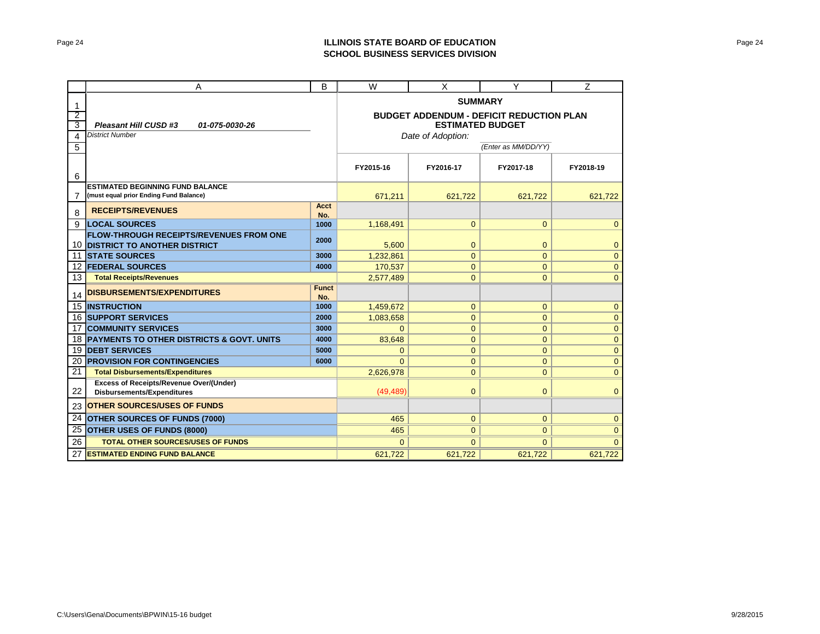# Page 24 **ILLINOIS STATE BOARD OF EDUCATION SCHOOL BUSINESS SERVICES DIVISION**

|                | Α                                                                                   | в                       | W                                               | X              | Υ              | Z              |  |
|----------------|-------------------------------------------------------------------------------------|-------------------------|-------------------------------------------------|----------------|----------------|----------------|--|
| $\mathbf{1}$   |                                                                                     | <b>SUMMARY</b>          |                                                 |                |                |                |  |
| $\overline{2}$ |                                                                                     |                         | <b>BUDGET ADDENDUM - DEFICIT REDUCTION PLAN</b> |                |                |                |  |
| 3              | Pleasant Hill CUSD #3<br>01-075-0030-26                                             | <b>ESTIMATED BUDGET</b> |                                                 |                |                |                |  |
| 4              | <b>District Number</b>                                                              | Date of Adoption:       |                                                 |                |                |                |  |
| 5              |                                                                                     | (Enter as MM/DD/YY)     |                                                 |                |                |                |  |
| 6              |                                                                                     |                         | FY2015-16                                       | FY2016-17      | FY2017-18      | FY2018-19      |  |
|                | <b>ESTIMATED BEGINNING FUND BALANCE</b>                                             |                         |                                                 |                |                |                |  |
| 7              | (must equal prior Ending Fund Balance)                                              |                         | 671,211                                         | 621.722        | 621.722        | 621,722        |  |
| 8              | <b>RECEIPTS/REVENUES</b>                                                            | Acct<br>No.             |                                                 |                |                |                |  |
| 9              | <b>LOCAL SOURCES</b>                                                                | 1000                    | 1,168,491                                       | $\mathbf 0$    | $\mathbf{0}$   | $\overline{0}$ |  |
|                | <b>FLOW-THROUGH RECEIPTS/REVENUES FROM ONE</b>                                      | 2000                    |                                                 |                |                |                |  |
|                | <b>10 DISTRICT TO ANOTHER DISTRICT</b>                                              |                         | 5,600                                           | $\mathbf{0}$   | $\mathbf{0}$   | $\mathbf{0}$   |  |
|                | <b>11 STATE SOURCES</b>                                                             | 3000                    | 1,232,861                                       | $\mathbf{0}$   | $\overline{0}$ | $\overline{0}$ |  |
|                | <b>12 FEDERAL SOURCES</b>                                                           | 4000                    | 170,537                                         | $\mathbf{0}$   | $\mathbf{0}$   | $\mathbf{0}$   |  |
| 13             | <b>Total Receipts/Revenues</b>                                                      |                         | 2,577,489                                       | $\mathbf{0}$   | $\mathbf{0}$   | $\mathbf{0}$   |  |
| 14             | <b>DISBURSEMENTS/EXPENDITURES</b>                                                   | <b>Funct</b><br>No.     |                                                 |                |                |                |  |
| 15             | <b>INSTRUCTION</b>                                                                  | 1000                    | 1,459,672                                       | $\mathbf{0}$   | $\mathbf{0}$   | $\mathbf{0}$   |  |
|                | <b>16 SUPPORT SERVICES</b>                                                          | 2000                    | 1,083,658                                       | $\mathbf{0}$   | $\mathbf 0$    | $\mathbf{0}$   |  |
|                | <b>17 COMMUNITY SERVICES</b>                                                        | 3000                    | $\Omega$                                        | $\mathbf{0}$   | $\mathbf{0}$   | $\mathbf{0}$   |  |
|                | 18 PAYMENTS TO OTHER DISTRICTS & GOVT. UNITS                                        | 4000                    | 83,648                                          | $\mathbf{0}$   | $\mathbf{0}$   | $\mathbf{0}$   |  |
| 19             | <b>DEBT SERVICES</b>                                                                | 5000                    | $\mathbf{0}$                                    | $\mathbf{0}$   | $\overline{0}$ | $\mathbf{0}$   |  |
| 20             | <b>PROVISION FOR CONTINGENCIES</b><br>6000                                          |                         | $\Omega$                                        | $\mathbf{0}$   | $\mathbf{0}$   | $\mathbf{0}$   |  |
| 21             | <b>Total Disbursements/Expenditures</b>                                             |                         | 2.626.978                                       | $\mathbf{0}$   | $\overline{0}$ | $\overline{0}$ |  |
| 22             | <b>Excess of Receipts/Revenue Over/(Under)</b><br><b>Disbursements/Expenditures</b> |                         | (49, 489)                                       | $\overline{0}$ | $\mathbf{0}$   | $\mathbf{0}$   |  |
| 23             | <b>OTHER SOURCES/USES OF FUNDS</b>                                                  |                         |                                                 |                |                |                |  |
| 24             | <b>OTHER SOURCES OF FUNDS (7000)</b>                                                |                         | 465                                             | $\mathbf{0}$   | $\mathbf 0$    | $\mathbf{0}$   |  |
| 25             | <b>OTHER USES OF FUNDS (8000)</b>                                                   |                         | 465                                             | $\mathbf{0}$   | $\overline{0}$ | $\overline{0}$ |  |
| 26             | <b>TOTAL OTHER SOURCES/USES OF FUNDS</b>                                            |                         | $\Omega$                                        | $\mathbf{0}$   | $\Omega$       | $\Omega$       |  |
| 27             | <b>ESTIMATED ENDING FUND BALANCE</b>                                                |                         | 621,722                                         | 621.722        | 621.722        | 621,722        |  |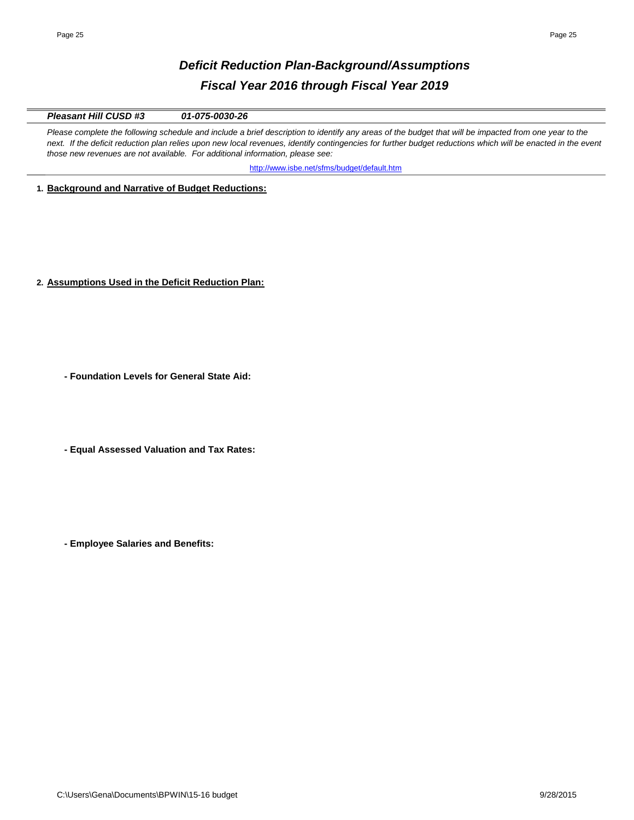# *Deficit Reduction Plan-Background/Assumptions Fiscal Year 2016 through Fiscal Year 2019*

*Pleasant Hill CUSD #3 01-075-0030-26*

Please complete the following schedule and include a brief description to identify any areas of the budget that will be impacted from one year to the next. If the deficit reduction plan relies upon new local revenues, identify contingencies for further budget reductions which will be enacted in the event *those new revenues are not available. For additional information, please see:* 

http://www.isbe.net/sfms/budget/default.htm

**1. Background and Narrative of Budget Reductions:**

**2. Assumptions Used in the Deficit Reduction Plan:**

**- Foundation Levels for General State Aid:**

**- Equal Assessed Valuation and Tax Rates:**

**- Employee Salaries and Benefits:**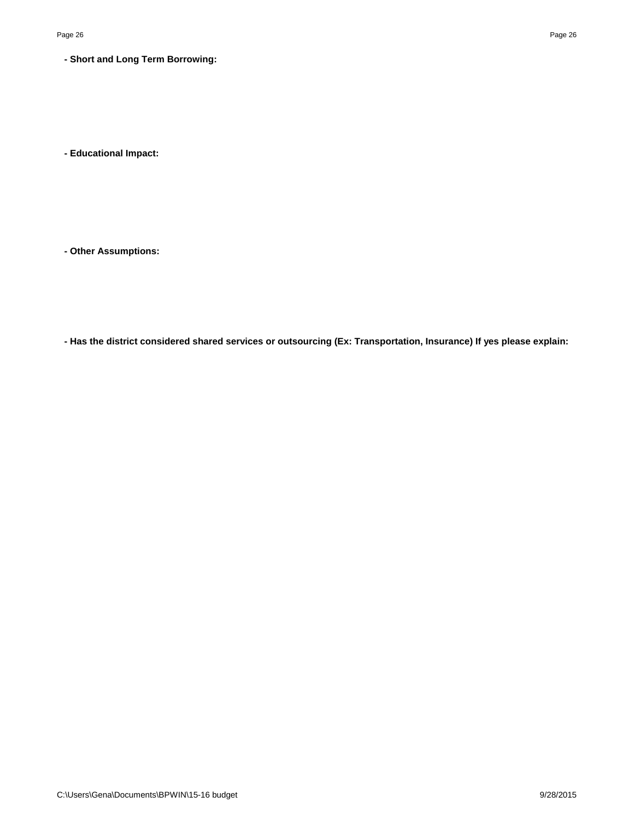**- Short and Long Term Borrowing:**

**- Educational Impact:**

**- Other Assumptions:**

**- Has the district considered shared services or outsourcing (Ex: Transportation, Insurance) If yes please explain:**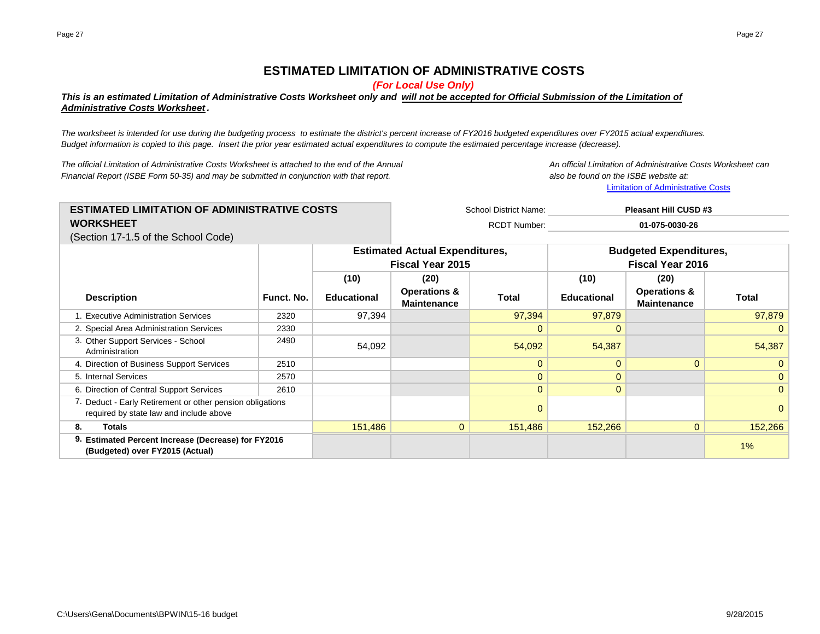# **ESTIMATED LIMITATION OF ADMINISTRATIVE COSTS**

*(For Local Use Only)*

# *This is an estimated Limitation of Administrative Costs Worksheet only and will not be accepted for Official Submission of the Limitation of Administrative Costs Worksheet .*

*The worksheet is intended for use during the budgeting process to estimate the district's percent increase of FY2016 budgeted expenditures over FY2015 actual expenditures. Budget information is copied to this page. Insert the prior year estimated actual expenditures to compute the estimated percentage increase (decrease).*

*The official Limitation of Administrative Costs Worksheet is attached to the end of the Annual An official Limitation of Administrative Costs Worksheet can Financial Report (ISBE Form 50-35) and may be submitted in conjunction with that report. also be found on the ISBE website at:*

**[Limita](http://www.isbe.net/sfms/AdminCaps/AdminCaps.htm)tion of Administrative Costs** 

School District Name: RCDT Number: **ESTIMATED LIMITATION OF ADMINISTRATIVE COSTS WORKSHEET Pleasant Hill CUSD #3 01-075-0030-26**

(Section 17-1.5 of the School Code)

|                                                                                                      |            |                    | <b>Estimated Actual Expenditures,</b><br><b>Fiscal Year 2015</b> |          | <b>Budgeted Expenditures,</b><br><b>Fiscal Year 2016</b> |                                               |              |
|------------------------------------------------------------------------------------------------------|------------|--------------------|------------------------------------------------------------------|----------|----------------------------------------------------------|-----------------------------------------------|--------------|
|                                                                                                      |            | (10)               | (20)                                                             |          | (10)                                                     | (20)                                          |              |
| <b>Description</b>                                                                                   | Funct. No. | <b>Educational</b> | <b>Operations &amp;</b><br><b>Maintenance</b>                    | Total    | <b>Educational</b>                                       | <b>Operations &amp;</b><br><b>Maintenance</b> | Total        |
| 1. Executive Administration Services                                                                 | 2320       | 97,394             |                                                                  | 97,394   | 97,879                                                   |                                               | 97,879       |
| 2. Special Area Administration Services                                                              | 2330       |                    |                                                                  | $\Omega$ | $\Omega$                                                 |                                               |              |
| 3. Other Support Services - School<br>Administration                                                 | 2490       | 54,092             |                                                                  | 54,092   | 54,387                                                   |                                               | 54,387       |
| 4. Direction of Business Support Services                                                            | 2510       |                    |                                                                  | $\Omega$ | $\Omega$                                                 | $\Omega$                                      |              |
| 5. Internal Services                                                                                 | 2570       |                    |                                                                  | $\Omega$ | 0                                                        |                                               |              |
| 6. Direction of Central Support Services                                                             | 2610       |                    |                                                                  | 0        | $\mathbf{0}$                                             |                                               | $\mathbf{0}$ |
| 7. Deduct - Early Retirement or other pension obligations<br>required by state law and include above |            |                    |                                                                  | 0        |                                                          |                                               |              |
| 8.<br>Totals                                                                                         |            | 151,486            | $\overline{0}$                                                   | 151,486  | 152,266                                                  | $\overline{0}$                                | 152,266      |
| 9. Estimated Percent Increase (Decrease) for FY2016<br>(Budgeted) over FY2015 (Actual)               |            |                    |                                                                  |          |                                                          | 1%                                            |              |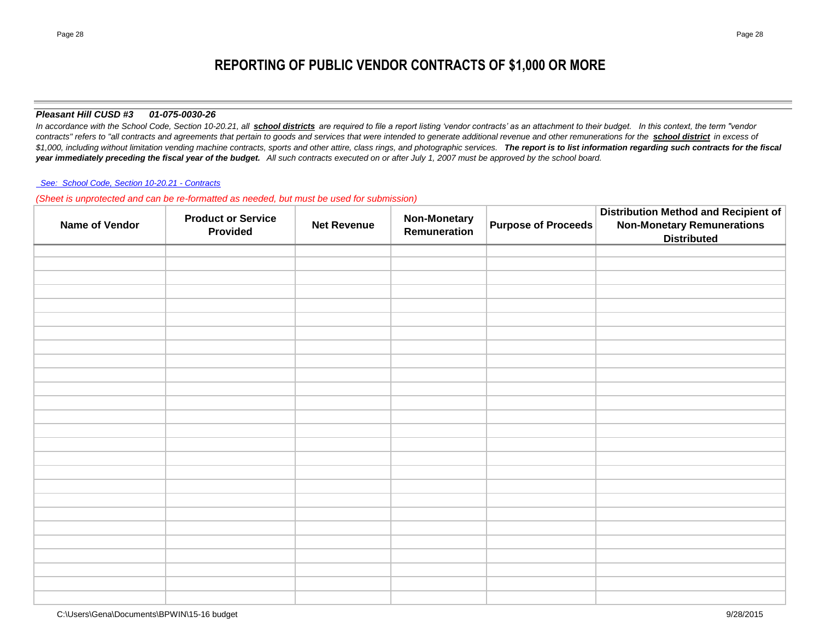# **REPORTING OF PUBLIC VENDOR CONTRACTS OF \$1,000 OR MORE**

### *Pleasant Hill CUSD #3 01-075-0030-26*

In accordance with the School Code, Section 10-20.21, all **school districts** are required to file a report listing 'vendor contracts' as an attachment to their budget. In this context, the term "vendor *contracts" refers to "all contracts and agreements that pertain to goods and services that were intended to generate additional revenue and other remunerations for the school district in excess of*   $$1,000$ , including without limitation vending machine contracts, sports and other attire, class rings, and photographic services. The report is to list information regarding such contracts for the fiscal *year immediately preceding the fiscal year of the budget. All such contracts executed on or after July 1, 2007 must be approved by the school board.*

#### *[See: School Code, Section 10-20.21 - Contracts](http://www.ilga.gov/legislation/ilcs/ilcs4.asp?DocName=010500050HArt%2E+10&ActID=1005&ChapAct=105%26nbsp%3BILCS%26nbsp%3B5%2F&ChapterID=17&ChapterName=SCHOOLS&SectionID=48899&SeqStart=53200000&SeqEnd=74800000&ActName=School+Code%2E)*

*(Sheet is unprotected and can be re-formatted as needed, but must be used for submission)*

| <b>Name of Vendor</b> | <b>Product or Service</b><br><b>Provided</b> | <b>Net Revenue</b> | <b>Non-Monetary</b><br>Remuneration | <b>Purpose of Proceeds</b> | Distribution Method and Recipient of<br><b>Non-Monetary Remunerations</b><br><b>Distributed</b> |
|-----------------------|----------------------------------------------|--------------------|-------------------------------------|----------------------------|-------------------------------------------------------------------------------------------------|
|                       |                                              |                    |                                     |                            |                                                                                                 |
|                       |                                              |                    |                                     |                            |                                                                                                 |
|                       |                                              |                    |                                     |                            |                                                                                                 |
|                       |                                              |                    |                                     |                            |                                                                                                 |
|                       |                                              |                    |                                     |                            |                                                                                                 |
|                       |                                              |                    |                                     |                            |                                                                                                 |
|                       |                                              |                    |                                     |                            |                                                                                                 |
|                       |                                              |                    |                                     |                            |                                                                                                 |
|                       |                                              |                    |                                     |                            |                                                                                                 |
|                       |                                              |                    |                                     |                            |                                                                                                 |
|                       |                                              |                    |                                     |                            |                                                                                                 |
|                       |                                              |                    |                                     |                            |                                                                                                 |
|                       |                                              |                    |                                     |                            |                                                                                                 |
|                       |                                              |                    |                                     |                            |                                                                                                 |
|                       |                                              |                    |                                     |                            |                                                                                                 |
|                       |                                              |                    |                                     |                            |                                                                                                 |
|                       |                                              |                    |                                     |                            |                                                                                                 |
|                       |                                              |                    |                                     |                            |                                                                                                 |
|                       |                                              |                    |                                     |                            |                                                                                                 |
|                       |                                              |                    |                                     |                            |                                                                                                 |
|                       |                                              |                    |                                     |                            |                                                                                                 |
|                       |                                              |                    |                                     |                            |                                                                                                 |
|                       |                                              |                    |                                     |                            |                                                                                                 |
|                       |                                              |                    |                                     |                            |                                                                                                 |
|                       |                                              |                    |                                     |                            |                                                                                                 |
|                       |                                              |                    |                                     |                            |                                                                                                 |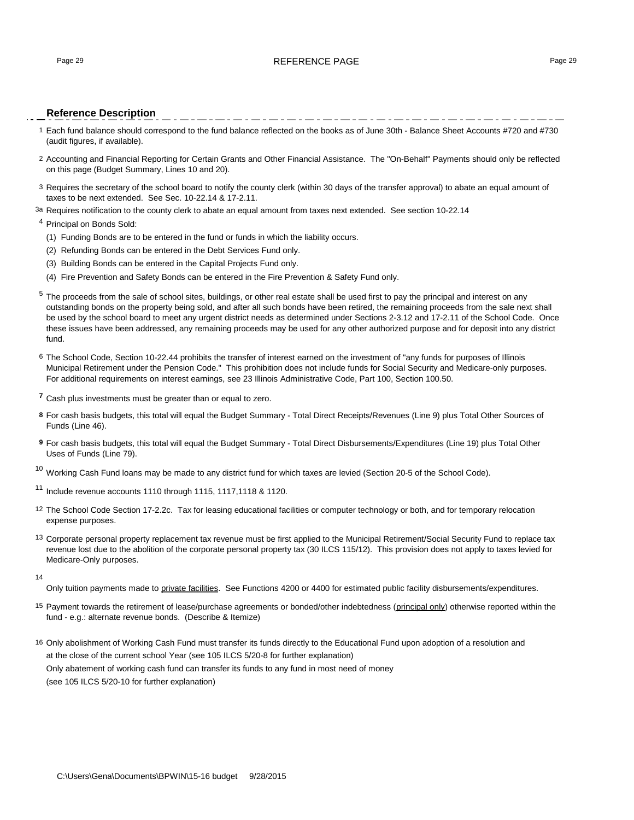#### Page 29 **REFERENCE PAGE 20** REFERENCE PAGE 29

#### **Reference Description**

- 1 Each fund balance should correspond to the fund balance reflected on the books as of June 30th Balance Sheet Accounts #720 and #730 (audit figures, if available).
- 2 Accounting and Financial Reporting for Certain Grants and Other Financial Assistance. The "On-Behalf" Payments should only be reflected on this page (Budget Summary, Lines 10 and 20).
- 3 Requires the secretary of the school board to notify the county clerk (within 30 days of the transfer approval) to abate an equal amount of taxes to be next extended. See Sec. 10-22.14 & 17-2.11.
- <sup>3a</sup> Requires notification to the county clerk to abate an equal amount from taxes next extended. See section 10-22.14

#### <sup>4</sup> Principal on Bonds Sold:

- (1) Funding Bonds are to be entered in the fund or funds in which the liability occurs.
- (2) Refunding Bonds can be entered in the Debt Services Fund only.
- (3) Building Bonds can be entered in the Capital Projects Fund only.
- (4) Fire Prevention and Safety Bonds can be entered in the Fire Prevention & Safety Fund only.
- <sup>5</sup> The proceeds from the sale of school sites, buildings, or other real estate shall be used first to pay the principal and interest on any outstanding bonds on the property being sold, and after all such bonds have been retired, the remaining proceeds from the sale next shall be used by the school board to meet any urgent district needs as determined under Sections 2-3.12 and 17-2.11 of the School Code. Once these issues have been addressed, any remaining proceeds may be used for any other authorized purpose and for deposit into any district fund.
- 6 The School Code, Section 10-22.44 prohibits the transfer of interest earned on the investment of "any funds for purposes of Illinois Municipal Retirement under the Pension Code." This prohibition does not include funds for Social Security and Medicare-only purposes. For additional requirements on interest earnings, see 23 Illinois Administrative Code, Part 100, Section 100.50.
- **<sup>7</sup>** Cash plus investments must be greater than or equal to zero.
- **8** For cash basis budgets, this total will equal the Budget Summary Total Direct Receipts/Revenues (Line 9) plus Total Other Sources of Funds (Line 46).
- **9** For cash basis budgets, this total will equal the Budget Summary Total Direct Disbursements/Expenditures (Line 19) plus Total Other Uses of Funds (Line 79).

 $10$  Working Cash Fund loans may be made to any district fund for which taxes are levied (Section 20-5 of the School Code).

<sup>11</sup> Include revenue accounts 1110 through 1115, 1117,1118 & 1120.

- 12 The School Code Section 17-2.2c. Tax for leasing educational facilities or computer technology or both, and for temporary relocation expense purposes.
- <sup>13</sup> Corporate personal property replacement tax revenue must be first applied to the Municipal Retirement/Social Security Fund to replace tax revenue lost due to the abolition of the corporate personal property tax (30 ILCS 115/12). This provision does not apply to taxes levied for Medicare-Only purposes.
- 14

Only tuition payments made to private facilities. See Functions 4200 or 4400 for estimated public facility disbursements/expenditures.

- <sup>15</sup> Payment towards the retirement of lease/purchase agreements or bonded/other indebtedness (principal only) otherwise reported within the fund - e.g.: alternate revenue bonds. (Describe & Itemize)
- 16 Only abolishment of Working Cash Fund must transfer its funds directly to the Educational Fund upon adoption of a resolution and at the close of the current school Year (see 105 ILCS 5/20-8 for further explanation) Only abatement of working cash fund can transfer its funds to any fund in most need of money

(see 105 ILCS 5/20-10 for further explanation)